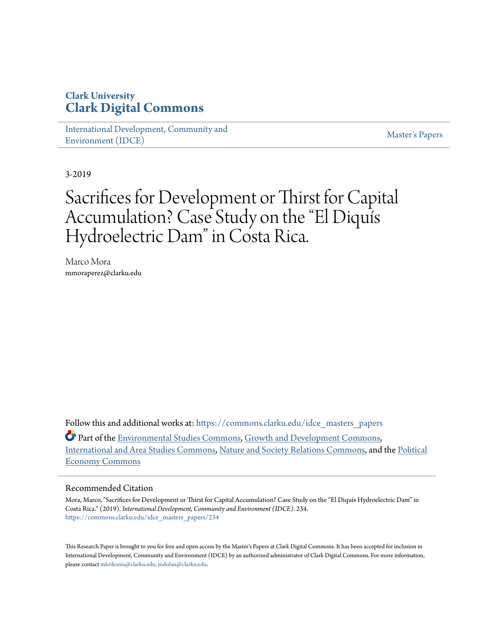# **Clark University [Clark Digital Commons](https://commons.clarku.edu?utm_source=commons.clarku.edu%2Fidce_masters_papers%2F234&utm_medium=PDF&utm_campaign=PDFCoverPages)**

[International Development, Community and](https://commons.clarku.edu/idce_masters_papers?utm_source=commons.clarku.edu%2Fidce_masters_papers%2F234&utm_medium=PDF&utm_campaign=PDFCoverPages) [Environment \(IDCE\)](https://commons.clarku.edu/idce_masters_papers?utm_source=commons.clarku.edu%2Fidce_masters_papers%2F234&utm_medium=PDF&utm_campaign=PDFCoverPages)

[Master's Papers](https://commons.clarku.edu/masters_papers?utm_source=commons.clarku.edu%2Fidce_masters_papers%2F234&utm_medium=PDF&utm_campaign=PDFCoverPages)

3-2019

# Sacrifices for Development or Thirst for Capital Accumulation? Case Study on the "El Diquís Hydroelectric Dam" in Costa Rica.

Marco Mora mmoraperez@clarku.edu

Follow this and additional works at: [https://commons.clarku.edu/idce\\_masters\\_papers](https://commons.clarku.edu/idce_masters_papers?utm_source=commons.clarku.edu%2Fidce_masters_papers%2F234&utm_medium=PDF&utm_campaign=PDFCoverPages)

Part of the [Environmental Studies Commons](http://network.bepress.com/hgg/discipline/1333?utm_source=commons.clarku.edu%2Fidce_masters_papers%2F234&utm_medium=PDF&utm_campaign=PDFCoverPages), [Growth and Development Commons](http://network.bepress.com/hgg/discipline/346?utm_source=commons.clarku.edu%2Fidce_masters_papers%2F234&utm_medium=PDF&utm_campaign=PDFCoverPages), [International and Area Studies Commons](http://network.bepress.com/hgg/discipline/360?utm_source=commons.clarku.edu%2Fidce_masters_papers%2F234&utm_medium=PDF&utm_campaign=PDFCoverPages), [Nature and Society Relations Commons](http://network.bepress.com/hgg/discipline/357?utm_source=commons.clarku.edu%2Fidce_masters_papers%2F234&utm_medium=PDF&utm_campaign=PDFCoverPages), and the [Political](http://network.bepress.com/hgg/discipline/352?utm_source=commons.clarku.edu%2Fidce_masters_papers%2F234&utm_medium=PDF&utm_campaign=PDFCoverPages) [Economy Commons](http://network.bepress.com/hgg/discipline/352?utm_source=commons.clarku.edu%2Fidce_masters_papers%2F234&utm_medium=PDF&utm_campaign=PDFCoverPages)

## Recommended Citation

Mora, Marco, "Sacrifices for Development or Thirst for Capital Accumulation? Case Study on the "El Diquís Hydroelectric Dam" in Costa Rica." (2019). *International Development, Community and Environment (IDCE)*. 234. [https://commons.clarku.edu/idce\\_masters\\_papers/234](https://commons.clarku.edu/idce_masters_papers/234?utm_source=commons.clarku.edu%2Fidce_masters_papers%2F234&utm_medium=PDF&utm_campaign=PDFCoverPages)

This Research Paper is brought to you for free and open access by the Master's Papers at Clark Digital Commons. It has been accepted for inclusion in International Development, Community and Environment (IDCE) by an authorized administrator of Clark Digital Commons. For more information, please contact [mkrikonis@clarku.edu, jodolan@clarku.edu](mailto:mkrikonis@clarku.edu,%20jodolan@clarku.edu).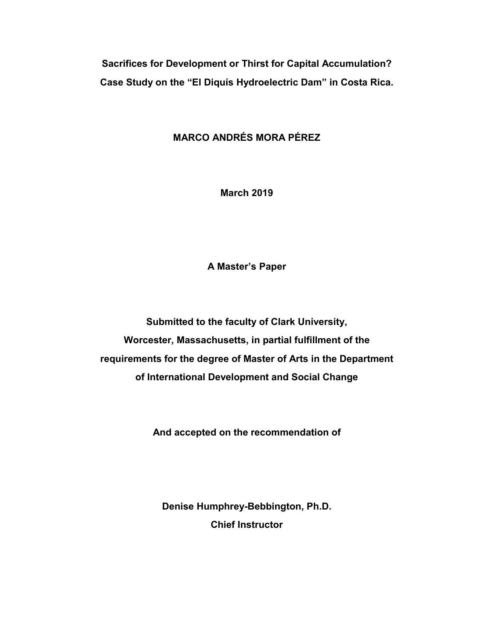**Sacrifices for Development or Thirst for Capital Accumulation? Case Study on the "El Diquís Hydroelectric Dam" in Costa Rica.**

# **MARCO ANDRÉS MORA PÉREZ**

**March 2019**

**A Master's Paper**

**Submitted to the faculty of Clark University, Worcester, Massachusetts, in partial fulfillment of the requirements for the degree of Master of Arts in the Department of International Development and Social Change**

**And accepted on the recommendation of**

**Denise Humphrey-Bebbington, Ph.D. Chief Instructor**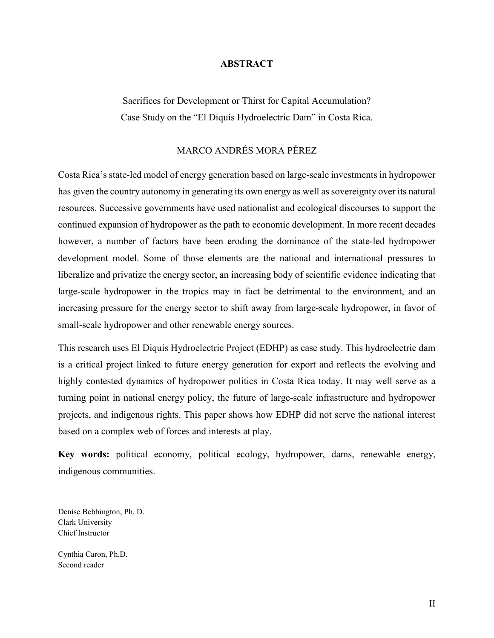## **ABSTRACT**

Sacrifices for Development or Thirst for Capital Accumulation? Case Study on the "El Diquís Hydroelectric Dam" in Costa Rica.

# MARCO ANDRÉS MORA PÉREZ

Costa Rica's state-led model of energy generation based on large-scale investments in hydropower has given the country autonomy in generating its own energy as well as sovereignty over its natural resources. Successive governments have used nationalist and ecological discourses to support the continued expansion of hydropower as the path to economic development. In more recent decades however, a number of factors have been eroding the dominance of the state-led hydropower development model. Some of those elements are the national and international pressures to liberalize and privatize the energy sector, an increasing body of scientific evidence indicating that large-scale hydropower in the tropics may in fact be detrimental to the environment, and an increasing pressure for the energy sector to shift away from large-scale hydropower, in favor of small-scale hydropower and other renewable energy sources.

This research uses El Diquís Hydroelectric Project (EDHP) as case study. This hydroelectric dam is a critical project linked to future energy generation for export and reflects the evolving and highly contested dynamics of hydropower politics in Costa Rica today. It may well serve as a turning point in national energy policy, the future of large-scale infrastructure and hydropower projects, and indigenous rights. This paper shows how EDHP did not serve the national interest based on a complex web of forces and interests at play.

**Key words:** political economy, political ecology, hydropower, dams, renewable energy, indigenous communities.

Denise Bebbington, Ph. D. Clark University Chief Instructor

Cynthia Caron, Ph.D. Second reader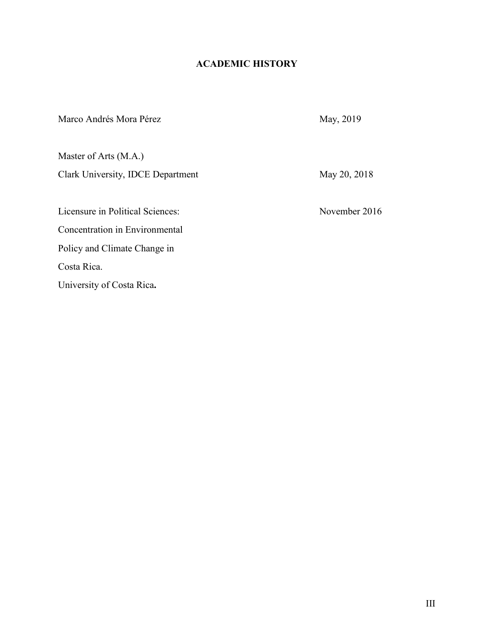# **ACADEMIC HISTORY**

| Marco Andrés Mora Pérez           | May, 2019     |
|-----------------------------------|---------------|
| Master of Arts (M.A.)             |               |
| Clark University, IDCE Department | May 20, 2018  |
| Licensure in Political Sciences:  | November 2016 |
| Concentration in Environmental    |               |
| Policy and Climate Change in      |               |
| Costa Rica.                       |               |
| University of Costa Rica.         |               |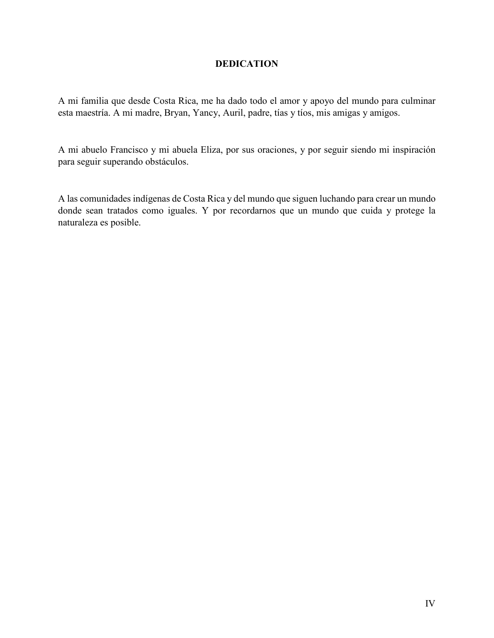# **DEDICATION**

A mi familia que desde Costa Rica, me ha dado todo el amor y apoyo del mundo para culminar esta maestría. A mi madre, Bryan, Yancy, Auril, padre, tías y tíos, mis amigas y amigos.

A mi abuelo Francisco y mi abuela Eliza, por sus oraciones, y por seguir siendo mi inspiración para seguir superando obstáculos.

A las comunidades indígenas de Costa Rica y del mundo que siguen luchando para crear un mundo donde sean tratados como iguales. Y por recordarnos que un mundo que cuida y protege la naturaleza es posible.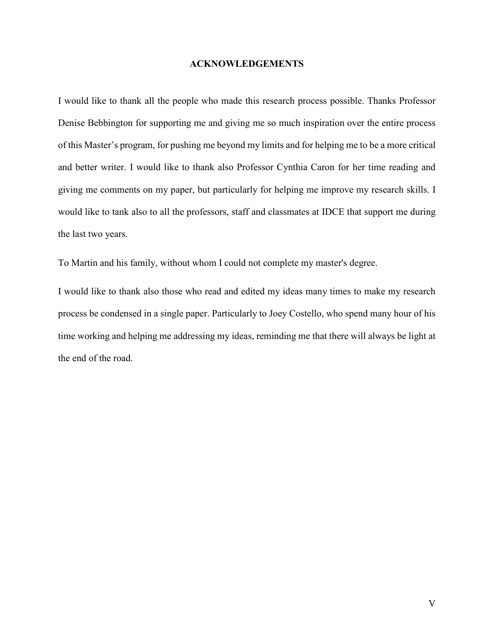#### **ACKNOWLEDGEMENTS**

I would like to thank all the people who made this research process possible. Thanks Professor Denise Bebbington for supporting me and giving me so much inspiration over the entire process of this Master's program, for pushing me beyond my limits and for helping me to be a more critical and better writer. I would like to thank also Professor Cynthia Caron for her time reading and giving me comments on my paper, but particularly for helping me improve my research skills. I would like to tank also to all the professors, staff and classmates at IDCE that support me during the last two years.

To Martin and his family, without whom I could not complete my master's degree.

I would like to thank also those who read and edited my ideas many times to make my research process be condensed in a single paper. Particularly to Joey Costello, who spend many hour of his time working and helping me addressing my ideas, reminding me that there will always be light at the end of the road.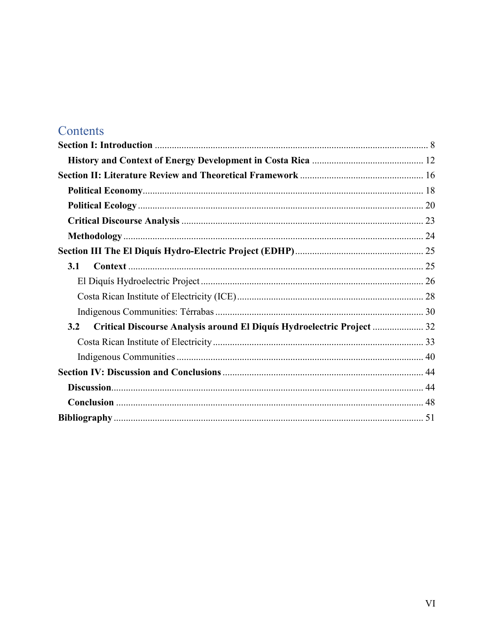# Contents

| 3.1                                                                           |  |
|-------------------------------------------------------------------------------|--|
|                                                                               |  |
|                                                                               |  |
|                                                                               |  |
| Critical Discourse Analysis around El Diquís Hydroelectric Project  32<br>3.2 |  |
|                                                                               |  |
|                                                                               |  |
|                                                                               |  |
|                                                                               |  |
|                                                                               |  |
|                                                                               |  |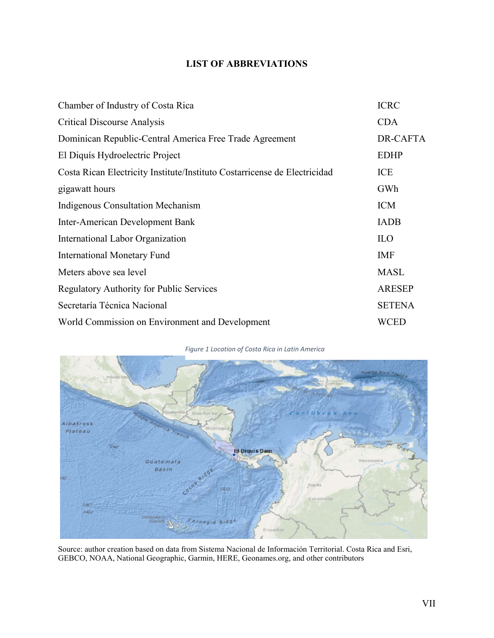# **LIST OF ABBREVIATIONS**

| Chamber of Industry of Costa Rica                                         | <b>ICRC</b>   |
|---------------------------------------------------------------------------|---------------|
| <b>Critical Discourse Analysis</b>                                        | <b>CDA</b>    |
| Dominican Republic-Central America Free Trade Agreement                   | DR-CAFTA      |
| El Diquís Hydroelectric Project                                           | <b>EDHP</b>   |
| Costa Rican Electricity Institute/Instituto Costarricense de Electricidad | ICE           |
| gigawatt hours                                                            | GWh           |
| <b>Indigenous Consultation Mechanism</b>                                  | <b>ICM</b>    |
| Inter-American Development Bank                                           | <b>IADB</b>   |
| International Labor Organization                                          | <b>ILO</b>    |
| <b>International Monetary Fund</b>                                        | <b>IMF</b>    |
| Meters above sea level                                                    | <b>MASL</b>   |
| <b>Regulatory Authority for Public Services</b>                           | <b>ARESEP</b> |
| Secretaría Técnica Nacional                                               | <b>SETENA</b> |
| World Commission on Environment and Development                           | WCED          |

#### *Figure 1 Location of Costa Rica in Latin America*



Source: author creation based on data from Sistema Nacional de Información Territorial. Costa Rica and Esri, GEBCO, NOAA, National Geographic, Garmin, HERE, Geonames.org, and other contributors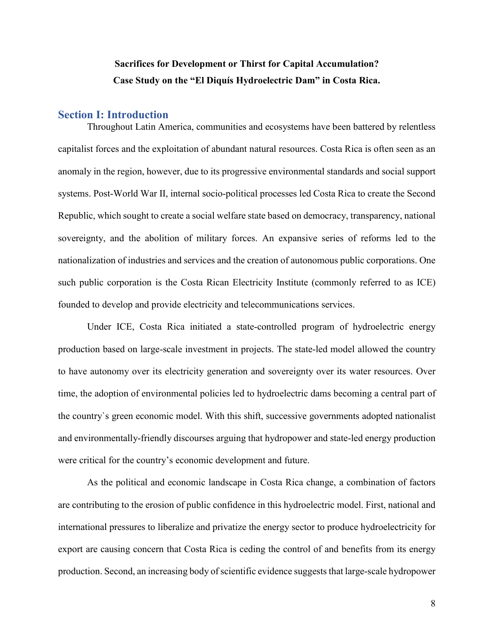# **Sacrifices for Development or Thirst for Capital Accumulation? Case Study on the "El Diquís Hydroelectric Dam" in Costa Rica.**

# **Section I: Introduction**

Throughout Latin America, communities and ecosystems have been battered by relentless capitalist forces and the exploitation of abundant natural resources. Costa Rica is often seen as an anomaly in the region, however, due to its progressive environmental standards and social support systems. Post-World War II, internal socio-political processes led Costa Rica to create the Second Republic, which sought to create a social welfare state based on democracy, transparency, national sovereignty, and the abolition of military forces. An expansive series of reforms led to the nationalization of industries and services and the creation of autonomous public corporations. One such public corporation is the Costa Rican Electricity Institute (commonly referred to as ICE) founded to develop and provide electricity and telecommunications services.

Under ICE, Costa Rica initiated a state-controlled program of hydroelectric energy production based on large-scale investment in projects. The state-led model allowed the country to have autonomy over its electricity generation and sovereignty over its water resources. Over time, the adoption of environmental policies led to hydroelectric dams becoming a central part of the country`s green economic model. With this shift, successive governments adopted nationalist and environmentally-friendly discourses arguing that hydropower and state-led energy production were critical for the country's economic development and future.

As the political and economic landscape in Costa Rica change, a combination of factors are contributing to the erosion of public confidence in this hydroelectric model. First, national and international pressures to liberalize and privatize the energy sector to produce hydroelectricity for export are causing concern that Costa Rica is ceding the control of and benefits from its energy production. Second, an increasing body of scientific evidence suggests that large-scale hydropower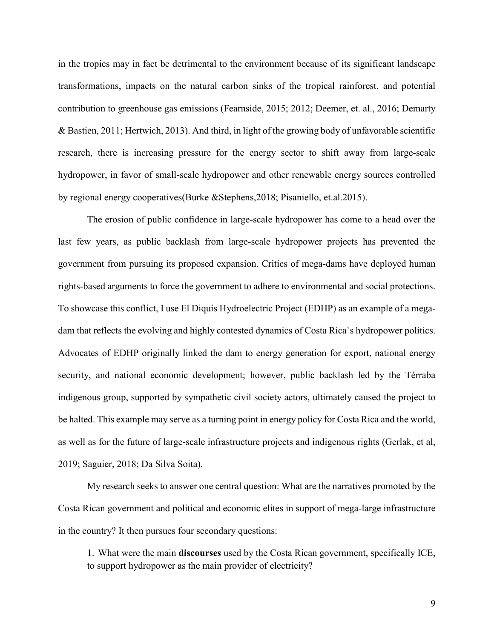in the tropics may in fact be detrimental to the environment because of its significant landscape transformations, impacts on the natural carbon sinks of the tropical rainforest, and potential contribution to greenhouse gas emissions (Fearnside, 2015; 2012; Deemer, et. al., 2016; Demarty & Bastien, 2011; Hertwich, 2013). And third, in light of the growing body of unfavorable scientific research, there is increasing pressure for the energy sector to shift away from large-scale hydropower, in favor of small-scale hydropower and other renewable energy sources controlled by regional energy cooperatives(Burke &Stephens,2018; Pisaniello, et.al.2015).

The erosion of public confidence in large-scale hydropower has come to a head over the last few years, as public backlash from large-scale hydropower projects has prevented the government from pursuing its proposed expansion. Critics of mega-dams have deployed human rights-based arguments to force the government to adhere to environmental and social protections. To showcase this conflict, I use El Diquís Hydroelectric Project (EDHP) as an example of a megadam that reflects the evolving and highly contested dynamics of Costa Rica`s hydropower politics. Advocates of EDHP originally linked the dam to energy generation for export, national energy security, and national economic development; however, public backlash led by the Térraba indigenous group, supported by sympathetic civil society actors, ultimately caused the project to be halted. This example may serve as a turning point in energy policy for Costa Rica and the world, as well as for the future of large-scale infrastructure projects and indigenous rights (Gerlak, et al, 2019; Saguier, 2018; Da Silva Soita).

My research seeks to answer one central question: What are the narratives promoted by the Costa Rican government and political and economic elites in support of mega-large infrastructure in the country? It then pursues four secondary questions:

1. What were the main **discourses** used by the Costa Rican government, specifically ICE, to support hydropower as the main provider of electricity?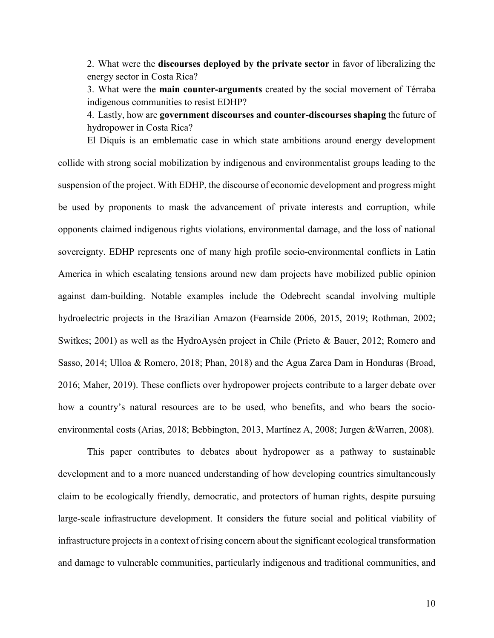2. What were the **discourses deployed by the private sector** in favor of liberalizing the energy sector in Costa Rica?

3. What were the **main counter-arguments** created by the social movement of Térraba indigenous communities to resist EDHP?

4. Lastly, how are **government discourses and counter-discourses shaping** the future of hydropower in Costa Rica?

El Diquís is an emblematic case in which state ambitions around energy development collide with strong social mobilization by indigenous and environmentalist groups leading to the suspension of the project. With EDHP, the discourse of economic development and progress might be used by proponents to mask the advancement of private interests and corruption, while opponents claimed indigenous rights violations, environmental damage, and the loss of national sovereignty. EDHP represents one of many high profile socio-environmental conflicts in Latin America in which escalating tensions around new dam projects have mobilized public opinion against dam-building. Notable examples include the Odebrecht scandal involving multiple hydroelectric projects in the Brazilian Amazon (Fearnside 2006, 2015, 2019; Rothman, 2002; Switkes; 2001) as well as the HydroAysén project in Chile (Prieto & Bauer, 2012; Romero and Sasso, 2014; Ulloa & Romero, 2018; Phan, 2018) and the Agua Zarca Dam in Honduras (Broad, 2016; Maher, 2019). These conflicts over hydropower projects contribute to a larger debate over how a country's natural resources are to be used, who benefits, and who bears the socioenvironmental costs (Arias, 2018; Bebbington, 2013, Martínez A, 2008; Jurgen &Warren, 2008).

This paper contributes to debates about hydropower as a pathway to sustainable development and to a more nuanced understanding of how developing countries simultaneously claim to be ecologically friendly, democratic, and protectors of human rights, despite pursuing large-scale infrastructure development. It considers the future social and political viability of infrastructure projects in a context of rising concern about the significant ecological transformation and damage to vulnerable communities, particularly indigenous and traditional communities, and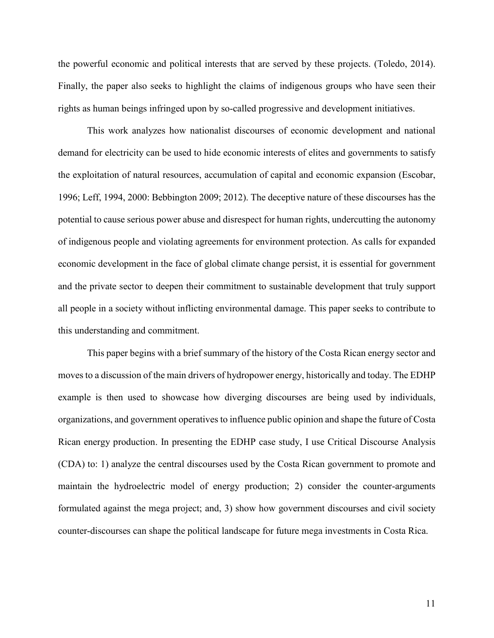the powerful economic and political interests that are served by these projects. (Toledo, 2014). Finally, the paper also seeks to highlight the claims of indigenous groups who have seen their rights as human beings infringed upon by so-called progressive and development initiatives.

This work analyzes how nationalist discourses of economic development and national demand for electricity can be used to hide economic interests of elites and governments to satisfy the exploitation of natural resources, accumulation of capital and economic expansion (Escobar, 1996; Leff, 1994, 2000: Bebbington 2009; 2012). The deceptive nature of these discourses has the potential to cause serious power abuse and disrespect for human rights, undercutting the autonomy of indigenous people and violating agreements for environment protection. As calls for expanded economic development in the face of global climate change persist, it is essential for government and the private sector to deepen their commitment to sustainable development that truly support all people in a society without inflicting environmental damage. This paper seeks to contribute to this understanding and commitment.

This paper begins with a brief summary of the history of the Costa Rican energy sector and moves to a discussion of the main drivers of hydropower energy, historically and today. The EDHP example is then used to showcase how diverging discourses are being used by individuals, organizations, and government operatives to influence public opinion and shape the future of Costa Rican energy production. In presenting the EDHP case study, I use Critical Discourse Analysis (CDA) to: 1) analyze the central discourses used by the Costa Rican government to promote and maintain the hydroelectric model of energy production; 2) consider the counter-arguments formulated against the mega project; and, 3) show how government discourses and civil society counter-discourses can shape the political landscape for future mega investments in Costa Rica.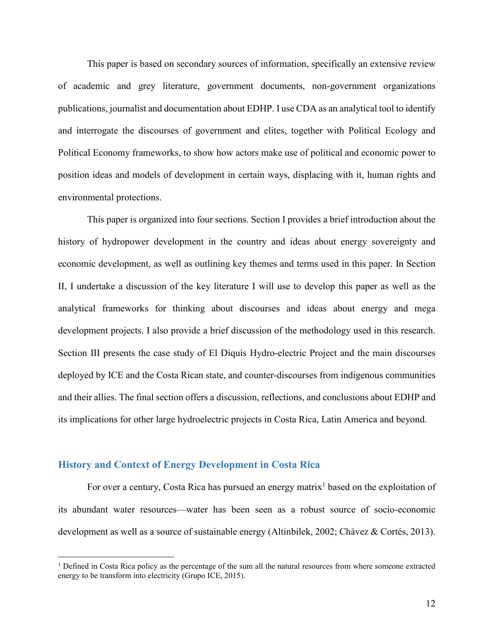This paper is based on secondary sources of information, specifically an extensive review of academic and grey literature, government documents, non-government organizations publications, journalist and documentation about EDHP. I use CDA as an analytical tool to identify and interrogate the discourses of government and elites, together with Political Ecology and Political Economy frameworks, to show how actors make use of political and economic power to position ideas and models of development in certain ways, displacing with it, human rights and environmental protections.

This paper is organized into four sections. Section I provides a brief introduction about the history of hydropower development in the country and ideas about energy sovereignty and economic development, as well as outlining key themes and terms used in this paper. In Section II, I undertake a discussion of the key literature I will use to develop this paper as well as the analytical frameworks for thinking about discourses and ideas about energy and mega development projects. I also provide a brief discussion of the methodology used in this research. Section III presents the case study of El Diquís Hydro-electric Project and the main discourses deployed by ICE and the Costa Rican state, and counter-discourses from indigenous communities and their allies. The final section offers a discussion, reflections, and conclusions about EDHP and its implications for other large hydroelectric projects in Costa Rica, Latin America and beyond.

# **History and Context of Energy Development in Costa Rica**

For over a century, Costa Rica has pursued an energy matrix<sup>1</sup> based on the exploitation of its abundant water resources—water has been seen as a robust source of socio-economic development as well as a source of sustainable energy (Altinbilek, 2002; Chávez & Cortés, 2013).

<sup>&</sup>lt;sup>1</sup> Defined in Costa Rica policy as the percentage of the sum all the natural resources from where someone extracted energy to be transform into electricity (Grupo ICE, 2015).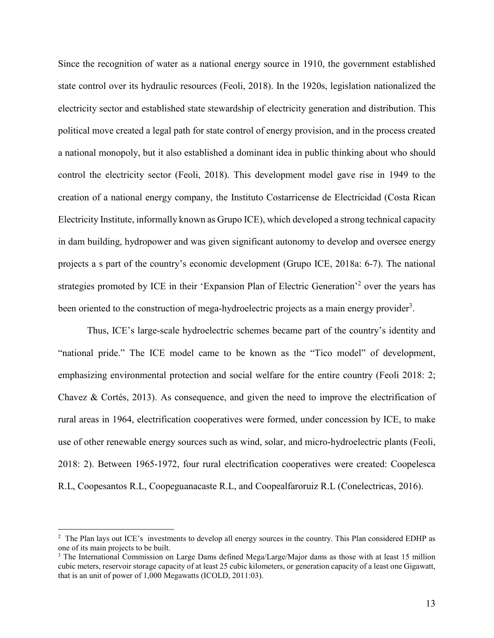Since the recognition of water as a national energy source in 1910, the government established state control over its hydraulic resources (Feoli, 2018). In the 1920s, legislation nationalized the electricity sector and established state stewardship of electricity generation and distribution. This political move created a legal path for state control of energy provision, and in the process created a national monopoly, but it also established a dominant idea in public thinking about who should control the electricity sector (Feoli, 2018). This development model gave rise in 1949 to the creation of a national energy company, the Instituto Costarricense de Electricidad (Costa Rican Electricity Institute, informally known as Grupo ICE), which developed a strong technical capacity in dam building, hydropower and was given significant autonomy to develop and oversee energy projects a s part of the country's economic development (Grupo ICE, 2018a: 6-7). The national strategies promoted by ICE in their 'Expansion Plan of Electric Generation'2 over the years has been oriented to the construction of mega-hydroelectric projects as a main energy provider<sup>3</sup>.

Thus, ICE's large-scale hydroelectric schemes became part of the country's identity and "national pride." The ICE model came to be known as the "Tico model" of development, emphasizing environmental protection and social welfare for the entire country (Feoli 2018: 2; Chavez & Cortés, 2013). As consequence, and given the need to improve the electrification of rural areas in 1964, electrification cooperatives were formed, under concession by ICE, to make use of other renewable energy sources such as wind, solar, and micro-hydroelectric plants (Feoli, 2018: 2). Between 1965-1972, four rural electrification cooperatives were created: Coopelesca R.L, Coopesantos R.L, Coopeguanacaste R.L, and Coopealfaroruiz R.L (Conelectricas, 2016).

 $\frac{1}{2}$ <sup>2</sup> The Plan lays out ICE's investments to develop all energy sources in the country. This Plan considered EDHP as one of its main projects to be built.

<sup>&</sup>lt;sup>3</sup> The International Commission on Large Dams defined Mega/Large/Major dams as those with at least 15 million cubic meters, reservoir storage capacity of at least 25 cubic kilometers, or generation capacity of a least one Gigawatt, that is an unit of power of 1,000 Megawatts (ICOLD, 2011:03).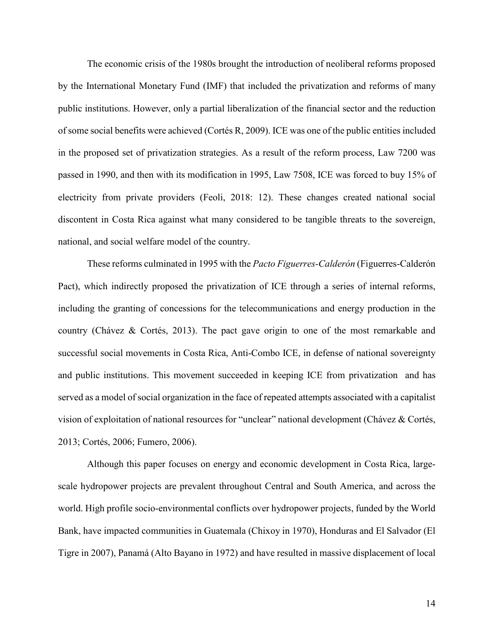The economic crisis of the 1980s brought the introduction of neoliberal reforms proposed by the International Monetary Fund (IMF) that included the privatization and reforms of many public institutions. However, only a partial liberalization of the financial sector and the reduction of some social benefits were achieved (Cortés R, 2009). ICE was one of the public entities included in the proposed set of privatization strategies. As a result of the reform process, Law 7200 was passed in 1990, and then with its modification in 1995, Law 7508, ICE was forced to buy 15% of electricity from private providers (Feoli, 2018: 12). These changes created national social discontent in Costa Rica against what many considered to be tangible threats to the sovereign, national, and social welfare model of the country.

These reforms culminated in 1995 with the *Pacto Figuerres-Calderón* (Figuerres-Calderón Pact), which indirectly proposed the privatization of ICE through a series of internal reforms, including the granting of concessions for the telecommunications and energy production in the country (Chávez & Cortés, 2013). The pact gave origin to one of the most remarkable and successful social movements in Costa Rica, Anti-Combo ICE, in defense of national sovereignty and public institutions. This movement succeeded in keeping ICE from privatization and has served as a model of social organization in the face of repeated attempts associated with a capitalist vision of exploitation of national resources for "unclear" national development (Chávez & Cortés, 2013; Cortés, 2006; Fumero, 2006).

Although this paper focuses on energy and economic development in Costa Rica, largescale hydropower projects are prevalent throughout Central and South America, and across the world. High profile socio-environmental conflicts over hydropower projects, funded by the World Bank, have impacted communities in Guatemala (Chixoy in 1970), Honduras and El Salvador (El Tigre in 2007), Panamá (Alto Bayano in 1972) and have resulted in massive displacement of local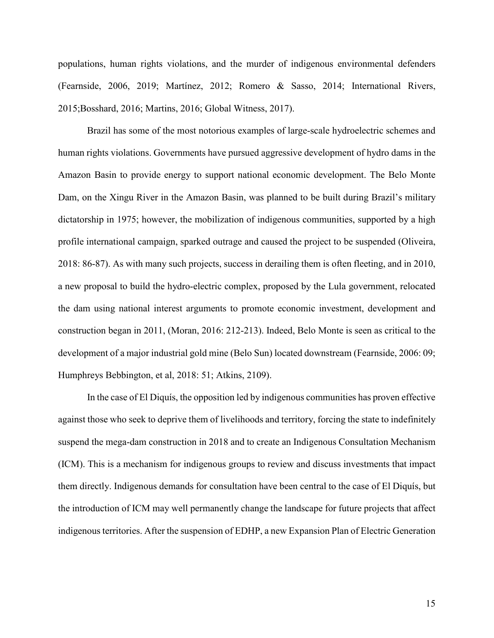populations, human rights violations, and the murder of indigenous environmental defenders (Fearnside, 2006, 2019; Martínez, 2012; Romero & Sasso, 2014; International Rivers, 2015;Bosshard, 2016; Martins, 2016; Global Witness, 2017).

Brazil has some of the most notorious examples of large-scale hydroelectric schemes and human rights violations. Governments have pursued aggressive development of hydro dams in the Amazon Basin to provide energy to support national economic development. The Belo Monte Dam, on the Xingu River in the Amazon Basin, was planned to be built during Brazil's military dictatorship in 1975; however, the mobilization of indigenous communities, supported by a high profile international campaign, sparked outrage and caused the project to be suspended (Oliveira, 2018: 86-87). As with many such projects, success in derailing them is often fleeting, and in 2010, a new proposal to build the hydro-electric complex, proposed by the Lula government, relocated the dam using national interest arguments to promote economic investment, development and construction began in 2011, (Moran, 2016: 212-213). Indeed, Belo Monte is seen as critical to the development of a major industrial gold mine (Belo Sun) located downstream (Fearnside, 2006: 09; Humphreys Bebbington, et al, 2018: 51; Atkins, 2109).

In the case of El Diquís, the opposition led by indigenous communities has proven effective against those who seek to deprive them of livelihoods and territory, forcing the state to indefinitely suspend the mega-dam construction in 2018 and to create an Indigenous Consultation Mechanism (ICM). This is a mechanism for indigenous groups to review and discuss investments that impact them directly. Indigenous demands for consultation have been central to the case of El Diquís, but the introduction of ICM may well permanently change the landscape for future projects that affect indigenous territories. After the suspension of EDHP, a new Expansion Plan of Electric Generation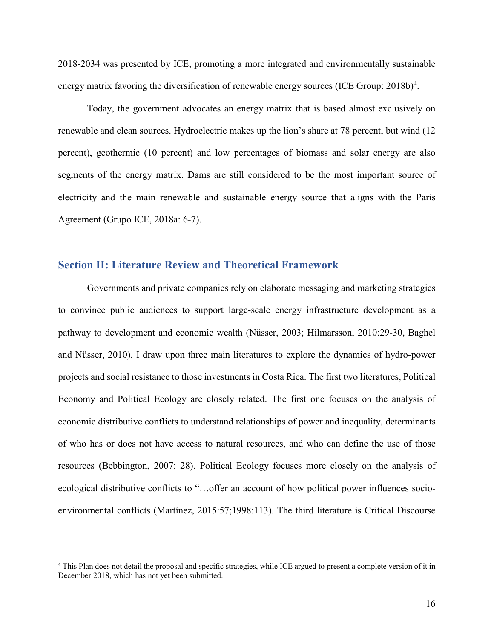2018-2034 was presented by ICE, promoting a more integrated and environmentally sustainable energy matrix favoring the diversification of renewable energy sources (ICE Group:  $2018b)^4$ .

Today, the government advocates an energy matrix that is based almost exclusively on renewable and clean sources. Hydroelectric makes up the lion's share at 78 percent, but wind (12 percent), geothermic (10 percent) and low percentages of biomass and solar energy are also segments of the energy matrix. Dams are still considered to be the most important source of electricity and the main renewable and sustainable energy source that aligns with the Paris Agreement (Grupo ICE, 2018a: 6-7).

# **Section II: Literature Review and Theoretical Framework**

Governments and private companies rely on elaborate messaging and marketing strategies to convince public audiences to support large-scale energy infrastructure development as a pathway to development and economic wealth (Nüsser, 2003; Hilmarsson, 2010:29-30, Baghel and Nüsser, 2010). I draw upon three main literatures to explore the dynamics of hydro-power projects and social resistance to those investments in Costa Rica. The first two literatures, Political Economy and Political Ecology are closely related. The first one focuses on the analysis of economic distributive conflicts to understand relationships of power and inequality, determinants of who has or does not have access to natural resources, and who can define the use of those resources (Bebbington, 2007: 28). Political Ecology focuses more closely on the analysis of ecological distributive conflicts to "…offer an account of how political power influences socioenvironmental conflicts (Martínez, 2015:57;1998:113). The third literature is Critical Discourse

<sup>&</sup>lt;sup>4</sup> This Plan does not detail the proposal and specific strategies, while ICE argued to present a complete version of it in December 2018, which has not yet been submitted.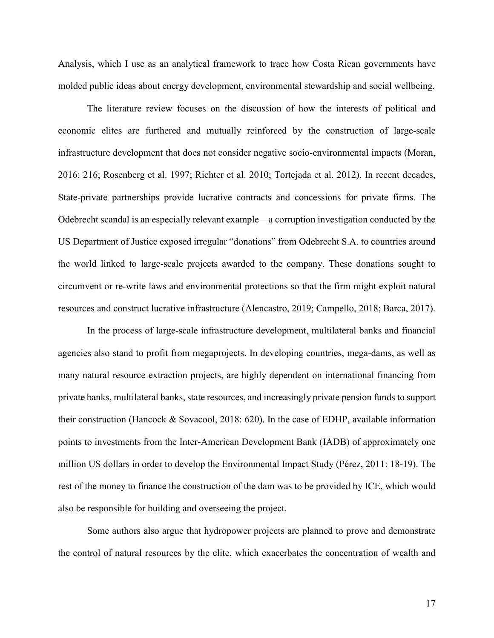Analysis, which I use as an analytical framework to trace how Costa Rican governments have molded public ideas about energy development, environmental stewardship and social wellbeing.

The literature review focuses on the discussion of how the interests of political and economic elites are furthered and mutually reinforced by the construction of large-scale infrastructure development that does not consider negative socio-environmental impacts (Moran, 2016: 216; Rosenberg et al. 1997; Richter et al. 2010; Tortejada et al. 2012). In recent decades, State-private partnerships provide lucrative contracts and concessions for private firms. The Odebrecht scandal is an especially relevant example—a corruption investigation conducted by the US Department of Justice exposed irregular "donations" from Odebrecht S.A. to countries around the world linked to large-scale projects awarded to the company. These donations sought to circumvent or re-write laws and environmental protections so that the firm might exploit natural resources and construct lucrative infrastructure (Alencastro, 2019; Campello, 2018; Barca, 2017).

In the process of large-scale infrastructure development, multilateral banks and financial agencies also stand to profit from megaprojects. In developing countries, mega-dams, as well as many natural resource extraction projects, are highly dependent on international financing from private banks, multilateral banks, state resources, and increasingly private pension funds to support their construction (Hancock & Sovacool, 2018: 620). In the case of EDHP, available information points to investments from the Inter-American Development Bank (IADB) of approximately one million US dollars in order to develop the Environmental Impact Study (Pérez, 2011: 18-19). The rest of the money to finance the construction of the dam was to be provided by ICE, which would also be responsible for building and overseeing the project.

Some authors also argue that hydropower projects are planned to prove and demonstrate the control of natural resources by the elite, which exacerbates the concentration of wealth and

17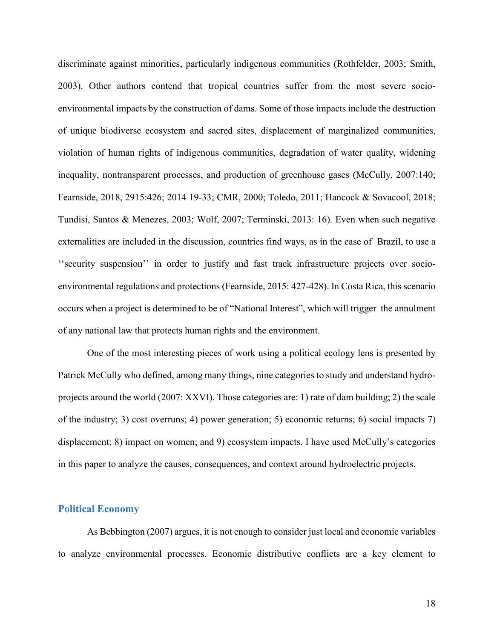discriminate against minorities, particularly indigenous communities (Rothfelder, 2003; Smith, 2003). Other authors contend that tropical countries suffer from the most severe socioenvironmental impacts by the construction of dams. Some of those impacts include the destruction of unique biodiverse ecosystem and sacred sites, displacement of marginalized communities, violation of human rights of indigenous communities, degradation of water quality, widening inequality, nontransparent processes, and production of greenhouse gases (McCully, 2007:140; Fearnside, 2018, 2915:426; 2014 19-33; CMR, 2000; Toledo, 2011; Hancock & Sovacool, 2018; Tundisi, Santos & Menezes, 2003; Wolf, 2007; Terminski, 2013: 16). Even when such negative externalities are included in the discussion, countries find ways, as in the case of Brazil, to use a ''security suspension'' in order to justify and fast track infrastructure projects over socioenvironmental regulations and protections (Fearnside, 2015: 427-428). In Costa Rica, this scenario occurs when a project is determined to be of "National Interest", which will trigger the annulment of any national law that protects human rights and the environment.

One of the most interesting pieces of work using a political ecology lens is presented by Patrick McCully who defined, among many things, nine categories to study and understand hydroprojects around the world (2007: XXVI). Those categories are: 1) rate of dam building; 2) the scale of the industry; 3) cost overruns; 4) power generation; 5) economic returns; 6) social impacts 7) displacement; 8) impact on women; and 9) ecosystem impacts. I have used McCully's categories in this paper to analyze the causes, consequences, and context around hydroelectric projects.

## **Political Economy**

As Bebbington (2007) argues, it is not enough to consider just local and economic variables to analyze environmental processes. Economic distributive conflicts are a key element to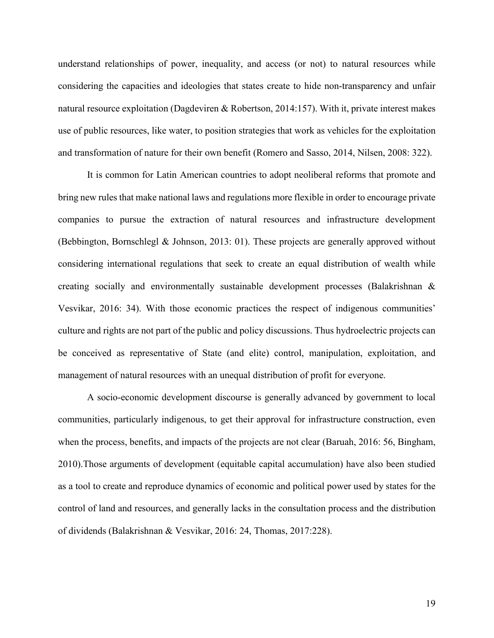understand relationships of power, inequality, and access (or not) to natural resources while considering the capacities and ideologies that states create to hide non-transparency and unfair natural resource exploitation (Dagdeviren & Robertson, 2014:157). With it, private interest makes use of public resources, like water, to position strategies that work as vehicles for the exploitation and transformation of nature for their own benefit (Romero and Sasso, 2014, Nilsen, 2008: 322).

It is common for Latin American countries to adopt neoliberal reforms that promote and bring new rules that make national laws and regulations more flexible in order to encourage private companies to pursue the extraction of natural resources and infrastructure development (Bebbington, Bornschlegl & Johnson, 2013: 01). These projects are generally approved without considering international regulations that seek to create an equal distribution of wealth while creating socially and environmentally sustainable development processes (Balakrishnan & Vesvikar, 2016: 34). With those economic practices the respect of indigenous communities' culture and rights are not part of the public and policy discussions. Thus hydroelectric projects can be conceived as representative of State (and elite) control, manipulation, exploitation, and management of natural resources with an unequal distribution of profit for everyone.

A socio-economic development discourse is generally advanced by government to local communities, particularly indigenous, to get their approval for infrastructure construction, even when the process, benefits, and impacts of the projects are not clear (Baruah, 2016: 56, Bingham, 2010).Those arguments of development (equitable capital accumulation) have also been studied as a tool to create and reproduce dynamics of economic and political power used by states for the control of land and resources, and generally lacks in the consultation process and the distribution of dividends (Balakrishnan & Vesvikar, 2016: 24, Thomas, 2017:228).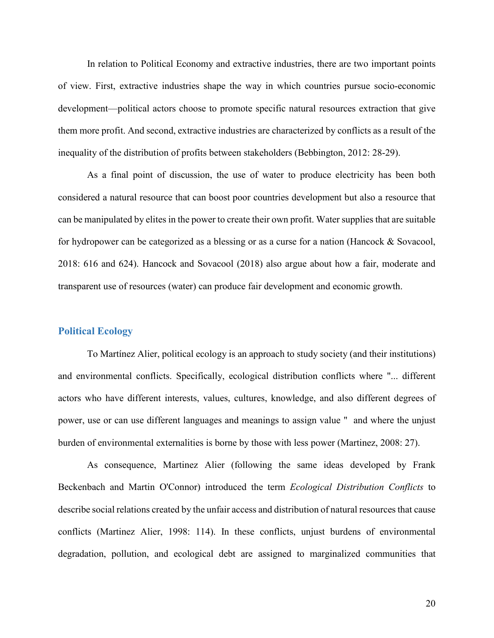In relation to Political Economy and extractive industries, there are two important points of view. First, extractive industries shape the way in which countries pursue socio-economic development—political actors choose to promote specific natural resources extraction that give them more profit. And second, extractive industries are characterized by conflicts as a result of the inequality of the distribution of profits between stakeholders (Bebbington, 2012: 28-29).

As a final point of discussion, the use of water to produce electricity has been both considered a natural resource that can boost poor countries development but also a resource that can be manipulated by elites in the power to create their own profit. Water supplies that are suitable for hydropower can be categorized as a blessing or as a curse for a nation (Hancock & Sovacool, 2018: 616 and 624). Hancock and Sovacool (2018) also argue about how a fair, moderate and transparent use of resources (water) can produce fair development and economic growth.

## **Political Ecology**

To Martínez Alier, political ecology is an approach to study society (and their institutions) and environmental conflicts. Specifically, ecological distribution conflicts where "... different actors who have different interests, values, cultures, knowledge, and also different degrees of power, use or can use different languages and meanings to assign value " and where the unjust burden of environmental externalities is borne by those with less power (Martinez, 2008: 27).

As consequence, Martinez Alier (following the same ideas developed by Frank Beckenbach and Martin O'Connor) introduced the term *Ecological Distribution Conflicts* to describe social relations created by the unfair access and distribution of natural resources that cause conflicts (Martinez Alier, 1998: 114). In these conflicts, unjust burdens of environmental degradation, pollution, and ecological debt are assigned to marginalized communities that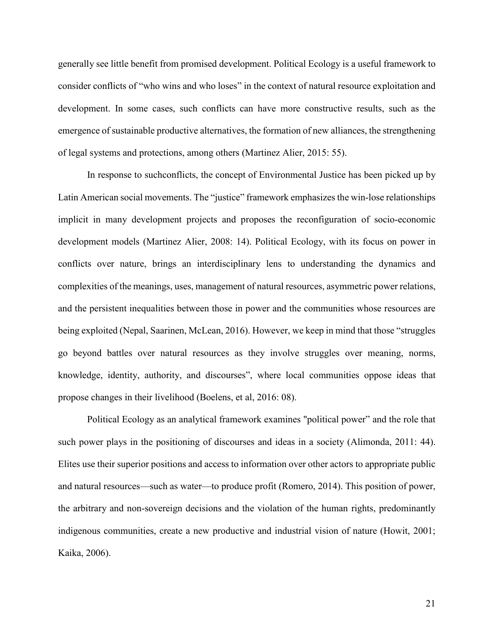generally see little benefit from promised development. Political Ecology is a useful framework to consider conflicts of "who wins and who loses" in the context of natural resource exploitation and development. In some cases, such conflicts can have more constructive results, such as the emergence of sustainable productive alternatives, the formation of new alliances, the strengthening of legal systems and protections, among others (Martinez Alier, 2015: 55).

In response to suchconflicts, the concept of Environmental Justice has been picked up by Latin American social movements. The "justice" framework emphasizes the win-lose relationships implicit in many development projects and proposes the reconfiguration of socio-economic development models (Martinez Alier, 2008: 14). Political Ecology, with its focus on power in conflicts over nature, brings an interdisciplinary lens to understanding the dynamics and complexities of the meanings, uses, management of natural resources, asymmetric power relations, and the persistent inequalities between those in power and the communities whose resources are being exploited (Nepal, Saarinen, McLean, 2016). However, we keep in mind that those "struggles go beyond battles over natural resources as they involve struggles over meaning, norms, knowledge, identity, authority, and discourses", where local communities oppose ideas that propose changes in their livelihood (Boelens, et al, 2016: 08).

Political Ecology as an analytical framework examines "political power" and the role that such power plays in the positioning of discourses and ideas in a society (Alimonda, 2011: 44). Elites use their superior positions and access to information over other actors to appropriate public and natural resources—such as water—to produce profit (Romero, 2014). This position of power, the arbitrary and non-sovereign decisions and the violation of the human rights, predominantly indigenous communities, create a new productive and industrial vision of nature (Howit, 2001; Kaika, 2006).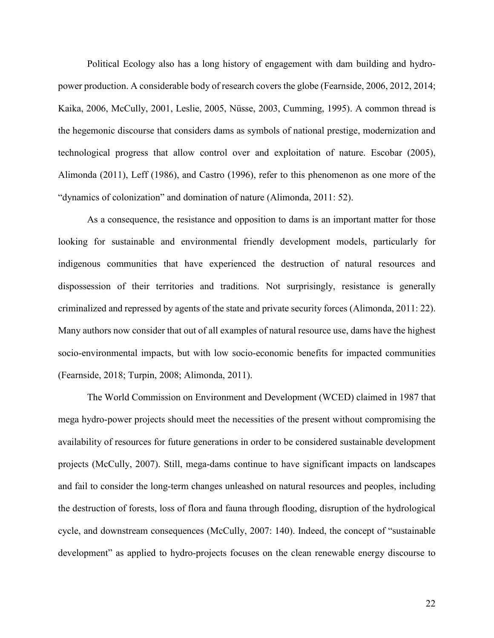Political Ecology also has a long history of engagement with dam building and hydropower production. A considerable body of research covers the globe (Fearnside, 2006, 2012, 2014; Kaika, 2006, McCully, 2001, Leslie, 2005, Nüsse, 2003, Cumming, 1995). A common thread is the hegemonic discourse that considers dams as symbols of national prestige, modernization and technological progress that allow control over and exploitation of nature. Escobar (2005), Alimonda (2011), Leff (1986), and Castro (1996), refer to this phenomenon as one more of the "dynamics of colonization" and domination of nature (Alimonda, 2011: 52).

As a consequence, the resistance and opposition to dams is an important matter for those looking for sustainable and environmental friendly development models, particularly for indigenous communities that have experienced the destruction of natural resources and dispossession of their territories and traditions. Not surprisingly, resistance is generally criminalized and repressed by agents of the state and private security forces (Alimonda, 2011: 22). Many authors now consider that out of all examples of natural resource use, dams have the highest socio-environmental impacts, but with low socio-economic benefits for impacted communities (Fearnside, 2018; Turpin, 2008; Alimonda, 2011).

The World Commission on Environment and Development (WCED) claimed in 1987 that mega hydro-power projects should meet the necessities of the present without compromising the availability of resources for future generations in order to be considered sustainable development projects (McCully, 2007). Still, mega-dams continue to have significant impacts on landscapes and fail to consider the long-term changes unleashed on natural resources and peoples, including the destruction of forests, loss of flora and fauna through flooding, disruption of the hydrological cycle, and downstream consequences (McCully, 2007: 140). Indeed, the concept of "sustainable development" as applied to hydro-projects focuses on the clean renewable energy discourse to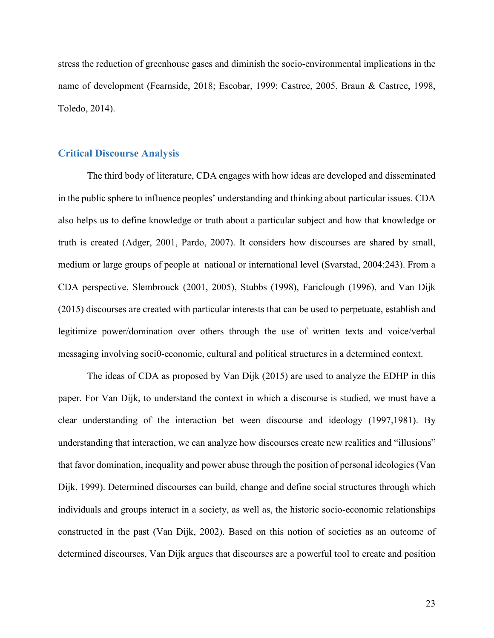stress the reduction of greenhouse gases and diminish the socio-environmental implications in the name of development (Fearnside, 2018; Escobar, 1999; Castree, 2005, Braun & Castree, 1998, Toledo, 2014).

## **Critical Discourse Analysis**

The third body of literature, CDA engages with how ideas are developed and disseminated in the public sphere to influence peoples' understanding and thinking about particular issues. CDA also helps us to define knowledge or truth about a particular subject and how that knowledge or truth is created (Adger, 2001, Pardo, 2007). It considers how discourses are shared by small, medium or large groups of people at national or international level (Svarstad, 2004:243). From a CDA perspective, Slembrouck (2001, 2005), Stubbs (1998), Fariclough (1996), and Van Dijk (2015) discourses are created with particular interests that can be used to perpetuate, establish and legitimize power/domination over others through the use of written texts and voice/verbal messaging involving soci0-economic, cultural and political structures in a determined context.

The ideas of CDA as proposed by Van Dijk (2015) are used to analyze the EDHP in this paper. For Van Dijk, to understand the context in which a discourse is studied, we must have a clear understanding of the interaction bet ween discourse and ideology (1997,1981). By understanding that interaction, we can analyze how discourses create new realities and "illusions" that favor domination, inequality and power abuse through the position of personal ideologies (Van Dijk, 1999). Determined discourses can build, change and define social structures through which individuals and groups interact in a society, as well as, the historic socio-economic relationships constructed in the past (Van Dijk, 2002). Based on this notion of societies as an outcome of determined discourses, Van Dijk argues that discourses are a powerful tool to create and position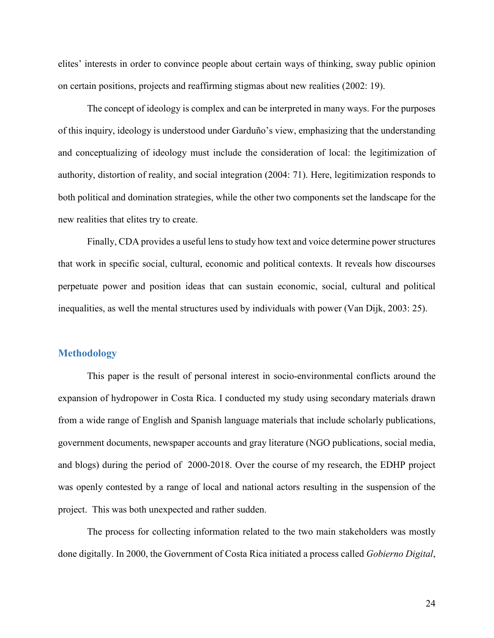elites' interests in order to convince people about certain ways of thinking, sway public opinion on certain positions, projects and reaffirming stigmas about new realities (2002: 19).

The concept of ideology is complex and can be interpreted in many ways. For the purposes of this inquiry, ideology is understood under Garduño's view, emphasizing that the understanding and conceptualizing of ideology must include the consideration of local: the legitimization of authority, distortion of reality, and social integration (2004: 71). Here, legitimization responds to both political and domination strategies, while the other two components set the landscape for the new realities that elites try to create.

Finally, CDA provides a useful lens to study how text and voice determine power structures that work in specific social, cultural, economic and political contexts. It reveals how discourses perpetuate power and position ideas that can sustain economic, social, cultural and political inequalities, as well the mental structures used by individuals with power (Van Dijk, 2003: 25).

## **Methodology**

This paper is the result of personal interest in socio-environmental conflicts around the expansion of hydropower in Costa Rica. I conducted my study using secondary materials drawn from a wide range of English and Spanish language materials that include scholarly publications, government documents, newspaper accounts and gray literature (NGO publications, social media, and blogs) during the period of 2000-2018. Over the course of my research, the EDHP project was openly contested by a range of local and national actors resulting in the suspension of the project. This was both unexpected and rather sudden.

The process for collecting information related to the two main stakeholders was mostly done digitally. In 2000, the Government of Costa Rica initiated a process called *Gobierno Digital*,

24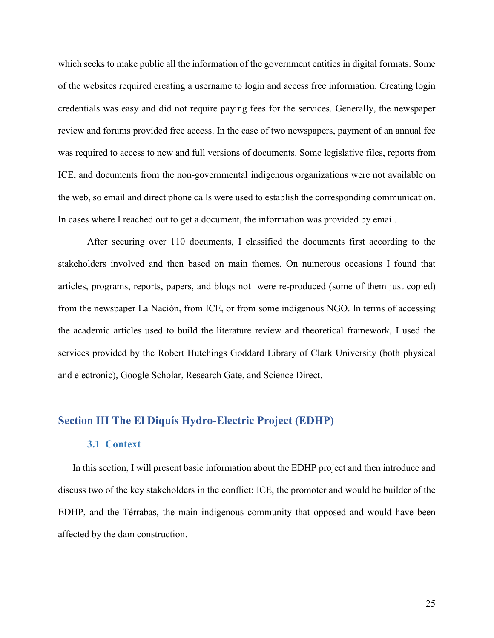which seeks to make public all the information of the government entities in digital formats. Some of the websites required creating a username to login and access free information. Creating login credentials was easy and did not require paying fees for the services. Generally, the newspaper review and forums provided free access. In the case of two newspapers, payment of an annual fee was required to access to new and full versions of documents. Some legislative files, reports from ICE, and documents from the non-governmental indigenous organizations were not available on the web, so email and direct phone calls were used to establish the corresponding communication. In cases where I reached out to get a document, the information was provided by email.

After securing over 110 documents, I classified the documents first according to the stakeholders involved and then based on main themes. On numerous occasions I found that articles, programs, reports, papers, and blogs not were re-produced (some of them just copied) from the newspaper La Nación, from ICE, or from some indigenous NGO. In terms of accessing the academic articles used to build the literature review and theoretical framework, I used the services provided by the Robert Hutchings Goddard Library of Clark University (both physical and electronic), Google Scholar, Research Gate, and Science Direct.

# **Section III The El Diquís Hydro-Electric Project (EDHP)**

## **3.1 Context**

In this section, I will present basic information about the EDHP project and then introduce and discuss two of the key stakeholders in the conflict: ICE, the promoter and would be builder of the EDHP, and the Térrabas, the main indigenous community that opposed and would have been affected by the dam construction.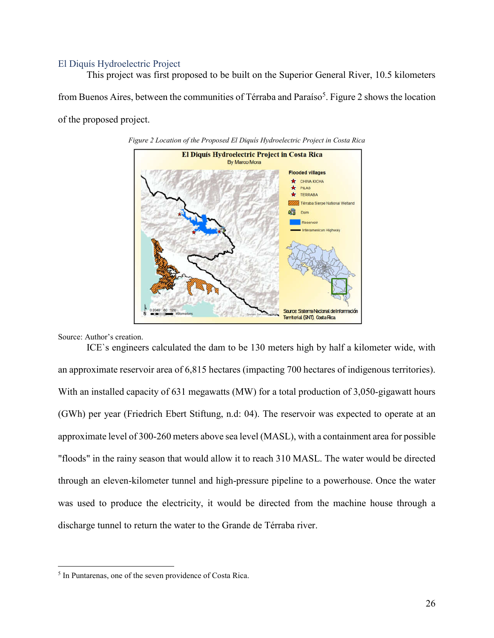### El Diquís Hydroelectric Project

This project was first proposed to be built on the Superior General River, 10.5 kilometers from Buenos Aires, between the communities of Térraba and Paraíso<sup>5</sup>. Figure 2 shows the location of the proposed project.





Source: Author's creation.

ICE`s engineers calculated the dam to be 130 meters high by half a kilometer wide, with an approximate reservoir area of 6,815 hectares (impacting 700 hectares of indigenous territories). With an installed capacity of 631 megawatts (MW) for a total production of 3,050-gigawatt hours (GWh) per year (Friedrich Ebert Stiftung, n.d: 04). The reservoir was expected to operate at an approximate level of 300-260 meters above sea level (MASL), with a containment area for possible "floods" in the rainy season that would allow it to reach 310 MASL. The water would be directed through an eleven-kilometer tunnel and high-pressure pipeline to a powerhouse. Once the water was used to produce the electricity, it would be directed from the machine house through a discharge tunnel to return the water to the Grande de Térraba river.

 <sup>5</sup> In Puntarenas, one of the seven providence of Costa Rica.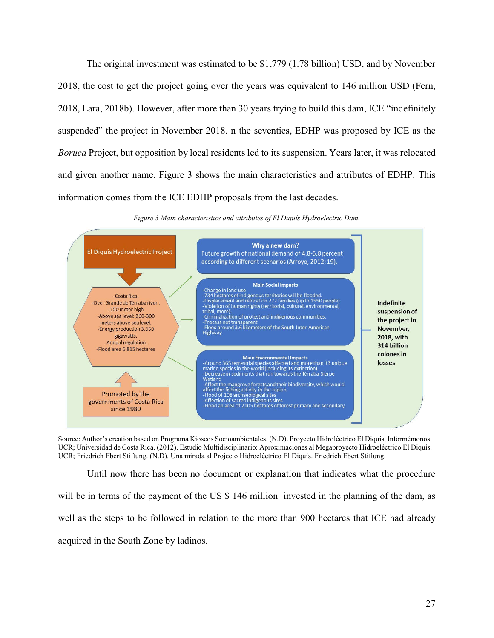The original investment was estimated to be \$1,779 (1.78 billion) USD, and by November 2018, the cost to get the project going over the years was equivalent to 146 million USD (Fern, 2018, Lara, 2018b). However, after more than 30 years trying to build this dam, ICE "indefinitely suspended" the project in November 2018. n the seventies, EDHP was proposed by ICE as the *Boruca* Project, but opposition by local residents led to its suspension. Years later, it was relocated and given another name. Figure 3 shows the main characteristics and attributes of EDHP. This information comes from the ICE EDHP proposals from the last decades.



*Figure 3 Main characteristics and attributes of El Diquís Hydroelectric Dam.*

Source: Author's creation based on Programa Kioscos Socioambientales. (N.D). Proyecto Hidroléctrico El Diquís, Informémonos. UCR; Universidad de Costa Rica. (2012). Estudio Multidisciplinario: Aproximaciones al Megaproyecto Hidroeléctrico El Diquís. UCR; Friedrich Ebert Stiftung. (N.D). Una mirada al Projecto Hidroeléctrico El Diquís. Friedrich Ebert Stiftung.

Until now there has been no document or explanation that indicates what the procedure will be in terms of the payment of the US \$ 146 million invested in the planning of the dam, as well as the steps to be followed in relation to the more than 900 hectares that ICE had already acquired in the South Zone by ladinos.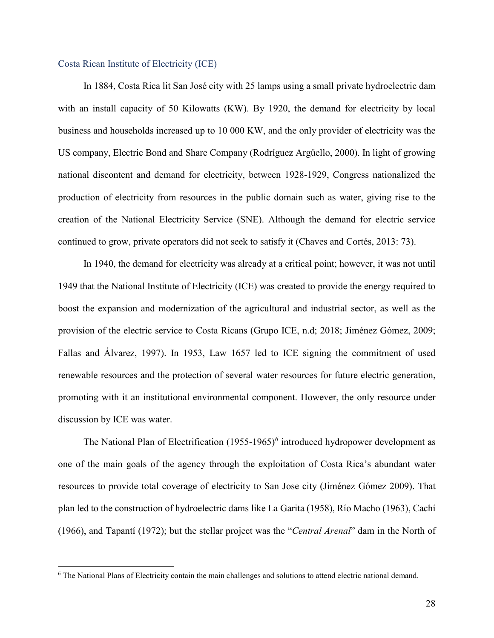## Costa Rican Institute of Electricity (ICE)

In 1884, Costa Rica lit San José city with 25 lamps using a small private hydroelectric dam with an install capacity of 50 Kilowatts (KW). By 1920, the demand for electricity by local business and households increased up to 10 000 KW, and the only provider of electricity was the US company, Electric Bond and Share Company (Rodríguez Argüello, 2000). In light of growing national discontent and demand for electricity, between 1928-1929, Congress nationalized the production of electricity from resources in the public domain such as water, giving rise to the creation of the National Electricity Service (SNE). Although the demand for electric service continued to grow, private operators did not seek to satisfy it (Chaves and Cortés, 2013: 73).

In 1940, the demand for electricity was already at a critical point; however, it was not until 1949 that the National Institute of Electricity (ICE) was created to provide the energy required to boost the expansion and modernization of the agricultural and industrial sector, as well as the provision of the electric service to Costa Ricans (Grupo ICE, n.d; 2018; Jiménez Gómez, 2009; Fallas and Álvarez, 1997). In 1953, Law 1657 led to ICE signing the commitment of used renewable resources and the protection of several water resources for future electric generation, promoting with it an institutional environmental component. However, the only resource under discussion by ICE was water.

The National Plan of Electrification (1955-1965)*<sup>6</sup>* introduced hydropower development as one of the main goals of the agency through the exploitation of Costa Rica's abundant water resources to provide total coverage of electricity to San Jose city (Jiménez Gómez 2009). That plan led to the construction of hydroelectric dams like La Garita (1958), Río Macho (1963), Cachí (1966), and Tapantí (1972); but the stellar project was the "*Central Arenal*" dam in the North of

 <sup>6</sup> The National Plans of Electricity contain the main challenges and solutions to attend electric national demand.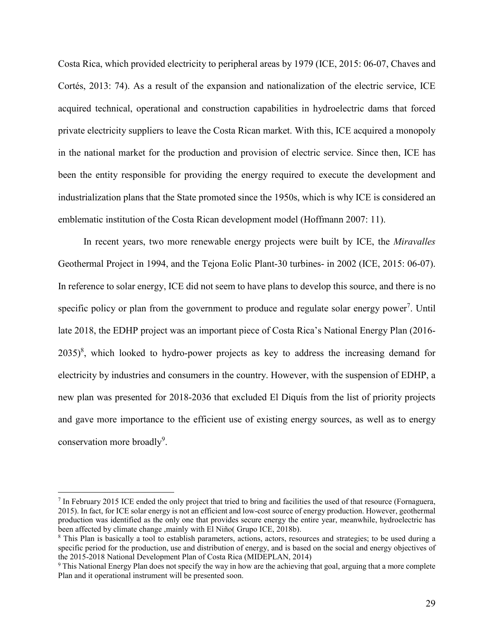Costa Rica, which provided electricity to peripheral areas by 1979 (ICE, 2015: 06-07, Chaves and Cortés, 2013: 74). As a result of the expansion and nationalization of the electric service, ICE acquired technical, operational and construction capabilities in hydroelectric dams that forced private electricity suppliers to leave the Costa Rican market. With this, ICE acquired a monopoly in the national market for the production and provision of electric service. Since then, ICE has been the entity responsible for providing the energy required to execute the development and industrialization plans that the State promoted since the 1950s, which is why ICE is considered an emblematic institution of the Costa Rican development model (Hoffmann 2007: 11).

In recent years, two more renewable energy projects were built by ICE, the *Miravalles*  Geothermal Project in 1994, and the Tejona Eolic Plant-30 turbines- in 2002 (ICE, 2015: 06-07). In reference to solar energy, ICE did not seem to have plans to develop this source, and there is no specific policy or plan from the government to produce and regulate solar energy power<sup>7</sup>. Until late 2018, the EDHP project was an important piece of Costa Rica's National Energy Plan (2016-  $2035)^8$ , which looked to hydro-power projects as key to address the increasing demand for electricity by industries and consumers in the country. However, with the suspension of EDHP, a new plan was presented for 2018-2036 that excluded El Diquís from the list of priority projects and gave more importance to the efficient use of existing energy sources, as well as to energy conservation more broadly<sup>9</sup>.

 <sup>7</sup> In February 2015 ICE ended the only project that tried to bring and facilities the used of that resource (Fornaguera, 2015). In fact, for ICE solar energy is not an efficient and low-cost source of energy production. However, geothermal production was identified as the only one that provides secure energy the entire year, meanwhile, hydroelectric has been affected by climate change ,mainly with El Niño( Grupo ICE, 2018b).

<sup>&</sup>lt;sup>8</sup> This Plan is basically a tool to establish parameters, actions, actors, resources and strategies; to be used during a specific period for the production, use and distribution of energy, and is based on the social and energy objectives of the 2015-2018 National Development Plan of Costa Rica (MIDEPLAN, 2014)

<sup>9</sup> This National Energy Plan does not specify the way in how are the achieving that goal, arguing that a more complete Plan and it operational instrument will be presented soon.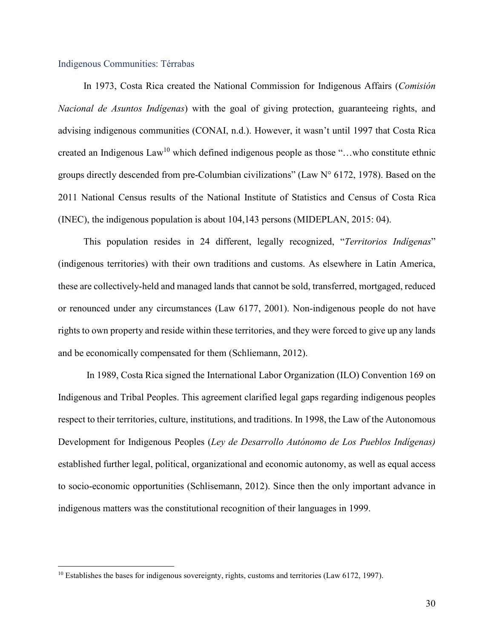## Indigenous Communities: Térrabas

In 1973, Costa Rica created the National Commission for Indigenous Affairs (*Comisión Nacional de Asuntos Indígenas*) with the goal of giving protection, guaranteeing rights, and advising indigenous communities (CONAI, n.d.). However, it wasn't until 1997 that Costa Rica created an Indigenous  $Law^{10}$  which defined indigenous people as those "...who constitute ethnic groups directly descended from pre-Columbian civilizations" (Law N° 6172, 1978). Based on the 2011 National Census results of the National Institute of Statistics and Census of Costa Rica (INEC), the indigenous population is about 104,143 persons (MIDEPLAN, 2015: 04).

This population resides in 24 different, legally recognized, "*Territorios Indígenas*" (indigenous territories) with their own traditions and customs. As elsewhere in Latin America, these are collectively-held and managed lands that cannot be sold, transferred, mortgaged, reduced or renounced under any circumstances (Law 6177, 2001). Non-indigenous people do not have rights to own property and reside within these territories, and they were forced to give up any lands and be economically compensated for them (Schliemann, 2012).

In 1989, Costa Rica signed the International Labor Organization (ILO) Convention 169 on Indigenous and Tribal Peoples. This agreement clarified legal gaps regarding indigenous peoples respect to their territories, culture, institutions, and traditions. In 1998, the Law of the Autonomous Development for Indigenous Peoples (*Ley de Desarrollo Autónomo de Los Pueblos Indígenas)* established further legal, political, organizational and economic autonomy, as well as equal access to socio-economic opportunities (Schlisemann, 2012). Since then the only important advance in indigenous matters was the constitutional recognition of their languages in 1999.

<sup>&</sup>lt;sup>10</sup> Establishes the bases for indigenous sovereignty, rights, customs and territories (Law 6172, 1997).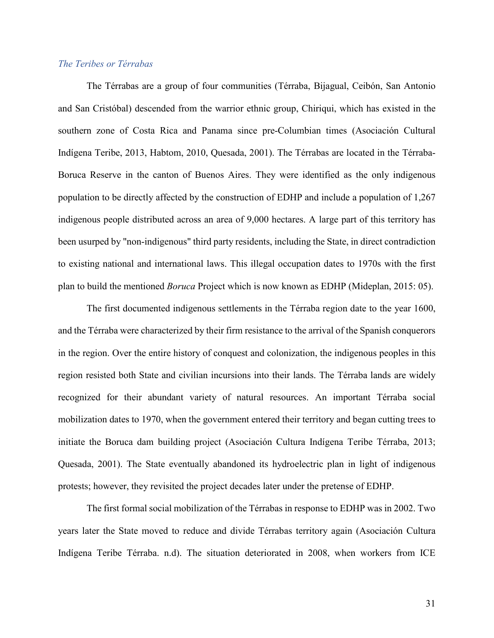#### *The Teribes or Térrabas*

The Térrabas are a group of four communities (Térraba, Bijagual, Ceibón, San Antonio and San Cristóbal) descended from the warrior ethnic group, Chiriqui, which has existed in the southern zone of Costa Rica and Panama since pre-Columbian times (Asociación Cultural Indígena Teribe, 2013, Habtom, 2010, Quesada, 2001). The Térrabas are located in the Térraba-Boruca Reserve in the canton of Buenos Aires. They were identified as the only indigenous population to be directly affected by the construction of EDHP and include a population of 1,267 indigenous people distributed across an area of 9,000 hectares. A large part of this territory has been usurped by "non-indigenous" third party residents, including the State, in direct contradiction to existing national and international laws. This illegal occupation dates to 1970s with the first plan to build the mentioned *Boruca* Project which is now known as EDHP (Mideplan, 2015: 05).

The first documented indigenous settlements in the Térraba region date to the year 1600, and the Térraba were characterized by their firm resistance to the arrival of the Spanish conquerors in the region. Over the entire history of conquest and colonization, the indigenous peoples in this region resisted both State and civilian incursions into their lands. The Térraba lands are widely recognized for their abundant variety of natural resources. An important Térraba social mobilization dates to 1970, when the government entered their territory and began cutting trees to initiate the Boruca dam building project (Asociación Cultura Indígena Teribe Térraba, 2013; Quesada, 2001). The State eventually abandoned its hydroelectric plan in light of indigenous protests; however, they revisited the project decades later under the pretense of EDHP.

The first formal social mobilization of the Térrabas in response to EDHP was in 2002. Two years later the State moved to reduce and divide Térrabas territory again (Asociación Cultura Indígena Teribe Térraba. n.d). The situation deteriorated in 2008, when workers from ICE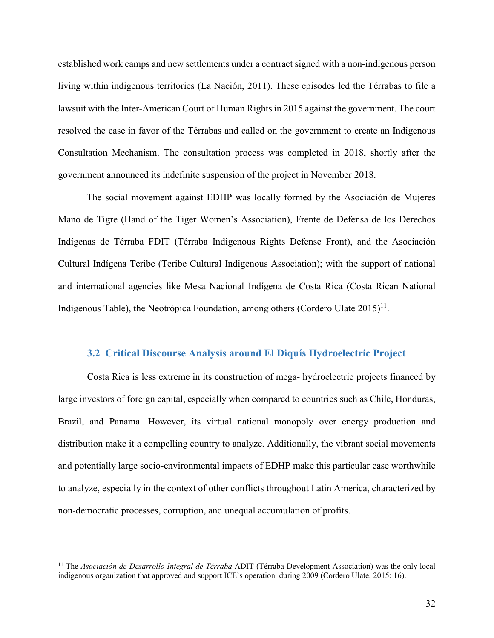established work camps and new settlements under a contract signed with a non-indigenous person living within indigenous territories (La Nación, 2011). These episodes led the Térrabas to file a lawsuit with the Inter-American Court of Human Rights in 2015 against the government. The court resolved the case in favor of the Térrabas and called on the government to create an Indigenous Consultation Mechanism. The consultation process was completed in 2018, shortly after the government announced its indefinite suspension of the project in November 2018.

The social movement against EDHP was locally formed by the Asociación de Mujeres Mano de Tigre (Hand of the Tiger Women's Association), Frente de Defensa de los Derechos Indígenas de Térraba FDIT (Térraba Indigenous Rights Defense Front), and the Asociación Cultural Indígena Teribe (Teribe Cultural Indigenous Association); with the support of national and international agencies like Mesa Nacional Indígena de Costa Rica (Costa Rican National Indigenous Table), the Neotrópica Foundation, among others (Cordero Ulate  $2015$ <sup>11</sup>.

#### **3.2 Critical Discourse Analysis around El Diquís Hydroelectric Project**

Costa Rica is less extreme in its construction of mega- hydroelectric projects financed by large investors of foreign capital, especially when compared to countries such as Chile, Honduras, Brazil, and Panama. However, its virtual national monopoly over energy production and distribution make it a compelling country to analyze. Additionally, the vibrant social movements and potentially large socio-environmental impacts of EDHP make this particular case worthwhile to analyze, especially in the context of other conflicts throughout Latin America, characterized by non-democratic processes, corruption, and unequal accumulation of profits.

 <sup>11</sup> The *Asociación de Desarrollo Integral de Térraba* ADIT (Térraba Development Association) was the only local indigenous organization that approved and support ICE`s operation during 2009 (Cordero Ulate, 2015: 16).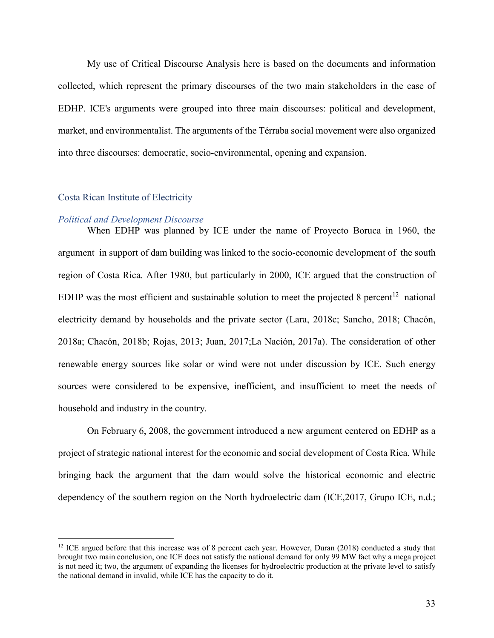My use of Critical Discourse Analysis here is based on the documents and information collected, which represent the primary discourses of the two main stakeholders in the case of EDHP. ICE's arguments were grouped into three main discourses: political and development, market, and environmentalist. The arguments of the Térraba social movement were also organized into three discourses: democratic, socio-environmental, opening and expansion.

#### Costa Rican Institute of Electricity

#### *Political and Development Discourse*

When EDHP was planned by ICE under the name of Proyecto Boruca in 1960, the argument in support of dam building was linked to the socio-economic development of the south region of Costa Rica. After 1980, but particularly in 2000, ICE argued that the construction of EDHP was the most efficient and sustainable solution to meet the projected 8 percent<sup>12</sup> national electricity demand by households and the private sector (Lara, 2018c; Sancho, 2018; Chacón, 2018a; Chacón, 2018b; Rojas, 2013; Juan, 2017;La Nación, 2017a). The consideration of other renewable energy sources like solar or wind were not under discussion by ICE. Such energy sources were considered to be expensive, inefficient, and insufficient to meet the needs of household and industry in the country.

On February 6, 2008, the government introduced a new argument centered on EDHP as a project of strategic national interest for the economic and social development of Costa Rica. While bringing back the argument that the dam would solve the historical economic and electric dependency of the southern region on the North hydroelectric dam (ICE, 2017, Grupo ICE, n.d.;

<sup>&</sup>lt;sup>12</sup> ICE argued before that this increase was of 8 percent each year. However, Duran (2018) conducted a study that brought two main conclusion, one ICE does not satisfy the national demand for only 99 MW fact why a mega project is not need it; two, the argument of expanding the licenses for hydroelectric production at the private level to satisfy the national demand in invalid, while ICE has the capacity to do it.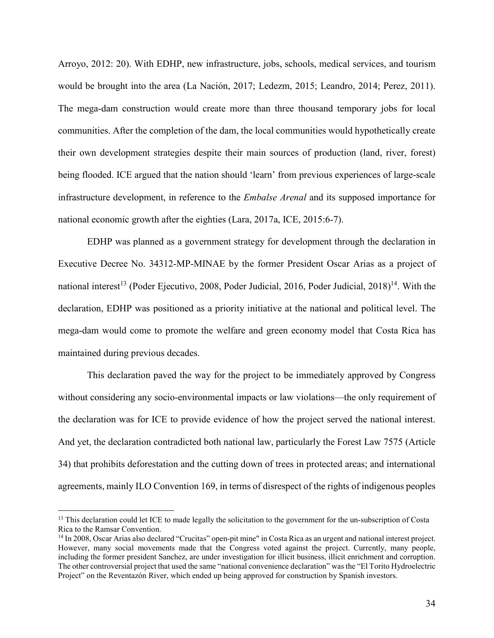Arroyo, 2012: 20). With EDHP, new infrastructure, jobs, schools, medical services, and tourism would be brought into the area (La Nación, 2017; Ledezm, 2015; Leandro, 2014; Perez, 2011). The mega-dam construction would create more than three thousand temporary jobs for local communities. After the completion of the dam, the local communities would hypothetically create their own development strategies despite their main sources of production (land, river, forest) being flooded. ICE argued that the nation should 'learn' from previous experiences of large-scale infrastructure development, in reference to the *Embalse Arenal* and its supposed importance for national economic growth after the eighties (Lara, 2017a, ICE, 2015:6-7).

EDHP was planned as a government strategy for development through the declaration in Executive Decree No. 34312-MP-MINAE by the former President Oscar Arias as a project of national interest<sup>13</sup> (Poder Ejecutivo, 2008, Poder Judicial, 2016, Poder Judicial, 2018)<sup>14</sup>. With the declaration, EDHP was positioned as a priority initiative at the national and political level. The mega-dam would come to promote the welfare and green economy model that Costa Rica has maintained during previous decades.

This declaration paved the way for the project to be immediately approved by Congress without considering any socio-environmental impacts or law violations—the only requirement of the declaration was for ICE to provide evidence of how the project served the national interest. And yet, the declaration contradicted both national law, particularly the Forest Law 7575 (Article 34) that prohibits deforestation and the cutting down of trees in protected areas; and international agreements, mainly ILO Convention 169, in terms of disrespect of the rights of indigenous peoples

 $<sup>13</sup>$  This declaration could let ICE to made legally the solicitation to the government for the un-subscription of Costa</sup> Rica to the Ramsar Convention.

<sup>14</sup> In 2008, Oscar Arias also declared "Crucitas" open-pit mine" in Costa Rica as an urgent and national interest project. However, many social movements made that the Congress voted against the project. Currently, many people, including the former president Sanchez, are under investigation for illicit business, illicit enrichment and corruption. The other controversial project that used the same "national convenience declaration" was the "El Torito Hydroelectric Project" on the Reventazón River, which ended up being approved for construction by Spanish investors.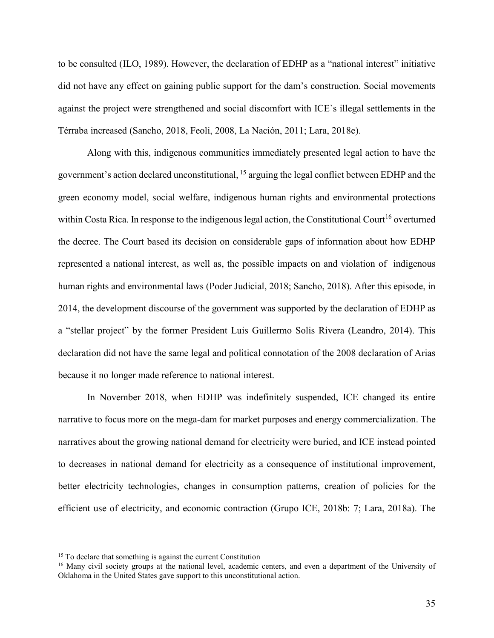to be consulted (ILO, 1989). However, the declaration of EDHP as a "national interest" initiative did not have any effect on gaining public support for the dam's construction. Social movements against the project were strengthened and social discomfort with ICE`s illegal settlements in the Térraba increased (Sancho, 2018, Feoli, 2008, La Nación, 2011; Lara, 2018e).

Along with this, indigenous communities immediately presented legal action to have the government's action declared unconstitutional, <sup>15</sup> arguing the legal conflict between EDHP and the green economy model, social welfare, indigenous human rights and environmental protections within Costa Rica. In response to the indigenous legal action, the Constitutional Court<sup>16</sup> overturned the decree. The Court based its decision on considerable gaps of information about how EDHP represented a national interest, as well as, the possible impacts on and violation of indigenous human rights and environmental laws (Poder Judicial, 2018; Sancho, 2018). After this episode, in 2014, the development discourse of the government was supported by the declaration of EDHP as a "stellar project" by the former President Luis Guillermo Solis Rivera (Leandro, 2014). This declaration did not have the same legal and political connotation of the 2008 declaration of Arias because it no longer made reference to national interest.

In November 2018, when EDHP was indefinitely suspended, ICE changed its entire narrative to focus more on the mega-dam for market purposes and energy commercialization. The narratives about the growing national demand for electricity were buried, and ICE instead pointed to decreases in national demand for electricity as a consequence of institutional improvement, better electricity technologies, changes in consumption patterns, creation of policies for the efficient use of electricity, and economic contraction (Grupo ICE, 2018b: 7; Lara, 2018a). The

<sup>&</sup>lt;sup>15</sup> To declare that something is against the current Constitution

<sup>&</sup>lt;sup>16</sup> Many civil society groups at the national level, academic centers, and even a department of the University of Oklahoma in the United States gave support to this unconstitutional action.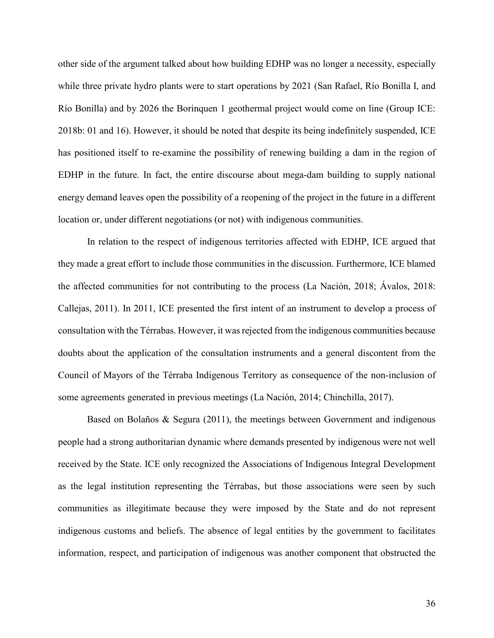other side of the argument talked about how building EDHP was no longer a necessity, especially while three private hydro plants were to start operations by 2021 (San Rafael, Río Bonilla I, and Río Bonilla) and by 2026 the Borinquen 1 geothermal project would come on line (Group ICE: 2018b: 01 and 16). However, it should be noted that despite its being indefinitely suspended, ICE has positioned itself to re-examine the possibility of renewing building a dam in the region of EDHP in the future. In fact, the entire discourse about mega-dam building to supply national energy demand leaves open the possibility of a reopening of the project in the future in a different location or, under different negotiations (or not) with indigenous communities.

In relation to the respect of indigenous territories affected with EDHP, ICE argued that they made a great effort to include those communities in the discussion. Furthermore, ICE blamed the affected communities for not contributing to the process (La Nación, 2018; Ávalos, 2018: Callejas, 2011). In 2011, ICE presented the first intent of an instrument to develop a process of consultation with the Térrabas. However, it was rejected from the indigenous communities because doubts about the application of the consultation instruments and a general discontent from the Council of Mayors of the Térraba Indigenous Territory as consequence of the non-inclusion of some agreements generated in previous meetings (La Nación, 2014; Chinchilla, 2017).

Based on Bolaños & Segura (2011), the meetings between Government and indigenous people had a strong authoritarian dynamic where demands presented by indigenous were not well received by the State. ICE only recognized the Associations of Indigenous Integral Development as the legal institution representing the Térrabas, but those associations were seen by such communities as illegitimate because they were imposed by the State and do not represent indigenous customs and beliefs. The absence of legal entities by the government to facilitates information, respect, and participation of indigenous was another component that obstructed the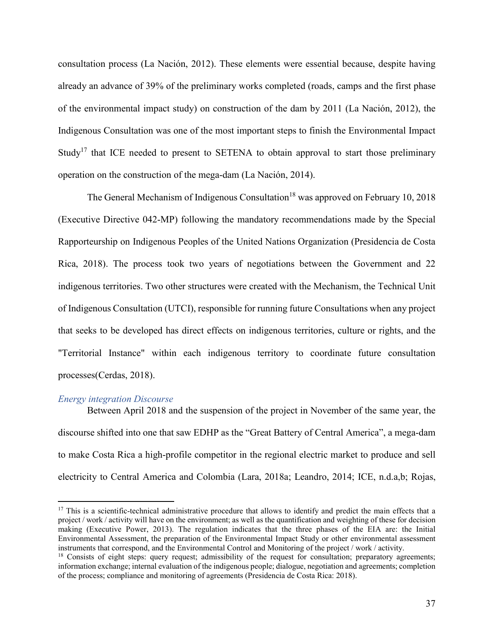consultation process (La Nación, 2012). These elements were essential because, despite having already an advance of 39% of the preliminary works completed (roads, camps and the first phase of the environmental impact study) on construction of the dam by 2011 (La Nación, 2012), the Indigenous Consultation was one of the most important steps to finish the Environmental Impact Study<sup>17</sup> that ICE needed to present to SETENA to obtain approval to start those preliminary operation on the construction of the mega-dam (La Nación, 2014).

The General Mechanism of Indigenous Consultation<sup>18</sup> was approved on February 10, 2018 (Executive Directive 042-MP) following the mandatory recommendations made by the Special Rapporteurship on Indigenous Peoples of the United Nations Organization (Presidencia de Costa Rica, 2018). The process took two years of negotiations between the Government and 22 indigenous territories. Two other structures were created with the Mechanism, the Technical Unit of Indigenous Consultation (UTCI), responsible for running future Consultations when any project that seeks to be developed has direct effects on indigenous territories, culture or rights, and the "Territorial Instance" within each indigenous territory to coordinate future consultation processes(Cerdas, 2018).

### *Energy integration Discourse*

Between April 2018 and the suspension of the project in November of the same year, the discourse shifted into one that saw EDHP as the "Great Battery of Central America", a mega-dam to make Costa Rica a high-profile competitor in the regional electric market to produce and sell electricity to Central America and Colombia (Lara, 2018a; Leandro, 2014; ICE, n.d.a,b; Rojas,

 $17$  This is a scientific-technical administrative procedure that allows to identify and predict the main effects that a project / work / activity will have on the environment; as well as the quantification and weighting of these for decision making (Executive Power, 2013). The regulation indicates that the three phases of the EIA are: the Initial Environmental Assessment, the preparation of the Environmental Impact Study or other environmental assessment instruments that correspond, and the Environmental Control and Monitoring of the project / work / activity.

<sup>&</sup>lt;sup>18</sup> Consists of eight steps: query request; admissibility of the request for consultation; preparatory agreements; information exchange; internal evaluation of the indigenous people; dialogue, negotiation and agreements; completion of the process; compliance and monitoring of agreements (Presidencia de Costa Rica: 2018).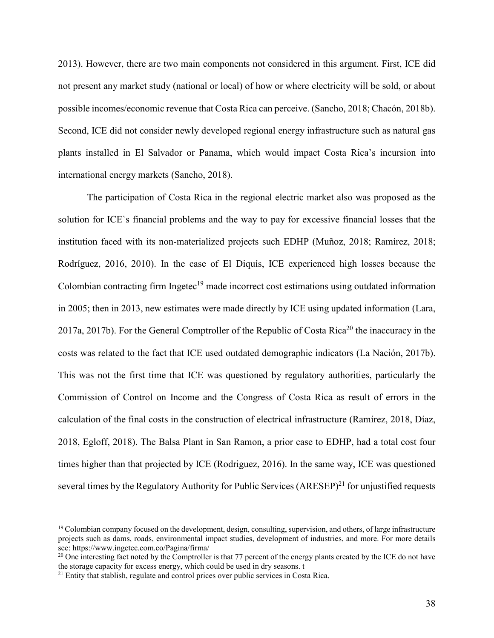2013). However, there are two main components not considered in this argument. First, ICE did not present any market study (national or local) of how or where electricity will be sold, or about possible incomes/economic revenue that Costa Rica can perceive. (Sancho, 2018; Chacón, 2018b). Second, ICE did not consider newly developed regional energy infrastructure such as natural gas plants installed in El Salvador or Panama, which would impact Costa Rica's incursion into international energy markets (Sancho, 2018).

The participation of Costa Rica in the regional electric market also was proposed as the solution for ICE`s financial problems and the way to pay for excessive financial losses that the institution faced with its non-materialized projects such EDHP (Muñoz, 2018; Ramírez, 2018; Rodríguez, 2016, 2010). In the case of El Diquís, ICE experienced high losses because the Colombian contracting firm Ingetec<sup>19</sup> made incorrect cost estimations using outdated information in 2005; then in 2013, new estimates were made directly by ICE using updated information (Lara, 2017a, 2017b). For the General Comptroller of the Republic of Costa Rica<sup>20</sup> the inaccuracy in the costs was related to the fact that ICE used outdated demographic indicators (La Nación, 2017b). This was not the first time that ICE was questioned by regulatory authorities, particularly the Commission of Control on Income and the Congress of Costa Rica as result of errors in the calculation of the final costs in the construction of electrical infrastructure (Ramírez, 2018, Díaz, 2018, Egloff, 2018). The Balsa Plant in San Ramon, a prior case to EDHP, had a total cost four times higher than that projected by ICE (Rodriguez, 2016). In the same way, ICE was questioned several times by the Regulatory Authority for Public Services  $(ARESEP)^{21}$  for unjustified requests

 $19$  Colombian company focused on the development, design, consulting, supervision, and others, of large infrastructure projects such as dams, roads, environmental impact studies, development of industries, and more. For more details see: https://www.ingetec.com.co/Pagina/firma/

<sup>&</sup>lt;sup>20</sup> One interesting fact noted by the Comptroller is that 77 percent of the energy plants created by the ICE do not have the storage capacity for excess energy, which could be used in dry seasons. t

<sup>&</sup>lt;sup>21</sup> Entity that stablish, regulate and control prices over public services in Costa Rica.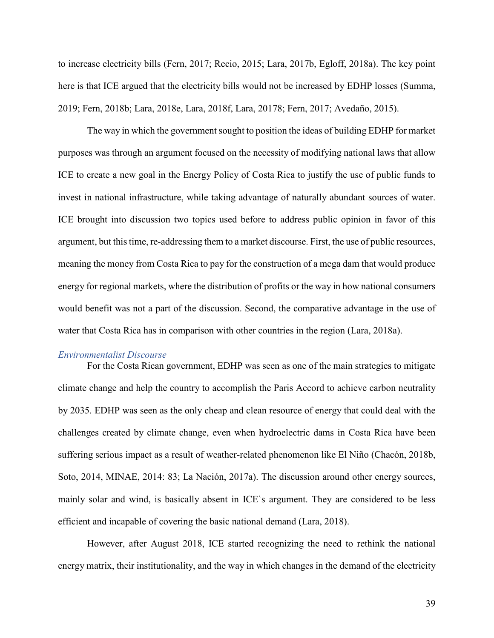to increase electricity bills (Fern, 2017; Recio, 2015; Lara, 2017b, Egloff, 2018a). The key point here is that ICE argued that the electricity bills would not be increased by EDHP losses (Summa, 2019; Fern, 2018b; Lara, 2018e, Lara, 2018f, Lara, 20178; Fern, 2017; Avedaño, 2015).

The way in which the government sought to position the ideas of building EDHP for market purposes was through an argument focused on the necessity of modifying national laws that allow ICE to create a new goal in the Energy Policy of Costa Rica to justify the use of public funds to invest in national infrastructure, while taking advantage of naturally abundant sources of water. ICE brought into discussion two topics used before to address public opinion in favor of this argument, but this time, re-addressing them to a market discourse. First, the use of public resources, meaning the money from Costa Rica to pay for the construction of a mega dam that would produce energy for regional markets, where the distribution of profits or the way in how national consumers would benefit was not a part of the discussion. Second, the comparative advantage in the use of water that Costa Rica has in comparison with other countries in the region (Lara, 2018a).

#### *Environmentalist Discourse*

For the Costa Rican government, EDHP was seen as one of the main strategies to mitigate climate change and help the country to accomplish the Paris Accord to achieve carbon neutrality by 2035. EDHP was seen as the only cheap and clean resource of energy that could deal with the challenges created by climate change, even when hydroelectric dams in Costa Rica have been suffering serious impact as a result of weather-related phenomenon like El Niño (Chacón, 2018b, Soto, 2014, MINAE, 2014: 83; La Nación, 2017a). The discussion around other energy sources, mainly solar and wind, is basically absent in ICE`s argument. They are considered to be less efficient and incapable of covering the basic national demand (Lara, 2018).

However, after August 2018, ICE started recognizing the need to rethink the national energy matrix, their institutionality, and the way in which changes in the demand of the electricity

39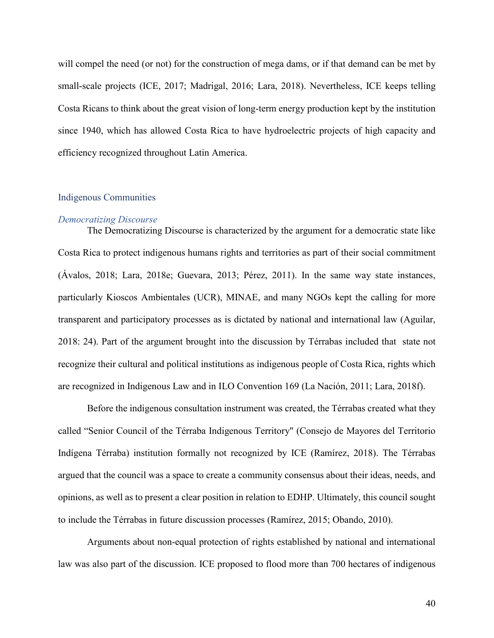will compel the need (or not) for the construction of mega dams, or if that demand can be met by small-scale projects (ICE, 2017; Madrigal, 2016; Lara, 2018). Nevertheless, ICE keeps telling Costa Ricans to think about the great vision of long-term energy production kept by the institution since 1940, which has allowed Costa Rica to have hydroelectric projects of high capacity and efficiency recognized throughout Latin America.

## Indigenous Communities

#### *Democratizing Discourse*

The Democratizing Discourse is characterized by the argument for a democratic state like Costa Rica to protect indigenous humans rights and territories as part of their social commitment (Ávalos, 2018; Lara, 2018e; Guevara, 2013; Pérez, 2011). In the same way state instances, particularly Kioscos Ambientales (UCR), MINAE, and many NGOs kept the calling for more transparent and participatory processes as is dictated by national and international law (Aguilar, 2018: 24). Part of the argument brought into the discussion by Térrabas included that state not recognize their cultural and political institutions as indigenous people of Costa Rica, rights which are recognized in Indigenous Law and in ILO Convention 169 (La Nación, 2011; Lara, 2018f).

Before the indigenous consultation instrument was created, the Térrabas created what they called "Senior Council of the Térraba Indigenous Territory" (Consejo de Mayores del Territorio Indígena Térraba) institution formally not recognized by ICE (Ramírez, 2018). The Térrabas argued that the council was a space to create a community consensus about their ideas, needs, and opinions, as well as to present a clear position in relation to EDHP. Ultimately, this council sought to include the Térrabas in future discussion processes (Ramírez, 2015; Obando, 2010).

Arguments about non-equal protection of rights established by national and international law was also part of the discussion. ICE proposed to flood more than 700 hectares of indigenous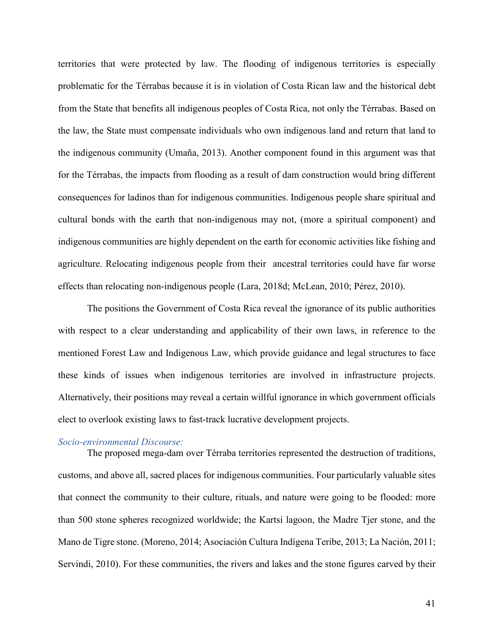territories that were protected by law. The flooding of indigenous territories is especially problematic for the Térrabas because it is in violation of Costa Rican law and the historical debt from the State that benefits all indigenous peoples of Costa Rica, not only the Térrabas. Based on the law, the State must compensate individuals who own indigenous land and return that land to the indigenous community (Umaña, 2013). Another component found in this argument was that for the Térrabas, the impacts from flooding as a result of dam construction would bring different consequences for ladinos than for indigenous communities. Indigenous people share spiritual and cultural bonds with the earth that non-indigenous may not, (more a spiritual component) and indigenous communities are highly dependent on the earth for economic activities like fishing and agriculture. Relocating indigenous people from their ancestral territories could have far worse effects than relocating non-indigenous people (Lara, 2018d; McLean, 2010; Pérez, 2010).

The positions the Government of Costa Rica reveal the ignorance of its public authorities with respect to a clear understanding and applicability of their own laws, in reference to the mentioned Forest Law and Indigenous Law, which provide guidance and legal structures to face these kinds of issues when indigenous territories are involved in infrastructure projects. Alternatively, their positions may reveal a certain willful ignorance in which government officials elect to overlook existing laws to fast-track lucrative development projects.

### *Socio-environmental Discourse:*

The proposed mega-dam over Térraba territories represented the destruction of traditions, customs, and above all, sacred places for indigenous communities. Four particularly valuable sites that connect the community to their culture, rituals, and nature were going to be flooded: more than 500 stone spheres recognized worldwide; the Kartsi lagoon, the Madre Tjer stone, and the Mano de Tigre stone. (Moreno, 2014; Asociación Cultura Indígena Teribe, 2013; La Nación, 2011; Servindi, 2010). For these communities, the rivers and lakes and the stone figures carved by their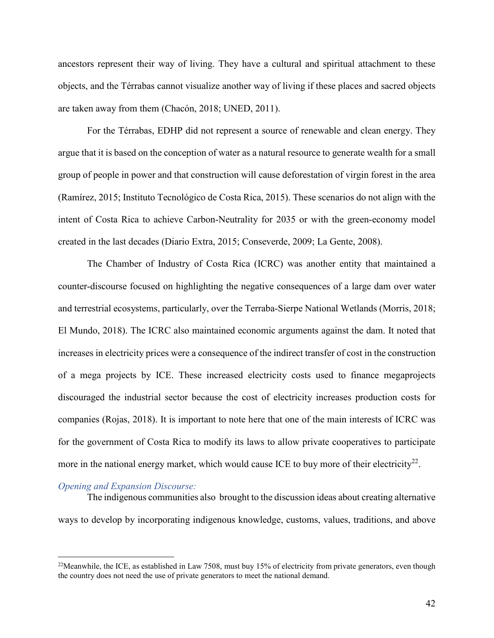ancestors represent their way of living. They have a cultural and spiritual attachment to these objects, and the Térrabas cannot visualize another way of living if these places and sacred objects are taken away from them (Chacón, 2018; UNED, 2011).

For the Térrabas, EDHP did not represent a source of renewable and clean energy. They argue that it is based on the conception of water as a natural resource to generate wealth for a small group of people in power and that construction will cause deforestation of virgin forest in the area (Ramírez, 2015; Instituto Tecnológico de Costa Rica, 2015). These scenarios do not align with the intent of Costa Rica to achieve Carbon-Neutrality for 2035 or with the green-economy model created in the last decades (Diario Extra, 2015; Conseverde, 2009; La Gente, 2008).

The Chamber of Industry of Costa Rica (ICRC) was another entity that maintained a counter-discourse focused on highlighting the negative consequences of a large dam over water and terrestrial ecosystems, particularly, over the Terraba-Sierpe National Wetlands (Morris, 2018; El Mundo, 2018). The ICRC also maintained economic arguments against the dam. It noted that increases in electricity prices were a consequence of the indirect transfer of cost in the construction of a mega projects by ICE. These increased electricity costs used to finance megaprojects discouraged the industrial sector because the cost of electricity increases production costs for companies (Rojas, 2018). It is important to note here that one of the main interests of ICRC was for the government of Costa Rica to modify its laws to allow private cooperatives to participate more in the national energy market, which would cause ICE to buy more of their electricity<sup>22</sup>.

#### *Opening and Expansion Discourse:*

The indigenous communities also brought to the discussion ideas about creating alternative ways to develop by incorporating indigenous knowledge, customs, values, traditions, and above

<sup>&</sup>lt;sup>22</sup>Meanwhile, the ICE, as established in Law 7508, must buy 15% of electricity from private generators, even though the country does not need the use of private generators to meet the national demand.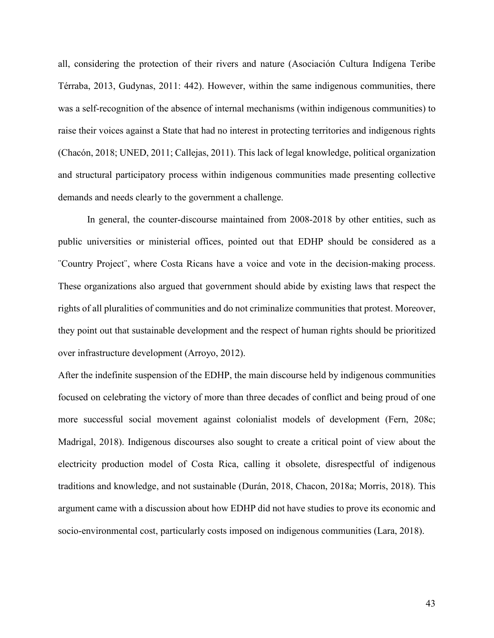all, considering the protection of their rivers and nature (Asociación Cultura Indígena Teribe Térraba, 2013, Gudynas, 2011: 442). However, within the same indigenous communities, there was a self-recognition of the absence of internal mechanisms (within indigenous communities) to raise their voices against a State that had no interest in protecting territories and indigenous rights (Chacón, 2018; UNED, 2011; Callejas, 2011). This lack of legal knowledge, political organization and structural participatory process within indigenous communities made presenting collective demands and needs clearly to the government a challenge.

In general, the counter-discourse maintained from 2008-2018 by other entities, such as public universities or ministerial offices, pointed out that EDHP should be considered as a ¨Country Project¨, where Costa Ricans have a voice and vote in the decision-making process. These organizations also argued that government should abide by existing laws that respect the rights of all pluralities of communities and do not criminalize communities that protest. Moreover, they point out that sustainable development and the respect of human rights should be prioritized over infrastructure development (Arroyo, 2012).

After the indefinite suspension of the EDHP, the main discourse held by indigenous communities focused on celebrating the victory of more than three decades of conflict and being proud of one more successful social movement against colonialist models of development (Fern, 208c; Madrigal, 2018). Indigenous discourses also sought to create a critical point of view about the electricity production model of Costa Rica, calling it obsolete, disrespectful of indigenous traditions and knowledge, and not sustainable (Durán, 2018, Chacon, 2018a; Morris, 2018). This argument came with a discussion about how EDHP did not have studies to prove its economic and socio-environmental cost, particularly costs imposed on indigenous communities (Lara, 2018).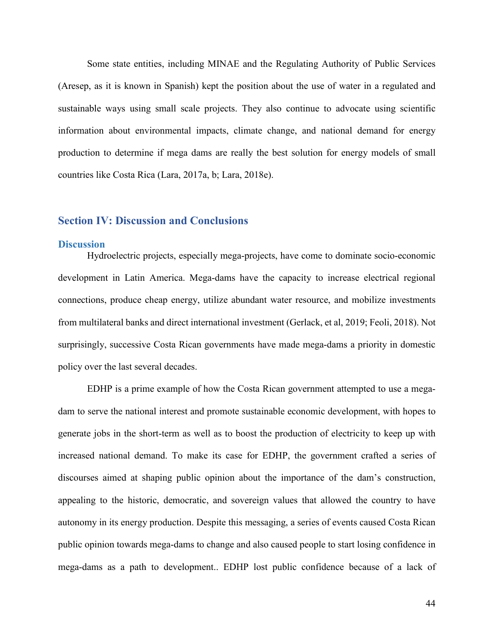Some state entities, including MINAE and the Regulating Authority of Public Services (Aresep, as it is known in Spanish) kept the position about the use of water in a regulated and sustainable ways using small scale projects. They also continue to advocate using scientific information about environmental impacts, climate change, and national demand for energy production to determine if mega dams are really the best solution for energy models of small countries like Costa Rica (Lara, 2017a, b; Lara, 2018e).

## **Section IV: Discussion and Conclusions**

### **Discussion**

Hydroelectric projects, especially mega-projects, have come to dominate socio-economic development in Latin America. Mega-dams have the capacity to increase electrical regional connections, produce cheap energy, utilize abundant water resource, and mobilize investments from multilateral banks and direct international investment (Gerlack, et al, 2019; Feoli, 2018). Not surprisingly, successive Costa Rican governments have made mega-dams a priority in domestic policy over the last several decades.

EDHP is a prime example of how the Costa Rican government attempted to use a megadam to serve the national interest and promote sustainable economic development, with hopes to generate jobs in the short-term as well as to boost the production of electricity to keep up with increased national demand. To make its case for EDHP, the government crafted a series of discourses aimed at shaping public opinion about the importance of the dam's construction, appealing to the historic, democratic, and sovereign values that allowed the country to have autonomy in its energy production. Despite this messaging, a series of events caused Costa Rican public opinion towards mega-dams to change and also caused people to start losing confidence in mega-dams as a path to development.. EDHP lost public confidence because of a lack of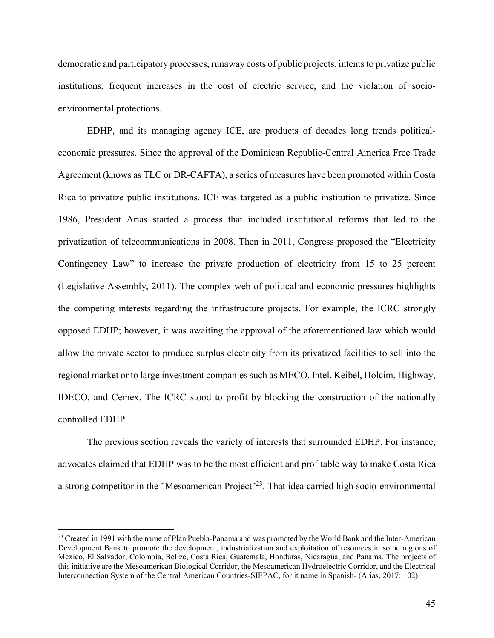democratic and participatory processes, runaway costs of public projects, intents to privatize public institutions, frequent increases in the cost of electric service, and the violation of socioenvironmental protections.

EDHP, and its managing agency ICE, are products of decades long trends politicaleconomic pressures. Since the approval of the Dominican Republic-Central America Free Trade Agreement (knows as TLC or DR-CAFTA), a series of measures have been promoted within Costa Rica to privatize public institutions. ICE was targeted as a public institution to privatize. Since 1986, President Arias started a process that included institutional reforms that led to the privatization of telecommunications in 2008. Then in 2011, Congress proposed the "Electricity Contingency Law" to increase the private production of electricity from 15 to 25 percent (Legislative Assembly, 2011). The complex web of political and economic pressures highlights the competing interests regarding the infrastructure projects. For example, the ICRC strongly opposed EDHP; however, it was awaiting the approval of the aforementioned law which would allow the private sector to produce surplus electricity from its privatized facilities to sell into the regional market or to large investment companies such as MECO, Intel, Keibel, Holcim, Highway, IDECO, and Cemex. The ICRC stood to profit by blocking the construction of the nationally controlled EDHP.

The previous section reveals the variety of interests that surrounded EDHP. For instance, advocates claimed that EDHP was to be the most efficient and profitable way to make Costa Rica a strong competitor in the "Mesoamerican Project"23. That idea carried high socio-environmental

<sup>&</sup>lt;sup>23</sup> Created in 1991 with the name of Plan Puebla-Panama and was promoted by the World Bank and the Inter-American Development Bank to promote the development, industrialization and exploitation of resources in some regions of Mexico, El Salvador, Colombia, Belize, Costa Rica, Guatemala, Honduras, Nicaragua, and Panama. The projects of this initiative are the Mesoamerican Biological Corridor, the Mesoamerican Hydroelectric Corridor, and the Electrical Interconnection System of the Central American Countries-SIEPAC, for it name in Spanish- (Arias, 2017: 102).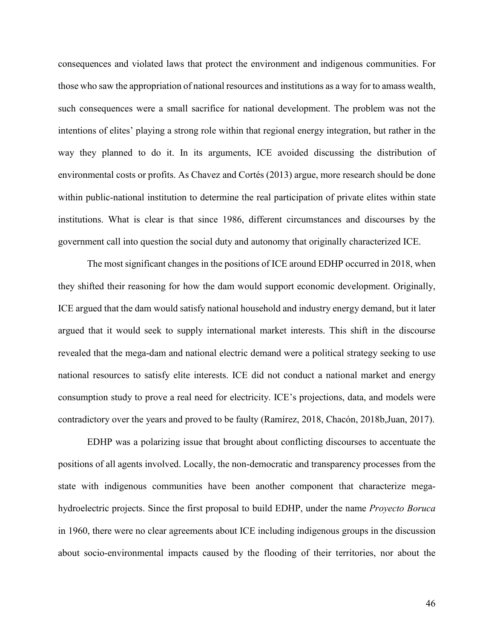consequences and violated laws that protect the environment and indigenous communities. For those who saw the appropriation of national resources and institutions as a way for to amass wealth, such consequences were a small sacrifice for national development. The problem was not the intentions of elites' playing a strong role within that regional energy integration, but rather in the way they planned to do it. In its arguments, ICE avoided discussing the distribution of environmental costs or profits. As Chavez and Cortés (2013) argue, more research should be done within public-national institution to determine the real participation of private elites within state institutions. What is clear is that since 1986, different circumstances and discourses by the government call into question the social duty and autonomy that originally characterized ICE.

The most significant changes in the positions of ICE around EDHP occurred in 2018, when they shifted their reasoning for how the dam would support economic development. Originally, ICE argued that the dam would satisfy national household and industry energy demand, but it later argued that it would seek to supply international market interests. This shift in the discourse revealed that the mega-dam and national electric demand were a political strategy seeking to use national resources to satisfy elite interests. ICE did not conduct a national market and energy consumption study to prove a real need for electricity. ICE's projections, data, and models were contradictory over the years and proved to be faulty (Ramírez, 2018, Chacón, 2018b,Juan, 2017).

EDHP was a polarizing issue that brought about conflicting discourses to accentuate the positions of all agents involved. Locally, the non-democratic and transparency processes from the state with indigenous communities have been another component that characterize megahydroelectric projects. Since the first proposal to build EDHP, under the name *Proyecto Boruca*  in 1960, there were no clear agreements about ICE including indigenous groups in the discussion about socio-environmental impacts caused by the flooding of their territories, nor about the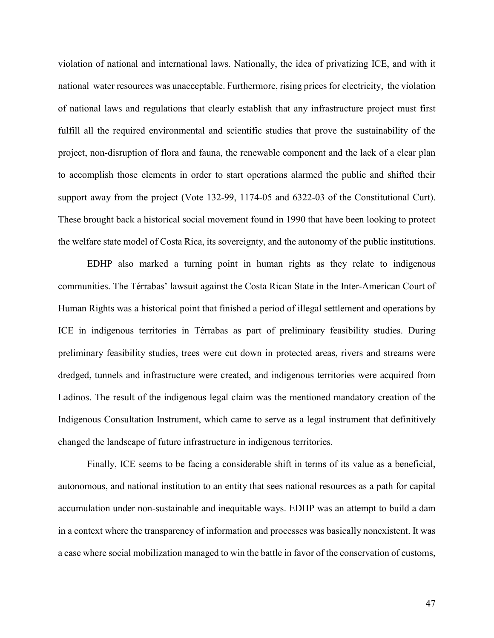violation of national and international laws. Nationally, the idea of privatizing ICE, and with it national water resources was unacceptable. Furthermore, rising prices for electricity, the violation of national laws and regulations that clearly establish that any infrastructure project must first fulfill all the required environmental and scientific studies that prove the sustainability of the project, non-disruption of flora and fauna, the renewable component and the lack of a clear plan to accomplish those elements in order to start operations alarmed the public and shifted their support away from the project (Vote 132-99, 1174-05 and 6322-03 of the Constitutional Curt). These brought back a historical social movement found in 1990 that have been looking to protect the welfare state model of Costa Rica, its sovereignty, and the autonomy of the public institutions.

EDHP also marked a turning point in human rights as they relate to indigenous communities. The Térrabas' lawsuit against the Costa Rican State in the Inter-American Court of Human Rights was a historical point that finished a period of illegal settlement and operations by ICE in indigenous territories in Térrabas as part of preliminary feasibility studies. During preliminary feasibility studies, trees were cut down in protected areas, rivers and streams were dredged, tunnels and infrastructure were created, and indigenous territories were acquired from Ladinos. The result of the indigenous legal claim was the mentioned mandatory creation of the Indigenous Consultation Instrument, which came to serve as a legal instrument that definitively changed the landscape of future infrastructure in indigenous territories.

Finally, ICE seems to be facing a considerable shift in terms of its value as a beneficial, autonomous, and national institution to an entity that sees national resources as a path for capital accumulation under non-sustainable and inequitable ways. EDHP was an attempt to build a dam in a context where the transparency of information and processes was basically nonexistent. It was a case where social mobilization managed to win the battle in favor of the conservation of customs,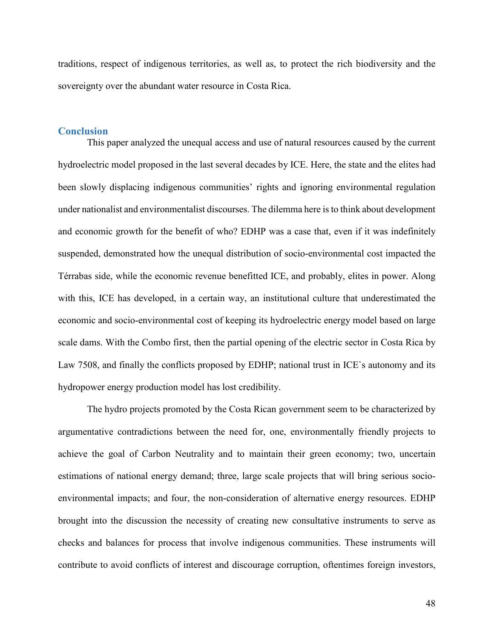traditions, respect of indigenous territories, as well as, to protect the rich biodiversity and the sovereignty over the abundant water resource in Costa Rica.

### **Conclusion**

This paper analyzed the unequal access and use of natural resources caused by the current hydroelectric model proposed in the last several decades by ICE. Here, the state and the elites had been slowly displacing indigenous communities' rights and ignoring environmental regulation under nationalist and environmentalist discourses. The dilemma here is to think about development and economic growth for the benefit of who? EDHP was a case that, even if it was indefinitely suspended, demonstrated how the unequal distribution of socio-environmental cost impacted the Térrabas side, while the economic revenue benefitted ICE, and probably, elites in power. Along with this, ICE has developed, in a certain way, an institutional culture that underestimated the economic and socio-environmental cost of keeping its hydroelectric energy model based on large scale dams. With the Combo first, then the partial opening of the electric sector in Costa Rica by Law 7508, and finally the conflicts proposed by EDHP; national trust in ICE`s autonomy and its hydropower energy production model has lost credibility.

The hydro projects promoted by the Costa Rican government seem to be characterized by argumentative contradictions between the need for, one, environmentally friendly projects to achieve the goal of Carbon Neutrality and to maintain their green economy; two, uncertain estimations of national energy demand; three, large scale projects that will bring serious socioenvironmental impacts; and four, the non-consideration of alternative energy resources. EDHP brought into the discussion the necessity of creating new consultative instruments to serve as checks and balances for process that involve indigenous communities. These instruments will contribute to avoid conflicts of interest and discourage corruption, oftentimes foreign investors,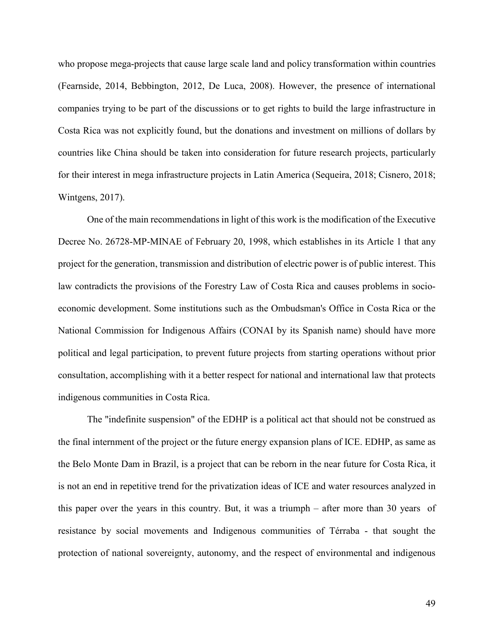who propose mega-projects that cause large scale land and policy transformation within countries (Fearnside, 2014, Bebbington, 2012, De Luca, 2008). However, the presence of international companies trying to be part of the discussions or to get rights to build the large infrastructure in Costa Rica was not explicitly found, but the donations and investment on millions of dollars by countries like China should be taken into consideration for future research projects, particularly for their interest in mega infrastructure projects in Latin America (Sequeira, 2018; Cisnero, 2018; Wintgens, 2017).

One of the main recommendations in light of this work is the modification of the Executive Decree No. 26728-MP-MINAE of February 20, 1998, which establishes in its Article 1 that any project for the generation, transmission and distribution of electric power is of public interest. This law contradicts the provisions of the Forestry Law of Costa Rica and causes problems in socioeconomic development. Some institutions such as the Ombudsman's Office in Costa Rica or the National Commission for Indigenous Affairs (CONAI by its Spanish name) should have more political and legal participation, to prevent future projects from starting operations without prior consultation, accomplishing with it a better respect for national and international law that protects indigenous communities in Costa Rica.

The "indefinite suspension" of the EDHP is a political act that should not be construed as the final internment of the project or the future energy expansion plans of ICE. EDHP, as same as the Belo Monte Dam in Brazil, is a project that can be reborn in the near future for Costa Rica, it is not an end in repetitive trend for the privatization ideas of ICE and water resources analyzed in this paper over the years in this country. But, it was a triumph – after more than 30 years of resistance by social movements and Indigenous communities of Térraba - that sought the protection of national sovereignty, autonomy, and the respect of environmental and indigenous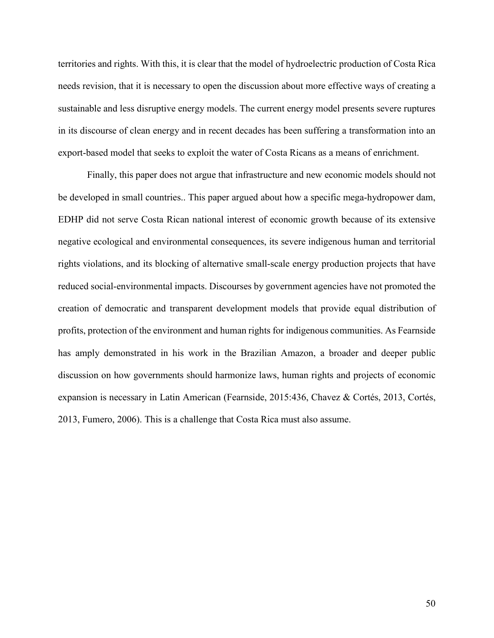territories and rights. With this, it is clear that the model of hydroelectric production of Costa Rica needs revision, that it is necessary to open the discussion about more effective ways of creating a sustainable and less disruptive energy models. The current energy model presents severe ruptures in its discourse of clean energy and in recent decades has been suffering a transformation into an export-based model that seeks to exploit the water of Costa Ricans as a means of enrichment.

Finally, this paper does not argue that infrastructure and new economic models should not be developed in small countries.. This paper argued about how a specific mega-hydropower dam, EDHP did not serve Costa Rican national interest of economic growth because of its extensive negative ecological and environmental consequences, its severe indigenous human and territorial rights violations, and its blocking of alternative small-scale energy production projects that have reduced social-environmental impacts. Discourses by government agencies have not promoted the creation of democratic and transparent development models that provide equal distribution of profits, protection of the environment and human rights for indigenous communities. As Fearnside has amply demonstrated in his work in the Brazilian Amazon, a broader and deeper public discussion on how governments should harmonize laws, human rights and projects of economic expansion is necessary in Latin American (Fearnside, 2015:436, Chavez & Cortés, 2013, Cortés, 2013, Fumero, 2006). This is a challenge that Costa Rica must also assume.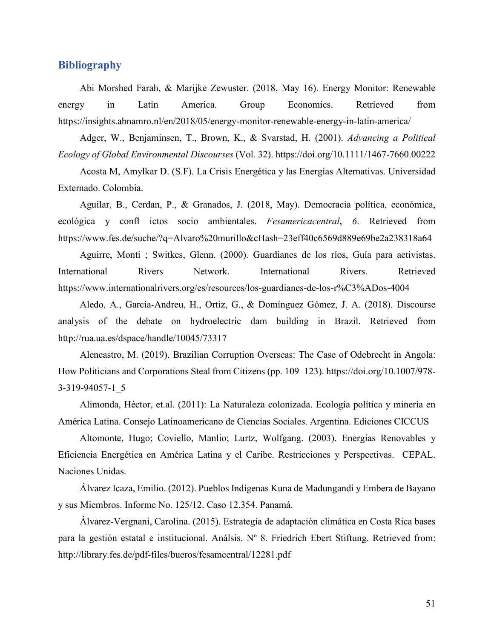# **Bibliography**

Abi Morshed Farah, & Marijke Zewuster. (2018, May 16). Energy Monitor: Renewable energy in Latin America. Group Economics. Retrieved from https://insights.abnamro.nl/en/2018/05/energy-monitor-renewable-energy-in-latin-america/

Adger, W., Benjaminsen, T., Brown, K., & Svarstad, H. (2001). *Advancing a Political Ecology of Global Environmental Discourses* (Vol. 32). https://doi.org/10.1111/1467-7660.00222

Acosta M, Amylkar D. (S.F). La Crisis Energética y las Energías Alternativas. Universidad Externado. Colombia.

Aguilar, B., Cerdan, P., & Granados, J. (2018, May). Democracia política, económica, ecológica y confl ictos socio ambientales. *Fesamericacentral*, *6*. Retrieved from https://www.fes.de/suche/?q=Alvaro%20murillo&cHash=23eff40c6569d889e69be2a238318a64

Aguirre, Monti ; Switkes, Glenn. (2000). Guardianes de los ríos, Guía para activistas. International Rivers Network. International Rivers. Retrieved https://www.internationalrivers.org/es/resources/los-guardianes-de-los-r%C3%ADos-4004

Aledo, A., García-Andreu, H., Ortiz, G., & Domínguez Gómez, J. A. (2018). Discourse analysis of the debate on hydroelectric dam building in Brazil. Retrieved from http://rua.ua.es/dspace/handle/10045/73317

Alencastro, M. (2019). Brazilian Corruption Overseas: The Case of Odebrecht in Angola: How Politicians and Corporations Steal from Citizens (pp. 109–123). https://doi.org/10.1007/978- 3-319-94057-1\_5

Alimonda, Héctor, et.al. (2011): La Naturaleza colonizada. Ecología política y minería en América Latina. Consejo Latinoamericano de Ciencias Sociales. Argentina. Ediciones CICCUS

Altomonte, Hugo; Coviello, Manlio; Lurtz, Wolfgang. (2003). Energías Renovables y Eficiencia Energética en América Latina y el Caribe. Restricciones y Perspectivas. CEPAL. Naciones Unidas.

Álvarez Icaza, Emilio. (2012). Pueblos Indígenas Kuna de Madungandi y Embera de Bayano y sus Miembros. Informe No. 125/12. Caso 12.354. Panamá.

Álvarez-Vergnani, Carolina. (2015). Estrategia de adaptación climática en Costa Rica bases para la gestión estatal e institucional. Análsis. Nº 8. Friedrich Ebert Stiftung. Retrieved from: http://library.fes.de/pdf-files/bueros/fesamcentral/12281.pdf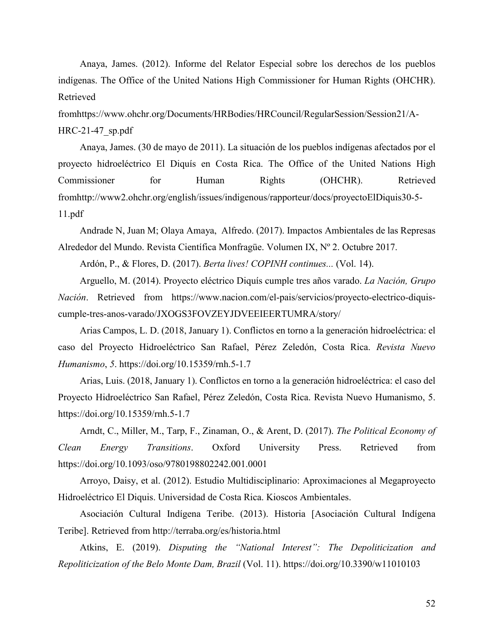Anaya, James. (2012). Informe del Relator Especial sobre los derechos de los pueblos indígenas. The Office of the United Nations High Commissioner for Human Rights (OHCHR). Retrieved

fromhttps://www.ohchr.org/Documents/HRBodies/HRCouncil/RegularSession/Session21/A-HRC-21-47\_sp.pdf

Anaya, James. (30 de mayo de 2011). La situación de los pueblos indígenas afectados por el proyecto hidroeléctrico El Diquís en Costa Rica. The Office of the United Nations High Commissioner for Human Rights (OHCHR). Retrieved fromhttp://www2.ohchr.org/english/issues/indigenous/rapporteur/docs/proyectoElDiquis30-5- 11.pdf

Andrade N, Juan M; Olaya Amaya, Alfredo. (2017). Impactos Ambientales de las Represas Alrededor del Mundo. Revista Científica Monfragüe. Volumen IX, Nº 2. Octubre 2017.

Ardón, P., & Flores, D. (2017). *Berta lives! COPINH continues...* (Vol. 14).

Arguello, M. (2014). Proyecto eléctrico Diquís cumple tres años varado. *La Nación, Grupo Nación*. Retrieved from https://www.nacion.com/el-pais/servicios/proyecto-electrico-diquiscumple-tres-anos-varado/JXOGS3FOVZEYJDVEEIEERTUMRA/story/

Arias Campos, L. D. (2018, January 1). Conflictos en torno a la generación hidroeléctrica: el caso del Proyecto Hidroeléctrico San Rafael, Pérez Zeledón, Costa Rica. *Revista Nuevo Humanismo*, *5*. https://doi.org/10.15359/rnh.5-1.7

Arias, Luis. (2018, January 1). Conflictos en torno a la generación hidroeléctrica: el caso del Proyecto Hidroeléctrico San Rafael, Pérez Zeledón, Costa Rica. Revista Nuevo Humanismo, 5. https://doi.org/10.15359/rnh.5-1.7

Arndt, C., Miller, M., Tarp, F., Zinaman, O., & Arent, D. (2017). *The Political Economy of Clean Energy Transitions*. Oxford University Press. Retrieved from https://doi.org/10.1093/oso/9780198802242.001.0001

Arroyo, Daisy, et al. (2012). Estudio Multidisciplinario: Aproximaciones al Megaproyecto Hidroeléctrico El Diquis. Universidad de Costa Rica. Kioscos Ambientales.

Asociación Cultural Indígena Teribe. (2013). Historia [Asociación Cultural Indígena Teribe]. Retrieved from http://terraba.org/es/historia.html

Atkins, E. (2019). *Disputing the "National Interest": The Depoliticization and Repoliticization of the Belo Monte Dam, Brazil* (Vol. 11). https://doi.org/10.3390/w11010103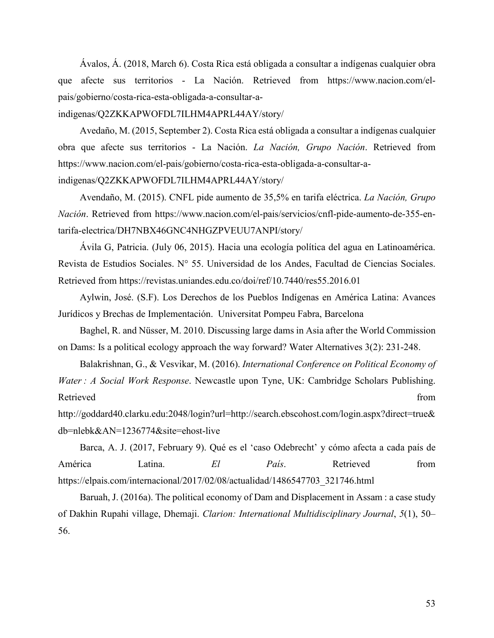Ávalos, Á. (2018, March 6). Costa Rica está obligada a consultar a indígenas cualquier obra que afecte sus territorios - La Nación. Retrieved from https://www.nacion.com/elpais/gobierno/costa-rica-esta-obligada-a-consultar-a-

indigenas/Q2ZKKAPWOFDL7ILHM4APRL44AY/story/

Avedaño, M. (2015, September 2). Costa Rica está obligada a consultar a indígenas cualquier obra que afecte sus territorios - La Nación. *La Nación, Grupo Nación*. Retrieved from https://www.nacion.com/el-pais/gobierno/costa-rica-esta-obligada-a-consultar-a-

indigenas/Q2ZKKAPWOFDL7ILHM4APRL44AY/story/

Avendaño, M. (2015). CNFL pide aumento de 35,5% en tarifa eléctrica. *La Nación, Grupo Nación*. Retrieved from https://www.nacion.com/el-pais/servicios/cnfl-pide-aumento-de-355-entarifa-electrica/DH7NBX46GNC4NHGZPVEUU7ANPI/story/

Ávila G, Patricia. (July 06, 2015). Hacia una ecología política del agua en Latinoamérica. Revista de Estudios Sociales. N° 55. Universidad de los Andes, Facultad de Ciencias Sociales. Retrieved from https://revistas.uniandes.edu.co/doi/ref/10.7440/res55.2016.01

Aylwin, José. (S.F). Los Derechos de los Pueblos Indígenas en América Latina: Avances Jurídicos y Brechas de Implementación. Universitat Pompeu Fabra, Barcelona

Baghel, R. and Nüsser, M. 2010. Discussing large dams in Asia after the World Commission on Dams: Is a political ecology approach the way forward? Water Alternatives 3(2): 231-248.

Balakrishnan, G., & Vesvikar, M. (2016). *International Conference on Political Economy of Water : A Social Work Response*. Newcastle upon Tyne, UK: Cambridge Scholars Publishing. Retrieved from the state of the state of the state of the state of the state of the state of the state of the state of the state of the state of the state of the state of the state of the state of the state of the state of

http://goddard40.clarku.edu:2048/login?url=http://search.ebscohost.com/login.aspx?direct=true& db=nlebk&AN=1236774&site=ehost-live

Barca, A. J. (2017, February 9). Qué es el 'caso Odebrecht' y cómo afecta a cada país de América Latina. *El País*. Retrieved from https://elpais.com/internacional/2017/02/08/actualidad/1486547703\_321746.html

Baruah, J. (2016a). The political economy of Dam and Displacement in Assam : a case study of Dakhin Rupahi village, Dhemaji. *Clarion: International Multidisciplinary Journal*, *5*(1), 50– 56.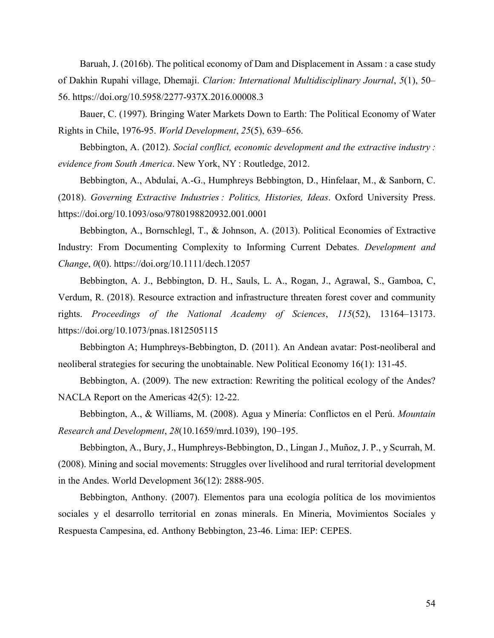Baruah, J. (2016b). The political economy of Dam and Displacement in Assam : a case study of Dakhin Rupahi village, Dhemaji. *Clarion: International Multidisciplinary Journal*, *5*(1), 50– 56. https://doi.org/10.5958/2277-937X.2016.00008.3

Bauer, C. (1997). Bringing Water Markets Down to Earth: The Political Economy of Water Rights in Chile, 1976-95. *World Development*, *25*(5), 639–656.

Bebbington, A. (2012). *Social conflict, economic development and the extractive industry : evidence from South America*. New York, NY : Routledge, 2012.

Bebbington, A., Abdulai, A.-G., Humphreys Bebbington, D., Hinfelaar, M., & Sanborn, C. (2018). *Governing Extractive Industries : Politics, Histories, Ideas*. Oxford University Press. https://doi.org/10.1093/oso/9780198820932.001.0001

Bebbington, A., Bornschlegl, T., & Johnson, A. (2013). Political Economies of Extractive Industry: From Documenting Complexity to Informing Current Debates. *Development and Change*, *0*(0). https://doi.org/10.1111/dech.12057

Bebbington, A. J., Bebbington, D. H., Sauls, L. A., Rogan, J., Agrawal, S., Gamboa, C, Verdum, R. (2018). Resource extraction and infrastructure threaten forest cover and community rights. *Proceedings of the National Academy of Sciences*, *115*(52), 13164–13173. https://doi.org/10.1073/pnas.1812505115

Bebbington A; Humphreys-Bebbington, D. (2011). An Andean avatar: Post-neoliberal and neoliberal strategies for securing the unobtainable. New Political Economy 16(1): 131-45.

Bebbington, A. (2009). The new extraction: Rewriting the political ecology of the Andes? NACLA Report on the Americas 42(5): 12-22.

Bebbington, A., & Williams, M. (2008). Agua y Minería: Conflictos en el Perú. *Mountain Research and Development*, *28*(10.1659/mrd.1039), 190–195.

Bebbington, A., Bury, J., Humphreys-Bebbington, D., Lingan J., Muñoz, J. P., y Scurrah, M. (2008). Mining and social movements: Struggles over livelihood and rural territorial development in the Andes. World Development 36(12): 2888-905.

Bebbington, Anthony. (2007). Elementos para una ecología política de los movimientos sociales y el desarrollo territorial en zonas minerals. En Mineria, Movimientos Sociales y Respuesta Campesina, ed. Anthony Bebbington, 23-46. Lima: IEP: CEPES.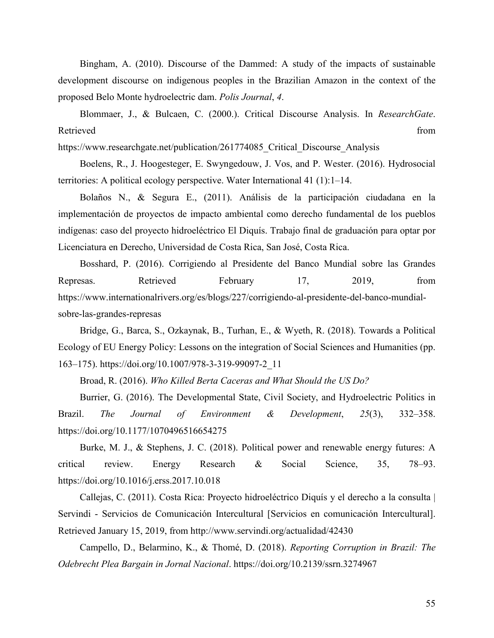Bingham, A. (2010). Discourse of the Dammed: A study of the impacts of sustainable development discourse on indigenous peoples in the Brazilian Amazon in the context of the proposed Belo Monte hydroelectric dam. *Polis Journal*, *4*.

Blommaer, J., & Bulcaen, C. (2000.). Critical Discourse Analysis. In *ResearchGate*. Retrieved from the state of the state of the state of the state of the state of the state of the state of the state of the state of the state of the state of the state of the state of the state of the state of the state of

https://www.researchgate.net/publication/261774085 Critical Discourse Analysis

Boelens, R., J. Hoogesteger, E. Swyngedouw, J. Vos, and P. Wester. (2016). Hydrosocial territories: A political ecology perspective. Water International 41 (1):1–14.

Bolaños N., & Segura E., (2011). Análisis de la participación ciudadana en la implementación de proyectos de impacto ambiental como derecho fundamental de los pueblos indígenas: caso del proyecto hidroeléctrico El Diquís. Trabajo final de graduación para optar por Licenciatura en Derecho, Universidad de Costa Rica, San José, Costa Rica.

Bosshard, P. (2016). Corrigiendo al Presidente del Banco Mundial sobre las Grandes Represas. Retrieved February 17, 2019, from https://www.internationalrivers.org/es/blogs/227/corrigiendo-al-presidente-del-banco-mundialsobre-las-grandes-represas

Bridge, G., Barca, S., Ozkaynak, B., Turhan, E., & Wyeth, R. (2018). Towards a Political Ecology of EU Energy Policy: Lessons on the integration of Social Sciences and Humanities (pp. 163–175). https://doi.org/10.1007/978-3-319-99097-2\_11

Broad, R. (2016). *Who Killed Berta Caceras and What Should the US Do?*

Burrier, G. (2016). The Developmental State, Civil Society, and Hydroelectric Politics in Brazil. *The Journal of Environment & Development*, *25*(3), 332–358. https://doi.org/10.1177/1070496516654275

Burke, M. J., & Stephens, J. C. (2018). Political power and renewable energy futures: A critical review. Energy Research & Social Science, 35, 78–93. https://doi.org/10.1016/j.erss.2017.10.018

Callejas, C. (2011). Costa Rica: Proyecto hidroeléctrico Diquís y el derecho a la consulta | Servindi - Servicios de Comunicación Intercultural [Servicios en comunicación Intercultural]. Retrieved January 15, 2019, from http://www.servindi.org/actualidad/42430

Campello, D., Belarmino, K., & Thomé, D. (2018). *Reporting Corruption in Brazil: The Odebrecht Plea Bargain in Jornal Nacional*. https://doi.org/10.2139/ssrn.3274967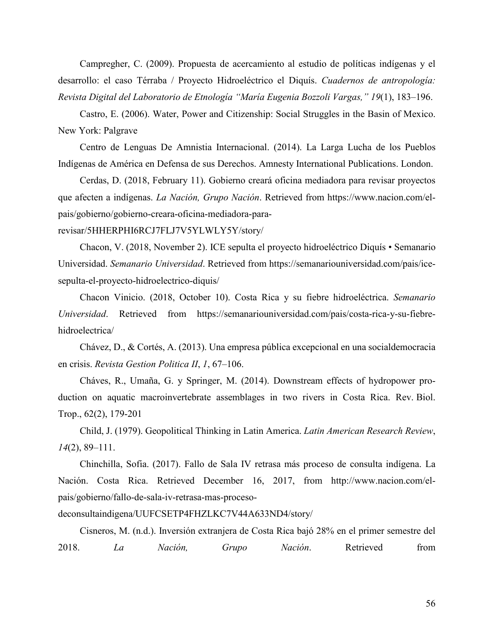Campregher, C. (2009). Propuesta de acercamiento al estudio de políticas indígenas y el desarrollo: el caso Térraba / Proyecto Hidroeléctrico el Diquís. *Cuadernos de antropología: Revista Digital del Laboratorio de Etnología "María Eugenia Bozzoli Vargas," 19*(1), 183–196.

Castro, E. (2006). Water, Power and Citizenship: Social Struggles in the Basin of Mexico. New York: Palgrave

Centro de Lenguas De Amnistia Internacional. (2014). La Larga Lucha de los Pueblos Indígenas de América en Defensa de sus Derechos. Amnesty International Publications. London.

Cerdas, D. (2018, February 11). Gobierno creará oficina mediadora para revisar proyectos que afecten a indígenas. *La Nación, Grupo Nación*. Retrieved from https://www.nacion.com/elpais/gobierno/gobierno-creara-oficina-mediadora-para-

revisar/5HHERPHI6RCJ7FLJ7V5YLWLY5Y/story/

Chacon, V. (2018, November 2). ICE sepulta el proyecto hidroeléctrico Diquís • Semanario Universidad. *Semanario Universidad*. Retrieved from https://semanariouniversidad.com/pais/icesepulta-el-proyecto-hidroelectrico-diquis/

Chacon Vinicio. (2018, October 10). Costa Rica y su fiebre hidroeléctrica. *Semanario Universidad*. Retrieved from https://semanariouniversidad.com/pais/costa-rica-y-su-fiebrehidroelectrica/

Chávez, D., & Cortés, A. (2013). Una empresa pública excepcional en una socialdemocracia en crisis. *Revista Gestion Politica II*, *1*, 67–106.

Cháves, R., Umaña, G. y Springer, M. (2014). Downstream effects of hydropower production on aquatic macroinvertebrate assemblages in two rivers in Costa Rica. Rev. Biol. Trop., 62(2), 179-201

Child, J. (1979). Geopolitical Thinking in Latin America. *Latin American Research Review*, *14*(2), 89–111.

Chinchilla, Sofia. (2017). Fallo de Sala IV retrasa más proceso de consulta indígena. La Nación. Costa Rica. Retrieved December 16, 2017, from http://www.nacion.com/elpais/gobierno/fallo-de-sala-iv-retrasa-mas-proceso-

deconsultaindigena/UUFCSETP4FHZLKC7V44A633ND4/story/

Cisneros, M. (n.d.). Inversión extranjera de Costa Rica bajó 28% en el primer semestre del 2018. *La Nación, Grupo Nación*. Retrieved from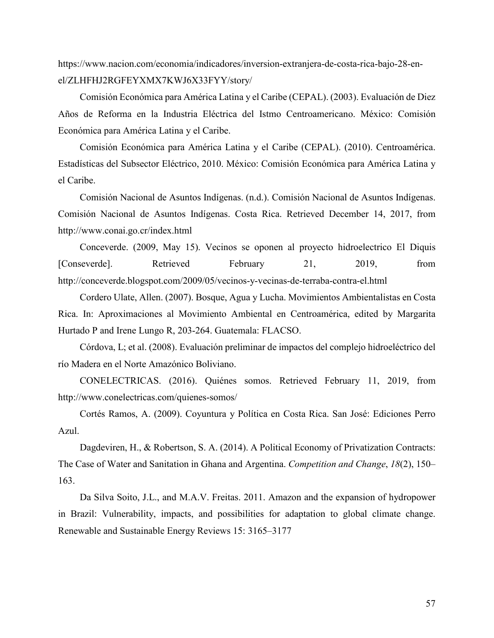https://www.nacion.com/economia/indicadores/inversion-extranjera-de-costa-rica-bajo-28-enel/ZLHFHJ2RGFEYXMX7KWJ6X33FYY/story/

Comisión Económica para América Latina y el Caribe (CEPAL). (2003). Evaluación de Diez Años de Reforma en la Industria Eléctrica del Istmo Centroamericano. México: Comisión Económica para América Latina y el Caribe.

Comisión Económica para América Latina y el Caribe (CEPAL). (2010). Centroamérica. Estadísticas del Subsector Eléctrico, 2010. México: Comisión Económica para América Latina y el Caribe.

Comisión Nacional de Asuntos Indígenas. (n.d.). Comisión Nacional de Asuntos Indígenas. Comisión Nacional de Asuntos Indígenas. Costa Rica. Retrieved December 14, 2017, from http://www.conai.go.cr/index.html

Conceverde. (2009, May 15). Vecinos se oponen al proyecto hidroelectrico El Diquis [Conseverde]. Retrieved February 21, 2019, from http://conceverde.blogspot.com/2009/05/vecinos-y-vecinas-de-terraba-contra-el.html

Cordero Ulate, Allen. (2007). Bosque, Agua y Lucha. Movimientos Ambientalistas en Costa Rica. In: Aproximaciones al Movimiento Ambiental en Centroamérica, edited by Margarita Hurtado P and Irene Lungo R, 203-264. Guatemala: FLACSO.

Córdova, L; et al. (2008). Evaluación preliminar de impactos del complejo hidroeléctrico del río Madera en el Norte Amazónico Boliviano.

CONELECTRICAS. (2016). Quiénes somos. Retrieved February 11, 2019, from http://www.conelectricas.com/quienes-somos/

Cortés Ramos, A. (2009). Coyuntura y Política en Costa Rica. San José: Ediciones Perro Azul.

Dagdeviren, H., & Robertson, S. A. (2014). A Political Economy of Privatization Contracts: The Case of Water and Sanitation in Ghana and Argentina. *Competition and Change*, *18*(2), 150– 163.

Da Silva Soito, J.L., and M.A.V. Freitas. 2011. Amazon and the expansion of hydropower in Brazil: Vulnerability, impacts, and possibilities for adaptation to global climate change. Renewable and Sustainable Energy Reviews 15: 3165–3177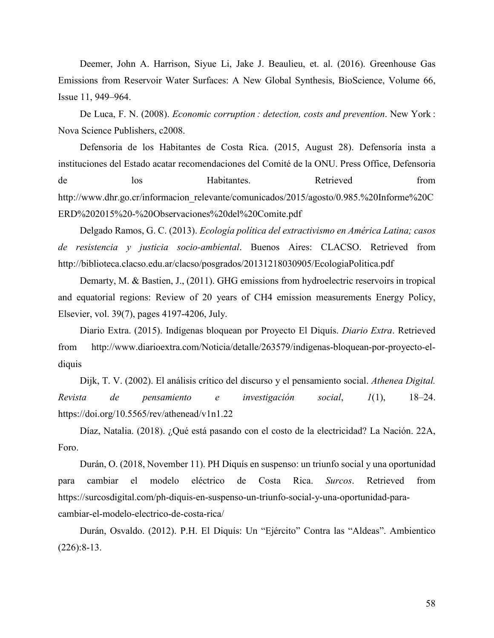Deemer, John A. Harrison, Siyue Li, Jake J. Beaulieu, et. al. (2016). Greenhouse Gas Emissions from Reservoir Water Surfaces: A New Global Synthesis, BioScience, Volume 66, Issue 11, 949–964.

De Luca, F. N. (2008). *Economic corruption : detection, costs and prevention*. New York : Nova Science Publishers, c2008.

Defensoria de los Habitantes de Costa Rica. (2015, August 28). Defensoría insta a instituciones del Estado acatar recomendaciones del Comité de la ONU. Press Office, Defensoria de los Habitantes. Retrieved from http://www.dhr.go.cr/informacion\_relevante/comunicados/2015/agosto/0.985.%20Informe%20C ERD%202015%20-%20Observaciones%20del%20Comite.pdf

Delgado Ramos, G. C. (2013). *Ecología política del extractivismo en América Latina; casos de resistencia y justicia socio-ambiental*. Buenos Aires: CLACSO. Retrieved from http://biblioteca.clacso.edu.ar/clacso/posgrados/20131218030905/EcologiaPolitica.pdf

Demarty, M. & Bastien, J., (2011). GHG emissions from hydroelectric reservoirs in tropical and equatorial regions: Review of 20 years of CH4 emission measurements Energy Policy, Elsevier, vol. 39(7), pages 4197-4206, July.

Diario Extra. (2015). Indígenas bloquean por Proyecto El Diquís. *Diario Extra*. Retrieved from http://www.diarioextra.com/Noticia/detalle/263579/indigenas-bloquean-por-proyecto-eldiquis

Dijk, T. V. (2002). El análisis crítico del discurso y el pensamiento social. *Athenea Digital. Revista de pensamiento e investigación social*, *1*(1), 18–24. https://doi.org/10.5565/rev/athenead/v1n1.22

Díaz, Natalia. (2018). ¿Qué está pasando con el costo de la electricidad? La Nación. 22A, Foro.

Durán, O. (2018, November 11). PH Diquís en suspenso: un triunfo social y una oportunidad para cambiar el modelo eléctrico de Costa Rica. *Surcos*. Retrieved from https://surcosdigital.com/ph-diquis-en-suspenso-un-triunfo-social-y-una-oportunidad-paracambiar-el-modelo-electrico-de-costa-rica/

Durán, Osvaldo. (2012). P.H. El Diquís: Un "Ejército" Contra las "Aldeas". Ambientico (226):8-13.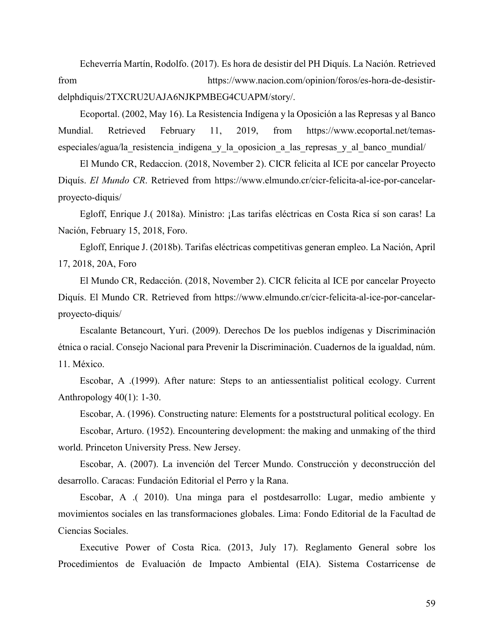Echeverría Martín, Rodolfo. (2017). Es hora de desistir del PH Diquís. La Nación. Retrieved from https://www.nacion.com/opinion/foros/es-hora-de-desistirdelphdiquis/2TXCRU2UAJA6NJKPMBEG4CUAPM/story/.

Ecoportal. (2002, May 16). La Resistencia Indígena y la Oposición a las Represas y al Banco Mundial. Retrieved February 11, 2019, from https://www.ecoportal.net/temasespeciales/agua/la resistencia indigena y la oposicion a las represas y al banco mundial/

El Mundo CR, Redaccion. (2018, November 2). CICR felicita al ICE por cancelar Proyecto Diquís. *El Mundo CR*. Retrieved from https://www.elmundo.cr/cicr-felicita-al-ice-por-cancelarproyecto-diquis/

Egloff, Enrique J.( 2018a). Ministro: ¡Las tarifas eléctricas en Costa Rica sí son caras! La Nación, February 15, 2018, Foro.

Egloff, Enrique J. (2018b). Tarifas eléctricas competitivas generan empleo. La Nación, April 17, 2018, 20A, Foro

El Mundo CR, Redacción. (2018, November 2). CICR felicita al ICE por cancelar Proyecto Diquís. El Mundo CR. Retrieved from https://www.elmundo.cr/cicr-felicita-al-ice-por-cancelarproyecto-diquis/

Escalante Betancourt, Yuri. (2009). Derechos De los pueblos indígenas y Discriminación étnica o racial. Consejo Nacional para Prevenir la Discriminación. Cuadernos de la igualdad, núm. 11. México.

Escobar, A .(1999). After nature: Steps to an antiessentialist political ecology. Current Anthropology 40(1): 1-30.

Escobar, A. (1996). Constructing nature: Elements for a poststructural political ecology. En Escobar, Arturo. (1952). Encountering development: the making and unmaking of the third world. Princeton University Press. New Jersey.

Escobar, A. (2007). La invención del Tercer Mundo. Construcción y deconstrucción del desarrollo. Caracas: Fundación Editorial el Perro y la Rana.

Escobar, A .( 2010). Una minga para el postdesarrollo: Lugar, medio ambiente y movimientos sociales en las transformaciones globales. Lima: Fondo Editorial de la Facultad de Ciencias Sociales.

Executive Power of Costa Rica. (2013, July 17). Reglamento General sobre los Procedimientos de Evaluación de Impacto Ambiental (EIA). Sistema Costarricense de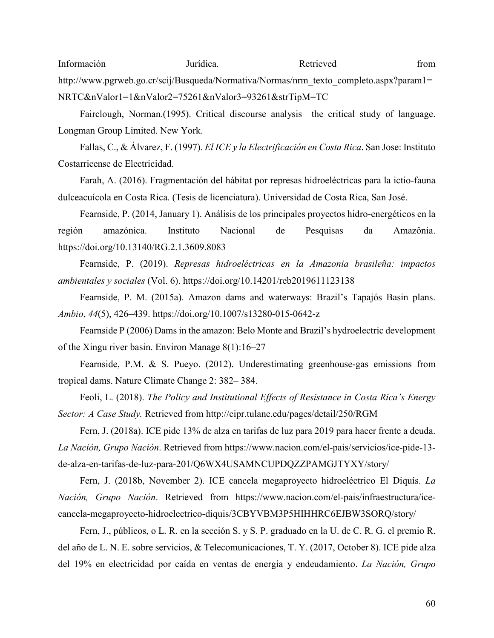Información Jurídica. Retrieved from http://www.pgrweb.go.cr/scij/Busqueda/Normativa/Normas/nrm\_texto\_completo.aspx?param1= NRTC&nValor1=1&nValor2=75261&nValor3=93261&strTipM=TC

Fairclough, Norman.(1995). Critical discourse analysis the critical study of language. Longman Group Limited. New York.

Fallas, C., & Álvarez, F. (1997). *El ICE y la Electrificación en Costa Rica*. San Jose: Instituto Costarricense de Electricidad.

Farah, A. (2016). Fragmentación del hábitat por represas hidroeléctricas para la ictio-fauna dulceacuícola en Costa Rica. (Tesis de licenciatura). Universidad de Costa Rica, San José.

Fearnside, P. (2014, January 1). Análisis de los principales proyectos hidro-energéticos en la región amazónica. Instituto Nacional de Pesquisas da Amazônia. https://doi.org/10.13140/RG.2.1.3609.8083

Fearnside, P. (2019). *Represas hidroeléctricas en la Amazonia brasileña: impactos ambientales y sociales* (Vol. 6). https://doi.org/10.14201/reb2019611123138

Fearnside, P. M. (2015a). Amazon dams and waterways: Brazil's Tapajós Basin plans. *Ambio*, *44*(5), 426–439. https://doi.org/10.1007/s13280-015-0642-z

Fearnside P (2006) Dams in the amazon: Belo Monte and Brazil's hydroelectric development of the Xingu river basin. Environ Manage 8(1):16–27

Fearnside, P.M. & S. Pueyo. (2012). Underestimating greenhouse-gas emissions from tropical dams. Nature Climate Change 2: 382– 384.

Feoli, L. (2018). *The Policy and Institutional Effects of Resistance in Costa Rica's Energy Sector: A Case Study.* Retrieved from http://cipr.tulane.edu/pages/detail/250/RGM

Fern, J. (2018a). ICE pide 13% de alza en tarifas de luz para 2019 para hacer frente a deuda. *La Nación, Grupo Nación*. Retrieved from https://www.nacion.com/el-pais/servicios/ice-pide-13 de-alza-en-tarifas-de-luz-para-201/Q6WX4USAMNCUPDQZZPAMGJTYXY/story/

Fern, J. (2018b, November 2). ICE cancela megaproyecto hidroeléctrico El Diquís. *La Nación, Grupo Nación*. Retrieved from https://www.nacion.com/el-pais/infraestructura/icecancela-megaproyecto-hidroelectrico-diquis/3CBYVBM3P5HIHHRC6EJBW3SORQ/story/

Fern, J., públicos, o L. R. en la sección S. y S. P. graduado en la U. de C. R. G. el premio R. del año de L. N. E. sobre servicios, & Telecomunicaciones, T. Y. (2017, October 8). ICE pide alza del 19% en electricidad por caída en ventas de energía y endeudamiento. *La Nación, Grupo*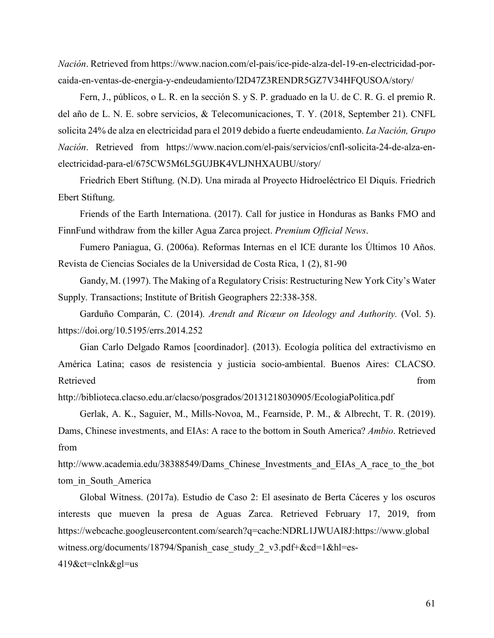*Nación*. Retrieved from https://www.nacion.com/el-pais/ice-pide-alza-del-19-en-electricidad-porcaida-en-ventas-de-energia-y-endeudamiento/I2D47Z3RENDR5GZ7V34HFQUSOA/story/

Fern, J., públicos, o L. R. en la sección S. y S. P. graduado en la U. de C. R. G. el premio R. del año de L. N. E. sobre servicios, & Telecomunicaciones, T. Y. (2018, September 21). CNFL solicita 24% de alza en electricidad para el 2019 debido a fuerte endeudamiento. *La Nación, Grupo Nación*. Retrieved from https://www.nacion.com/el-pais/servicios/cnfl-solicita-24-de-alza-enelectricidad-para-el/675CW5M6L5GUJBK4VLJNHXAUBU/story/

Friedrich Ebert Stiftung. (N.D). Una mirada al Proyecto Hidroeléctrico El Diquís. Friedrich Ebert Stiftung.

Friends of the Earth Internationa. (2017). Call for justice in Honduras as Banks FMO and FinnFund withdraw from the killer Agua Zarca project. *Premium Official News*.

Fumero Paniagua, G. (2006a). Reformas Internas en el ICE durante los Últimos 10 Años. Revista de Ciencias Sociales de la Universidad de Costa Rica, 1 (2), 81-90

Gandy, M. (1997). The Making of a Regulatory Crisis: Restructuring New York City's Water Supply. Transactions; Institute of British Geographers 22:338-358.

Garduño Comparán, C. (2014). *Arendt and Ricœur on Ideology and Authority.* (Vol. 5). https://doi.org/10.5195/errs.2014.252

Gian Carlo Delgado Ramos [coordinador]. (2013). Ecología política del extractivismo en América Latina; casos de resistencia y justicia socio-ambiental. Buenos Aires: CLACSO. Retrieved from the state of the state of the state of the state of the state of the state of the state of the state of the state of the state of the state of the state of the state of the state of the state of the state of

http://biblioteca.clacso.edu.ar/clacso/posgrados/20131218030905/EcologiaPolitica.pdf

Gerlak, A. K., Saguier, M., Mills-Novoa, M., Fearnside, P. M., & Albrecht, T. R. (2019). Dams, Chinese investments, and EIAs: A race to the bottom in South America? *Ambio*. Retrieved from

http://www.academia.edu/38388549/Dams Chinese Investments and EIAs A race to the bot tom\_in\_South\_America

Global Witness. (2017a). Estudio de Caso 2: El asesinato de Berta Cáceres y los oscuros interests que mueven la presa de Aguas Zarca. Retrieved February 17, 2019, from https://webcache.googleusercontent.com/search?q=cache:NDRL1JWUAI8J:https://www.global witness.org/documents/18794/Spanish\_case\_study\_2\_v3.pdf+&cd=1&hl=es-

419&ct=clnk&gl=us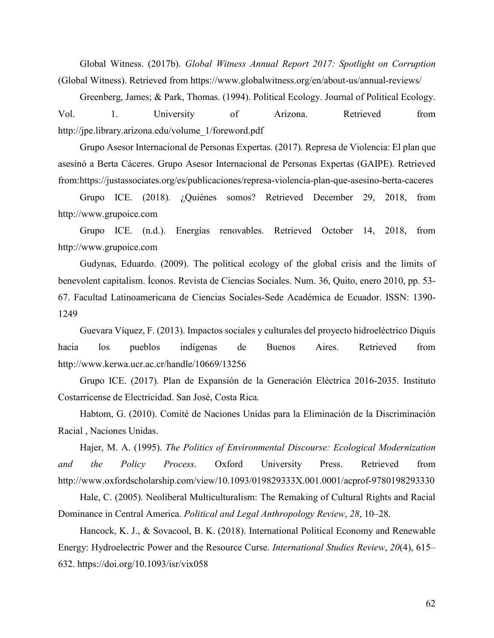Global Witness. (2017b). *Global Witness Annual Report 2017: Spotlight on Corruption* (Global Witness). Retrieved from https://www.globalwitness.org/en/about-us/annual-reviews/

Greenberg, James; & Park, Thomas. (1994). Political Ecology. Journal of Political Ecology. Vol. 1. University of Arizona. Retrieved from http://jpe.library.arizona.edu/volume\_1/foreword.pdf

Grupo Asesor Internacional de Personas Expertas. (2017). Represa de Violencia: El plan que asesinó a Berta Cáceres. Grupo Asesor Internacional de Personas Expertas (GAIPE). Retrieved from:https://justassociates.org/es/publicaciones/represa-violencia-plan-que-asesino-berta-caceres

Grupo ICE. (2018). ¿Quiénes somos? Retrieved December 29, 2018, from http://www.grupoice.com

Grupo ICE. (n.d.). Energías renovables. Retrieved October 14, 2018, from http://www.grupoice.com

Gudynas, Eduardo. (2009). The political ecology of the global crisis and the limits of benevolent capitalism. Íconos. Revista de Ciencias Sociales. Num. 36, Quito, enero 2010, pp. 53- 67. Facultad Latinoamericana de Ciencias Sociales-Sede Académica de Ecuador. ISSN: 1390- 1249

Guevara Víquez, F. (2013). Impactos sociales y culturales del proyecto hidroeléctrico Diquís hacia los pueblos indígenas de Buenos Aires. Retrieved from http://www.kerwa.ucr.ac.cr/handle/10669/13256

Grupo ICE. (2017). Plan de Expansión de la Generación Eléctrica 2016-2035. Instituto Costarricense de Electricidad. San José, Costa Rica.

Habtom, G. (2010). Comité de Naciones Unidas para la Eliminación de la Discriminación Racial , Naciones Unidas.

Hajer, M. A. (1995). *The Politics of Environmental Discourse: Ecological Modernization and the Policy Process*. Oxford University Press. Retrieved from http://www.oxfordscholarship.com/view/10.1093/019829333X.001.0001/acprof-9780198293330

Hale, C. (2005). Neoliberal Multiculturalism: The Remaking of Cultural Rights and Racial Dominance in Central America. *Political and Legal Anthropology Review*, *28*, 10–28.

Hancock, K. J., & Sovacool, B. K. (2018). International Political Economy and Renewable Energy: Hydroelectric Power and the Resource Curse. *International Studies Review*, *20*(4), 615– 632. https://doi.org/10.1093/isr/vix058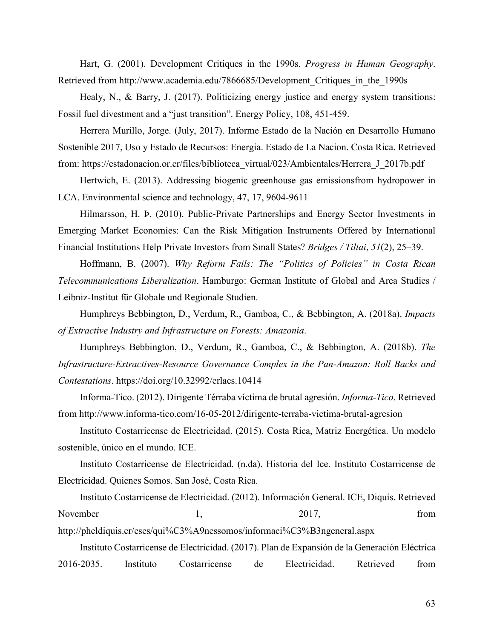Hart, G. (2001). Development Critiques in the 1990s. *Progress in Human Geography*. Retrieved from http://www.academia.edu/7866685/Development\_Critiques\_in\_the\_1990s

Healy, N., & Barry, J. (2017). Politicizing energy justice and energy system transitions: Fossil fuel divestment and a "just transition". Energy Policy, 108, 451-459.

Herrera Murillo, Jorge. (July, 2017). Informe Estado de la Nación en Desarrollo Humano Sostenible 2017, Uso y Estado de Recursos: Energia. Estado de La Nacion. Costa Rica. Retrieved from: https://estadonacion.or.cr/files/biblioteca\_virtual/023/Ambientales/Herrera\_J\_2017b.pdf

Hertwich, E. (2013). Addressing biogenic greenhouse gas emissionsfrom hydropower in LCA. Environmental science and technology, 47, 17, 9604-9611

Hilmarsson, H. Þ. (2010). Public-Private Partnerships and Energy Sector Investments in Emerging Market Economies: Can the Risk Mitigation Instruments Offered by International Financial Institutions Help Private Investors from Small States? *Bridges / Tiltai*, *51*(2), 25–39.

Hoffmann, B. (2007). *Why Reform Fails: The "Politics of Policies" in Costa Rican Telecommunications Liberalization*. Hamburgo: German Institute of Global and Area Studies / Leibniz-Institut für Globale und Regionale Studien.

Humphreys Bebbington, D., Verdum, R., Gamboa, C., & Bebbington, A. (2018a). *Impacts of Extractive Industry and Infrastructure on Forests: Amazonia*.

Humphreys Bebbington, D., Verdum, R., Gamboa, C., & Bebbington, A. (2018b). *The Infrastructure-Extractives-Resource Governance Complex in the Pan-Amazon: Roll Backs and Contestations*. https://doi.org/10.32992/erlacs.10414

Informa-Tico. (2012). Dirigente Térraba víctima de brutal agresión. *Informa-Tico*. Retrieved from http://www.informa-tico.com/16-05-2012/dirigente-terraba-victima-brutal-agresion

Instituto Costarricense de Electricidad. (2015). Costa Rica, Matriz Energética. Un modelo sostenible, único en el mundo. ICE.

Instituto Costarricense de Electricidad. (n.da). Historia del Ice. Instituto Costarricense de Electricidad. Quienes Somos. San José, Costa Rica.

Instituto Costarricense de Electricidad. (2012). Información General. ICE, Diquís. Retrieved November 1, 2017, from

http://pheldiquis.cr/eses/qui%C3%A9nessomos/informaci%C3%B3ngeneral.aspx

Instituto Costarricense de Electricidad. (2017). Plan de Expansión de la Generación Eléctrica 2016-2035. Instituto Costarricense de Electricidad. Retrieved from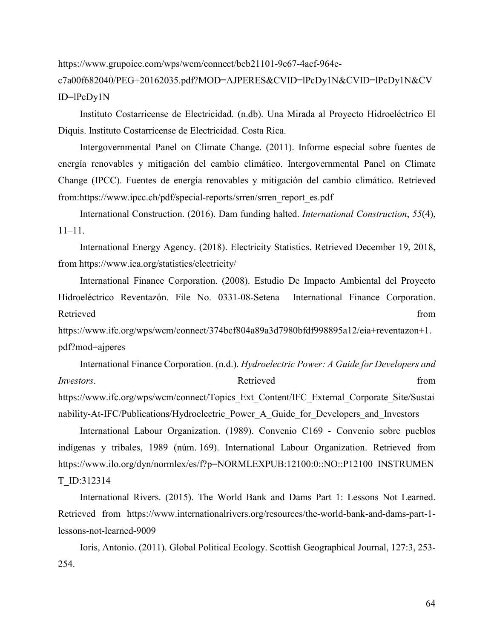https://www.grupoice.com/wps/wcm/connect/beb21101-9c67-4acf-964e-

c7a00f682040/PEG+20162035.pdf?MOD=AJPERES&CVID=lPcDy1N&CVID=lPcDy1N&CV ID=lPcDy1N

Instituto Costarricense de Electricidad. (n.db). Una Mirada al Proyecto Hidroeléctrico El Diquis. Instituto Costarricense de Electricidad. Costa Rica.

Intergovernmental Panel on Climate Change. (2011). Informe especial sobre fuentes de energía renovables y mitigación del cambio climático. Intergovernmental Panel on Climate Change (IPCC). Fuentes de energía renovables y mitigación del cambio climático. Retrieved from:https://www.ipcc.ch/pdf/special-reports/srren/srren\_report\_es.pdf

International Construction. (2016). Dam funding halted. *International Construction*, *55*(4), 11–11.

International Energy Agency. (2018). Electricity Statistics. Retrieved December 19, 2018, from https://www.iea.org/statistics/electricity/

International Finance Corporation. (2008). Estudio De Impacto Ambiental del Proyecto Hidroeléctrico Reventazón. File No. 0331-08-Setena International Finance Corporation. Retrieved from the state of the state of the state of the state of the state of the state of the state of the state of the state of the state of the state of the state of the state of the state of the state of the state of

https://www.ifc.org/wps/wcm/connect/374bcf804a89a3d7980bfdf998895a12/eia+reventazon+1. pdf?mod=ajperes

International Finance Corporation. (n.d.). *Hydroelectric Power: A Guide for Developers and Investors*. from **Retrieved Example 1** *Retrieved Retrieved Retrieved* https://www.ifc.org/wps/wcm/connect/Topics\_Ext\_Content/IFC\_External\_Corporate\_Site/Sustai

nability-At-IFC/Publications/Hydroelectric\_Power\_A\_Guide\_for\_Developers\_and\_Investors

International Labour Organization. (1989). Convenio C169 - Convenio sobre pueblos indígenas y tribales, 1989 (núm. 169). International Labour Organization. Retrieved from https://www.ilo.org/dyn/normlex/es/f?p=NORMLEXPUB:12100:0::NO::P12100\_INSTRUMEN T\_ID:312314

International Rivers. (2015). The World Bank and Dams Part 1: Lessons Not Learned. Retrieved from https://www.internationalrivers.org/resources/the-world-bank-and-dams-part-1 lessons-not-learned-9009

Ioris, Antonio. (2011). Global Political Ecology. Scottish Geographical Journal, 127:3, 253- 254.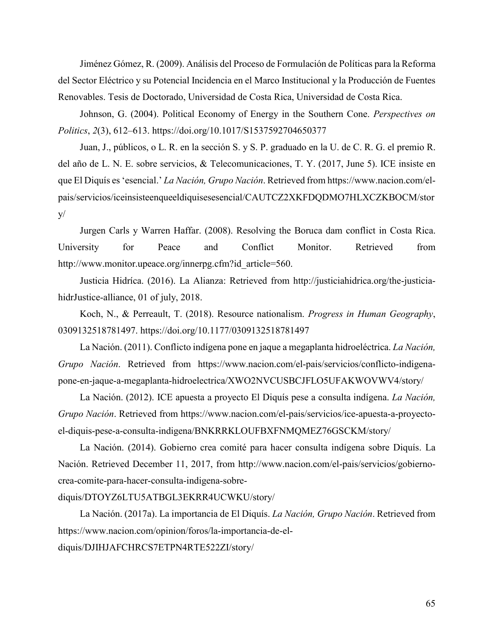Jiménez Gómez, R. (2009). Análisis del Proceso de Formulación de Políticas para la Reforma del Sector Eléctrico y su Potencial Incidencia en el Marco Institucional y la Producción de Fuentes Renovables. Tesis de Doctorado, Universidad de Costa Rica, Universidad de Costa Rica.

Johnson, G. (2004). Political Economy of Energy in the Southern Cone. *Perspectives on Politics*, *2*(3), 612–613. https://doi.org/10.1017/S1537592704650377

Juan, J., públicos, o L. R. en la sección S. y S. P. graduado en la U. de C. R. G. el premio R. del año de L. N. E. sobre servicios, & Telecomunicaciones, T. Y. (2017, June 5). ICE insiste en que El Diquís es 'esencial.' *La Nación, Grupo Nación*. Retrieved from https://www.nacion.com/elpais/servicios/iceinsisteenqueeldiquisesesencial/CAUTCZ2XKFDQDMO7HLXCZKBOCM/stor  $V/$ 

Jurgen Carls y Warren Haffar. (2008). Resolving the Boruca dam conflict in Costa Rica. University for Peace and Conflict Monitor. Retrieved from http://www.monitor.upeace.org/innerpg.cfm?id\_article=560.

Justicia Hidríca. (2016). La Alianza: Retrieved from http://justiciahidrica.org/the-justiciahidrJustice-alliance, 01 of july, 2018.

Koch, N., & Perreault, T. (2018). Resource nationalism. *Progress in Human Geography*, 0309132518781497. https://doi.org/10.1177/0309132518781497

La Nación. (2011). Conflicto indígena pone en jaque a megaplanta hidroeléctrica. *La Nación, Grupo Nación*. Retrieved from https://www.nacion.com/el-pais/servicios/conflicto-indigenapone-en-jaque-a-megaplanta-hidroelectrica/XWO2NVCUSBCJFLO5UFAKWOVWV4/story/

La Nación. (2012). ICE apuesta a proyecto El Diquís pese a consulta indígena. *La Nación, Grupo Nación*. Retrieved from https://www.nacion.com/el-pais/servicios/ice-apuesta-a-proyectoel-diquis-pese-a-consulta-indigena/BNKRRKLOUFBXFNMQMEZ76GSCKM/story/

La Nación. (2014). Gobierno crea comité para hacer consulta indígena sobre Diquís. La Nación. Retrieved December 11, 2017, from http://www.nacion.com/el-pais/servicios/gobiernocrea-comite-para-hacer-consulta-indigena-sobre-

## diquis/DTOYZ6LTU5ATBGL3EKRR4UCWKU/story/

La Nación. (2017a). La importancia de El Diquís. *La Nación, Grupo Nación*. Retrieved from https://www.nacion.com/opinion/foros/la-importancia-de-eldiquis/DJIHJAFCHRCS7ETPN4RTE522ZI/story/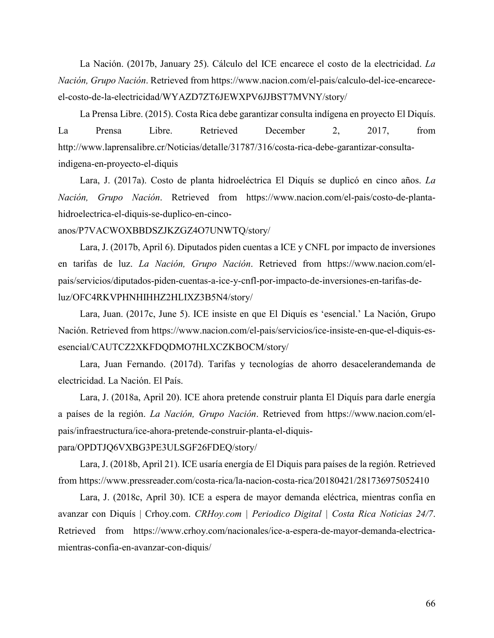La Nación. (2017b, January 25). Cálculo del ICE encarece el costo de la electricidad. *La Nación, Grupo Nación*. Retrieved from https://www.nacion.com/el-pais/calculo-del-ice-encareceel-costo-de-la-electricidad/WYAZD7ZT6JEWXPV6JJBST7MVNY/story/

La Prensa Libre. (2015). Costa Rica debe garantizar consulta indígena en proyecto El Diquís. La Prensa Libre. Retrieved December 2, 2017, from http://www.laprensalibre.cr/Noticias/detalle/31787/316/costa-rica-debe-garantizar-consultaindigena-en-proyecto-el-diquis

Lara, J. (2017a). Costo de planta hidroeléctrica El Diquís se duplicó en cinco años. *La Nación, Grupo Nación*. Retrieved from https://www.nacion.com/el-pais/costo-de-plantahidroelectrica-el-diquis-se-duplico-en-cinco-

# anos/P7VACWOXBBDSZJKZGZ4O7UNWTQ/story/

Lara, J. (2017b, April 6). Diputados piden cuentas a ICE y CNFL por impacto de inversiones en tarifas de luz. *La Nación, Grupo Nación*. Retrieved from https://www.nacion.com/elpais/servicios/diputados-piden-cuentas-a-ice-y-cnfl-por-impacto-de-inversiones-en-tarifas-deluz/OFC4RKVPHNHIHHZ2HLIXZ3B5N4/story/

Lara, Juan. (2017c, June 5). ICE insiste en que El Diquís es 'esencial.' La Nación, Grupo Nación. Retrieved from https://www.nacion.com/el-pais/servicios/ice-insiste-en-que-el-diquis-esesencial/CAUTCZ2XKFDQDMO7HLXCZKBOCM/story/

Lara, Juan Fernando. (2017d). Tarifas y tecnologías de ahorro desacelerandemanda de electricidad. La Nación. El País.

Lara, J. (2018a, April 20). ICE ahora pretende construir planta El Diquís para darle energía a países de la región. *La Nación, Grupo Nación*. Retrieved from https://www.nacion.com/elpais/infraestructura/ice-ahora-pretende-construir-planta-el-diquis-

# para/OPDTJQ6VXBG3PE3ULSGF26FDEQ/story/

Lara, J. (2018b, April 21). ICE usaría energía de El Diquis para países de la región. Retrieved from https://www.pressreader.com/costa-rica/la-nacion-costa-rica/20180421/281736975052410

Lara, J. (2018c, April 30). ICE a espera de mayor demanda eléctrica, mientras confía en avanzar con Diquís | Crhoy.com. *CRHoy.com | Periodico Digital | Costa Rica Noticias 24/7*. Retrieved from https://www.crhoy.com/nacionales/ice-a-espera-de-mayor-demanda-electricamientras-confia-en-avanzar-con-diquis/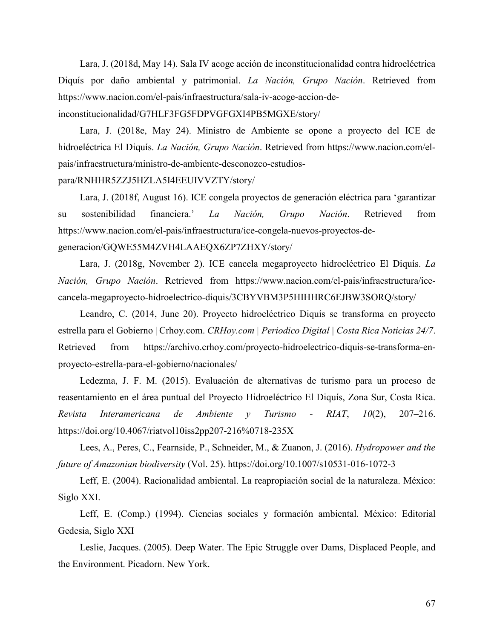Lara, J. (2018d, May 14). Sala IV acoge acción de inconstitucionalidad contra hidroeléctrica Diquís por daño ambiental y patrimonial. *La Nación, Grupo Nación*. Retrieved from https://www.nacion.com/el-pais/infraestructura/sala-iv-acoge-accion-deinconstitucionalidad/G7HLF3FG5FDPVGFGXI4PB5MGXE/story/

Lara, J. (2018e, May 24). Ministro de Ambiente se opone a proyecto del ICE de hidroeléctrica El Diquís. *La Nación, Grupo Nación*. Retrieved from https://www.nacion.com/elpais/infraestructura/ministro-de-ambiente-desconozco-estudios-

#### para/RNHHR5ZZJ5HZLA5I4EEUIVVZTY/story/

Lara, J. (2018f, August 16). ICE congela proyectos de generación eléctrica para 'garantizar su sostenibilidad financiera.' *La Nación, Grupo Nación*. Retrieved from https://www.nacion.com/el-pais/infraestructura/ice-congela-nuevos-proyectos-degeneracion/GQWE55M4ZVH4LAAEQX6ZP7ZHXY/story/

Lara, J. (2018g, November 2). ICE cancela megaproyecto hidroeléctrico El Diquís. *La Nación, Grupo Nación*. Retrieved from https://www.nacion.com/el-pais/infraestructura/icecancela-megaproyecto-hidroelectrico-diquis/3CBYVBM3P5HIHHRC6EJBW3SORQ/story/

Leandro, C. (2014, June 20). Proyecto hidroeléctrico Diquís se transforma en proyecto estrella para el Gobierno | Crhoy.com. *CRHoy.com | Periodico Digital | Costa Rica Noticias 24/7*. Retrieved from https://archivo.crhoy.com/proyecto-hidroelectrico-diquis-se-transforma-enproyecto-estrella-para-el-gobierno/nacionales/

Ledezma, J. F. M. (2015). Evaluación de alternativas de turismo para un proceso de reasentamiento en el área puntual del Proyecto Hidroeléctrico El Diquís, Zona Sur, Costa Rica. *Revista Interamericana de Ambiente y Turismo - RIAT*, *10*(2), 207–216. https://doi.org/10.4067/riatvol10iss2pp207-216%0718-235X

Lees, A., Peres, C., Fearnside, P., Schneider, M., & Zuanon, J. (2016). *Hydropower and the future of Amazonian biodiversity* (Vol. 25). https://doi.org/10.1007/s10531-016-1072-3

Leff, E. (2004). Racionalidad ambiental. La reapropiación social de la naturaleza. México: Siglo XXI.

Leff, E. (Comp.) (1994). Ciencias sociales y formación ambiental. México: Editorial Gedesia, Siglo XXI

Leslie, Jacques. (2005). Deep Water. The Epic Struggle over Dams, Displaced People, and the Environment. Picadorn. New York.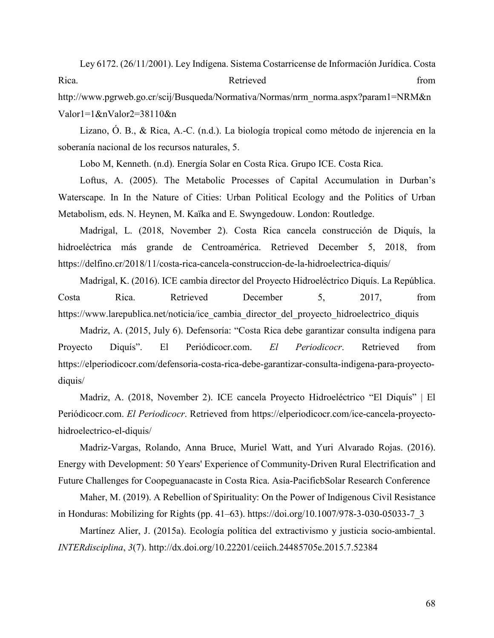Ley 6172. (26/11/2001). Ley Indígena. Sistema Costarricense de Información Jurídica. Costa Rica. Retrieved from http://www.pgrweb.go.cr/scij/Busqueda/Normativa/Normas/nrm\_norma.aspx?param1=NRM&n

Valor1=1&nValor2=38110&n

Lizano, Ó. B., & Rica, A.-C. (n.d.). La biología tropical como método de injerencia en la soberanía nacional de los recursos naturales, 5.

Lobo M, Kenneth. (n.d). Energía Solar en Costa Rica. Grupo ICE. Costa Rica.

Loftus, A. (2005). The Metabolic Processes of Capital Accumulation in Durban's Waterscape. In In the Nature of Cities: Urban Political Ecology and the Politics of Urban Metabolism, eds. N. Heynen, M. Kaïka and E. Swyngedouw. London: Routledge.

Madrigal, L. (2018, November 2). Costa Rica cancela construcción de Diquís, la hidroeléctrica más grande de Centroamérica. Retrieved December 5, 2018, from https://delfino.cr/2018/11/costa-rica-cancela-construccion-de-la-hidroelectrica-diquis/

Madrigal, K. (2016). ICE cambia director del Proyecto Hidroeléctrico Diquís. La República. Costa Rica. Retrieved December 5, 2017, from https://www.larepublica.net/noticia/ice\_cambia\_director\_del\_proyecto\_hidroelectrico\_diquis

Madriz, A. (2015, July 6). Defensoría: "Costa Rica debe garantizar consulta indígena para Proyecto Diquís". El Periódicocr.com. *El Periodicocr*. Retrieved from https://elperiodicocr.com/defensoria-costa-rica-debe-garantizar-consulta-indigena-para-proyectodiquis/

Madriz, A. (2018, November 2). ICE cancela Proyecto Hidroeléctrico "El Diquís" | El Periódicocr.com. *El Periodicocr*. Retrieved from https://elperiodicocr.com/ice-cancela-proyectohidroelectrico-el-diquis/

Madriz-Vargas, Rolando, Anna Bruce, Muriel Watt, and Yuri Alvarado Rojas. (2016). Energy with Development: 50 Years' Experience of Community-Driven Rural Electrification and Future Challenges for Coopeguanacaste in Costa Rica. Asia-PacificbSolar Research Conference

Maher, M. (2019). A Rebellion of Spirituality: On the Power of Indigenous Civil Resistance in Honduras: Mobilizing for Rights (pp. 41–63). https://doi.org/10.1007/978-3-030-05033-7\_3

Martínez Alier, J. (2015a). Ecología política del extractivismo y justicia socio-ambiental. *INTERdisciplina*, *3*(7). http://dx.doi.org/10.22201/ceiich.24485705e.2015.7.52384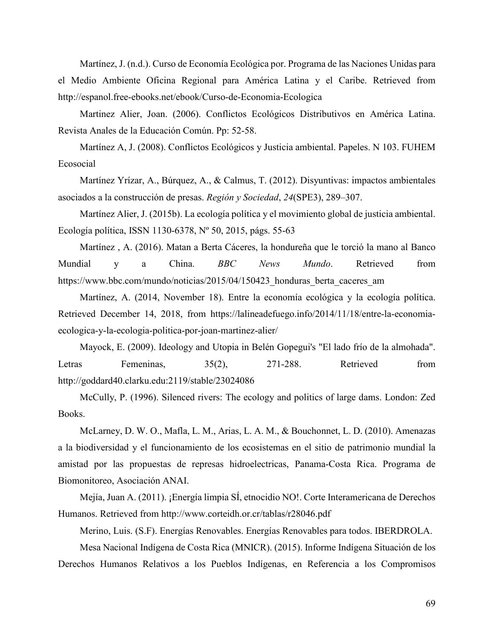Martínez, J. (n.d.). Curso de Economía Ecológica por. Programa de las Naciones Unidas para el Medio Ambiente Oficina Regional para América Latina y el Caribe. Retrieved from http://espanol.free-ebooks.net/ebook/Curso-de-Economia-Ecologica

Martinez Alier, Joan. (2006). Conflictos Ecológicos Distributivos en América Latina. Revista Anales de la Educación Común. Pp: 52-58.

Martínez A, J. (2008). Conflictos Ecológicos y Justicia ambiental. Papeles. N 103. FUHEM Ecosocial

Martínez Yrízar, A., Búrquez, A., & Calmus, T. (2012). Disyuntivas: impactos ambientales asociados a la construcción de presas. *Región y Sociedad*, *24*(SPE3), 289–307.

Martínez Alier, J. (2015b). La ecología política y el movimiento global de justicia ambiental. Ecología política, ISSN 1130-6378, Nº 50, 2015, págs. 55-63

Martínez , A. (2016). Matan a Berta Cáceres, la hondureña que le torció la mano al Banco Mundial y a China. *BBC News Mundo*. Retrieved from https://www.bbc.com/mundo/noticias/2015/04/150423\_honduras\_berta\_caceres\_am

Martínez, A. (2014, November 18). Entre la economía ecológica y la ecología política. Retrieved December 14, 2018, from https://lalineadefuego.info/2014/11/18/entre-la-economiaecologica-y-la-ecologia-politica-por-joan-martinez-alier/

Mayock, E. (2009). Ideology and Utopia in Belén Gopegui's "El lado frío de la almohada". Letras Femeninas, 35(2), 271-288. Retrieved from http://goddard40.clarku.edu:2119/stable/23024086

McCully, P. (1996). Silenced rivers: The ecology and politics of large dams. London: Zed Books.

McLarney, D. W. O., Mafla, L. M., Arias, L. A. M., & Bouchonnet, L. D. (2010). Amenazas a la biodiversidad y el funcionamiento de los ecosistemas en el sitio de patrimonio mundial la amistad por las propuestas de represas hidroelectricas, Panama‐Costa Rica. Programa de Biomonitoreo, Asociación ANAI.

Mejía, Juan A. (2011). ¡Energía limpia SÍ, etnocidio NO!. Corte Interamericana de Derechos Humanos. Retrieved from http://www.corteidh.or.cr/tablas/r28046.pdf

Merino, Luis. (S.F). Energías Renovables. Energías Renovables para todos. IBERDROLA. Mesa Nacional Indígena de Costa Rica (MNICR). (2015). Informe Indígena Situación de los Derechos Humanos Relativos a los Pueblos Indígenas, en Referencia a los Compromisos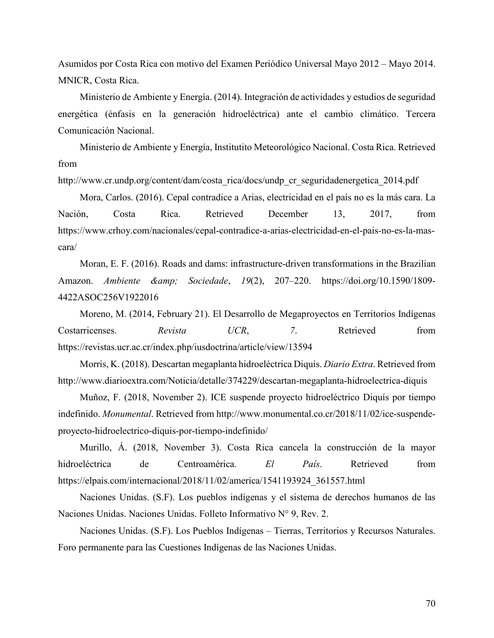Asumidos por Costa Rica con motivo del Examen Periódico Universal Mayo 2012 – Mayo 2014. MNICR, Costa Rica.

Ministerio de Ambiente y Energía. (2014). Integración de actividades y estudios de seguridad energética (énfasis en la generación hidroeléctrica) ante el cambio climático. Tercera Comunicación Nacional.

Ministerio de Ambiente y Energía, Institutito Meteorológico Nacional. Costa Rica. Retrieved from

http://www.cr.undp.org/content/dam/costa\_rica/docs/undp\_cr\_seguridadenergetica\_2014.pdf

Mora, Carlos. (2016). Cepal contradice a Arias, electricidad en el país no es la más cara. La Nación, Costa Rica. Retrieved December 13, 2017, from https://www.crhoy.com/nacionales/cepal-contradice-a-arias-electricidad-en-el-pais-no-es-la-mascara/

Moran, E. F. (2016). Roads and dams: infrastructure-driven transformations in the Brazilian Amazon. *Ambiente & amp*; *Sociedade*, 19(2), 207–220. https://doi.org/10.1590/1809-4422ASOC256V1922016

Moreno, M. (2014, February 21). El Desarrollo de Megaproyectos en Territorios Indígenas Costarricenses. *Revista UCR*, *7*. Retrieved from https://revistas.ucr.ac.cr/index.php/iusdoctrina/article/view/13594

Morris, K. (2018). Descartan megaplanta hidroeléctrica Diquís. *Diario Extra*. Retrieved from http://www.diarioextra.com/Noticia/detalle/374229/descartan-megaplanta-hidroelectrica-diquis

Muñoz, F. (2018, November 2). ICE suspende proyecto hidroeléctrico Diquís por tiempo indefinido. *Monumental*. Retrieved from http://www.monumental.co.cr/2018/11/02/ice-suspendeproyecto-hidroelectrico-diquis-por-tiempo-indefinido/

Murillo, Á. (2018, November 3). Costa Rica cancela la construcción de la mayor hidroeléctrica de Centroamérica. *El País*. Retrieved from https://elpais.com/internacional/2018/11/02/america/1541193924\_361557.html

Naciones Unidas. (S.F). Los pueblos indígenas y el sistema de derechos humanos de las Naciones Unidas. Naciones Unidas. Folleto Informativo N° 9, Rev. 2.

Naciones Unidas. (S.F). Los Pueblos Indígenas – Tierras, Territorios y Recursos Naturales. Foro permanente para las Cuestiones Indígenas de las Naciones Unidas.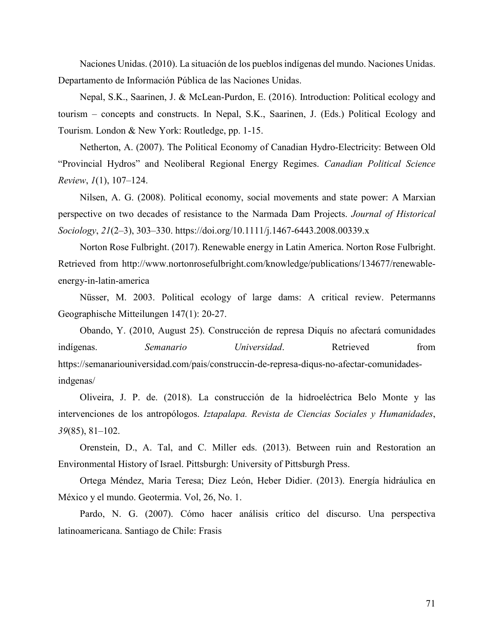Naciones Unidas. (2010). La situación de los pueblos indígenas del mundo. Naciones Unidas. Departamento de Información Pública de las Naciones Unidas.

Nepal, S.K., Saarinen, J. & McLean-Purdon, E. (2016). Introduction: Political ecology and tourism – concepts and constructs. In Nepal, S.K., Saarinen, J. (Eds.) Political Ecology and Tourism. London & New York: Routledge, pp. 1-15.

Netherton, A. (2007). The Political Economy of Canadian Hydro-Electricity: Between Old "Provincial Hydros" and Neoliberal Regional Energy Regimes. *Canadian Political Science Review*, *1*(1), 107–124.

Nilsen, A. G. (2008). Political economy, social movements and state power: A Marxian perspective on two decades of resistance to the Narmada Dam Projects. *Journal of Historical Sociology*, *21*(2–3), 303–330. https://doi.org/10.1111/j.1467-6443.2008.00339.x

Norton Rose Fulbright. (2017). Renewable energy in Latin America. Norton Rose Fulbright. Retrieved from http://www.nortonrosefulbright.com/knowledge/publications/134677/renewableenergy-in-latin-america

Nüsser, M. 2003. Political ecology of large dams: A critical review. Petermanns Geographische Mitteilungen 147(1): 20-27.

Obando, Y. (2010, August 25). Construcción de represa Diquís no afectará comunidades indígenas. *Semanario Universidad*. Retrieved from https://semanariouniversidad.com/pais/construccin-de-represa-diqus-no-afectar-comunidadesindgenas/

Oliveira, J. P. de. (2018). La construcción de la hidroeléctrica Belo Monte y las intervenciones de los antropólogos. *Iztapalapa. Revista de Ciencias Sociales y Humanidades*, *39*(85), 81–102.

Orenstein, D., A. Tal, and C. Miller eds. (2013). Between ruin and Restoration an Environmental History of Israel. Pittsburgh: University of Pittsburgh Press.

Ortega Méndez, Maria Teresa; Diez León, Heber Didier. (2013). Energía hidráulica en México y el mundo. Geotermia. Vol, 26, No. 1.

Pardo, N. G. (2007). Cómo hacer análisis crítico del discurso. Una perspectiva latinoamericana. Santiago de Chile: Frasis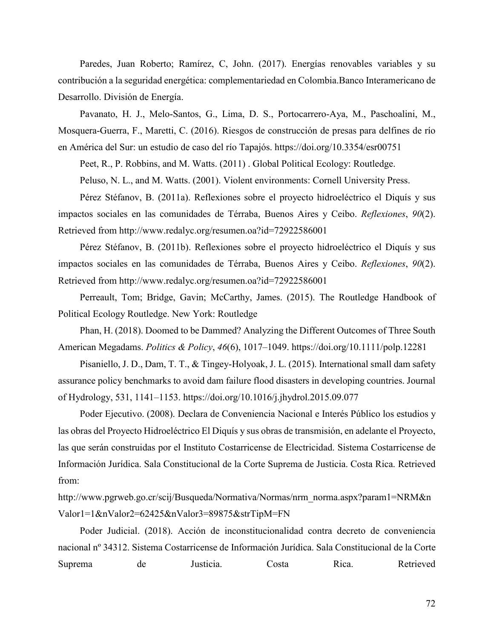Paredes, Juan Roberto; Ramírez, C, John. (2017). Energías renovables variables y su contribución a la seguridad energética: complementariedad en Colombia.Banco Interamericano de Desarrollo. División de Energía.

Pavanato, H. J., Melo-Santos, G., Lima, D. S., Portocarrero-Aya, M., Paschoalini, M., Mosquera-Guerra, F., Maretti, C. (2016). Riesgos de construcción de presas para delfines de río en América del Sur: un estudio de caso del río Tapajós. https://doi.org/10.3354/esr00751

Peet, R., P. Robbins, and M. Watts. (2011) . Global Political Ecology: Routledge.

Peluso, N. L., and M. Watts. (2001). Violent environments: Cornell University Press.

Pérez Stéfanov, B. (2011a). Reflexiones sobre el proyecto hidroeléctrico el Diquís y sus impactos sociales en las comunidades de Térraba, Buenos Aires y Ceibo. *Reflexiones*, *90*(2). Retrieved from http://www.redalyc.org/resumen.oa?id=72922586001

Pérez Stéfanov, B. (2011b). Reflexiones sobre el proyecto hidroeléctrico el Diquís y sus impactos sociales en las comunidades de Térraba, Buenos Aires y Ceibo. *Reflexiones*, *90*(2). Retrieved from http://www.redalyc.org/resumen.oa?id=72922586001

Perreault, Tom; Bridge, Gavin; McCarthy, James. (2015). The Routledge Handbook of Political Ecology Routledge. New York: Routledge

Phan, H. (2018). Doomed to be Dammed? Analyzing the Different Outcomes of Three South American Megadams. *Politics & Policy*, *46*(6), 1017–1049. https://doi.org/10.1111/polp.12281

Pisaniello, J. D., Dam, T. T., & Tingey-Holyoak, J. L. (2015). International small dam safety assurance policy benchmarks to avoid dam failure flood disasters in developing countries. Journal of Hydrology, 531, 1141–1153. https://doi.org/10.1016/j.jhydrol.2015.09.077

Poder Ejecutivo. (2008). Declara de Conveniencia Nacional e Interés Público los estudios y las obras del Proyecto Hidroeléctrico El Diquís y sus obras de transmisión, en adelante el Proyecto, las que serán construidas por el Instituto Costarricense de Electricidad. Sistema Costarricense de Información Jurídica. Sala Constitucional de la Corte Suprema de Justicia. Costa Rica. Retrieved from:

http://www.pgrweb.go.cr/scij/Busqueda/Normativa/Normas/nrm\_norma.aspx?param1=NRM&n Valor1=1&nValor2=62425&nValor3=89875&strTipM=FN

Poder Judicial. (2018). Acción de inconstitucionalidad contra decreto de conveniencia nacional nº 34312. Sistema Costarricense de Información Jurídica. Sala Constitucional de la Corte Suprema de Justicia. Costa Rica. Retrieved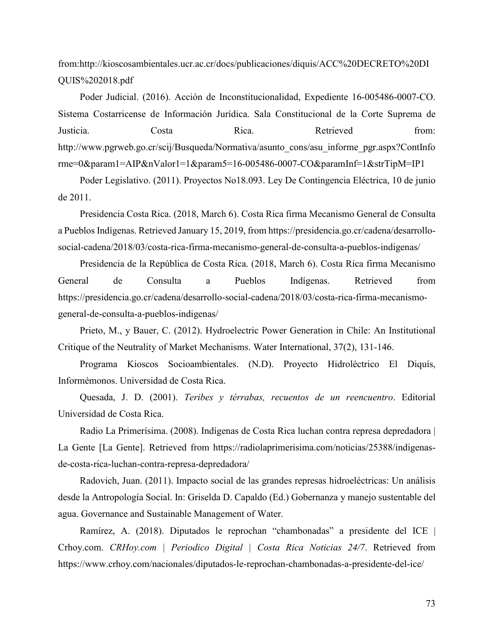from:http://kioscosambientales.ucr.ac.cr/docs/publicaciones/diquis/ACC%20DECRETO%20DI QUIS%202018.pdf

Poder Judicial. (2016). Acción de Inconstitucionalidad, Expediente 16-005486-0007-CO. Sistema Costarricense de Información Jurídica. Sala Constitucional de la Corte Suprema de Justicia. Costa Rica. Retrieved from: http://www.pgrweb.go.cr/scij/Busqueda/Normativa/asunto\_cons/asu\_informe\_pgr.aspx?ContInfo rme=0&param1=AIP&nValor1=1&param5=16-005486-0007-CO&paramInf=1&strTipM=IP1

Poder Legislativo. (2011). Proyectos No18.093. Ley De Contingencia Eléctrica, 10 de junio de 2011.

Presidencia Costa Rica. (2018, March 6). Costa Rica firma Mecanismo General de Consulta a Pueblos Indígenas. Retrieved January 15, 2019, from https://presidencia.go.cr/cadena/desarrollosocial-cadena/2018/03/costa-rica-firma-mecanismo-general-de-consulta-a-pueblos-indigenas/

Presidencia de la República de Costa Rica. (2018, March 6). Costa Rica firma Mecanismo General de Consulta a Pueblos Indígenas. Retrieved from https://presidencia.go.cr/cadena/desarrollo-social-cadena/2018/03/costa-rica-firma-mecanismogeneral-de-consulta-a-pueblos-indigenas/

Prieto, M., y Bauer, C. (2012). Hydroelectric Power Generation in Chile: An Institutional Critique of the Neutrality of Market Mechanisms. Water International, 37(2), 131-146.

Programa Kioscos Socioambientales. (N.D). Proyecto Hidroléctrico El Diquís, Informémonos. Universidad de Costa Rica.

Quesada, J. D. (2001). *Teribes y térrabas, recuentos de un reencuentro*. Editorial Universidad de Costa Rica.

Radio La Primerísima. (2008). Indígenas de Costa Rica luchan contra represa depredadora | La Gente [La Gente]. Retrieved from https://radiolaprimerisima.com/noticias/25388/indigenasde-costa-rica-luchan-contra-represa-depredadora/

Radovich, Juan. (2011). Impacto social de las grandes represas hidroeléctricas: Un análisis desde la Antropología Social. In: Griselda D. Capaldo (Ed.) Gobernanza y manejo sustentable del agua. Governance and Sustainable Management of Water.

Ramírez, A. (2018). Diputados le reprochan "chambonadas" a presidente del ICE | Crhoy.com. *CRHoy.com | Periodico Digital | Costa Rica Noticias 24/7*. Retrieved from https://www.crhoy.com/nacionales/diputados-le-reprochan-chambonadas-a-presidente-del-ice/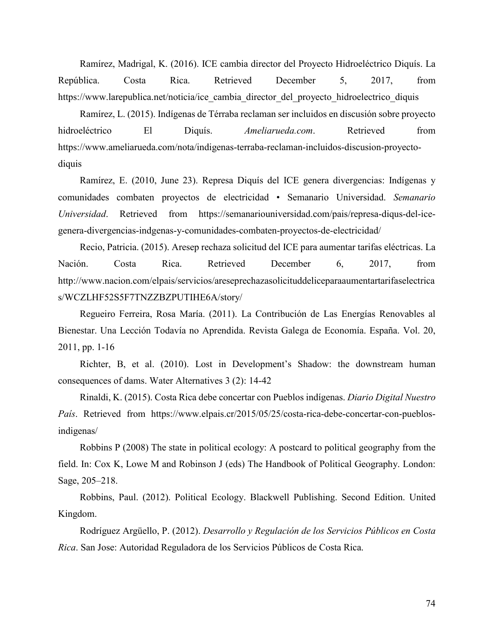Ramírez, Madrigal, K. (2016). ICE cambia director del Proyecto Hidroeléctrico Diquís. La República. Costa Rica. Retrieved December 5, 2017, from https://www.larepublica.net/noticia/ice\_cambia\_director\_del\_proyecto\_hidroelectrico\_diquis

Ramírez, L. (2015). Indígenas de Térraba reclaman ser incluidos en discusión sobre proyecto hidroeléctrico El Diquís. *Ameliarueda.com*. Retrieved from https://www.ameliarueda.com/nota/indigenas-terraba-reclaman-incluidos-discusion-proyectodiquis

Ramírez, E. (2010, June 23). Represa Diquís del ICE genera divergencias: Indígenas y comunidades combaten proyectos de electricidad • Semanario Universidad. *Semanario Universidad*. Retrieved from https://semanariouniversidad.com/pais/represa-diqus-del-icegenera-divergencias-indgenas-y-comunidades-combaten-proyectos-de-electricidad/

Recio, Patricia. (2015). Aresep rechaza solicitud del ICE para aumentar tarifas eléctricas. La Nación. Costa Rica. Retrieved December 6, 2017, from http://www.nacion.com/elpais/servicios/areseprechazasolicituddeliceparaaumentartarifaselectrica s/WCZLHF52S5F7TNZZBZPUTIHE6A/story/

Regueiro Ferreira, Rosa María. (2011). La Contribución de Las Energías Renovables al Bienestar. Una Lección Todavía no Aprendida. Revista Galega de Economía. España. Vol. 20, 2011, pp. 1-16

Richter, B, et al. (2010). Lost in Development's Shadow: the downstream human consequences of dams. Water Alternatives 3 (2): 14-42

Rinaldi, K. (2015). Costa Rica debe concertar con Pueblos indígenas. *Diario Digital Nuestro País*. Retrieved from https://www.elpais.cr/2015/05/25/costa-rica-debe-concertar-con-pueblosindigenas/

Robbins P (2008) The state in political ecology: A postcard to political geography from the field. In: Cox K, Lowe M and Robinson J (eds) The Handbook of Political Geography. London: Sage, 205–218.

Robbins, Paul. (2012). Political Ecology. Blackwell Publishing. Second Edition. United Kingdom.

Rodríguez Argüello, P. (2012). *Desarrollo y Regulación de los Servicios Públicos en Costa Rica*. San Jose: Autoridad Reguladora de los Servicios Públicos de Costa Rica.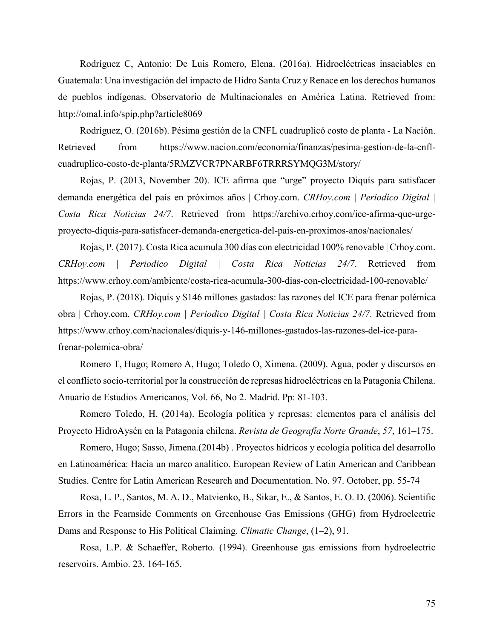Rodríguez C, Antonio; De Luis Romero, Elena. (2016a). Hidroeléctricas insaciables en Guatemala: Una investigación del impacto de Hidro Santa Cruz y Renace en los derechos humanos de pueblos indígenas. Observatorio de Multinacionales en América Latina. Retrieved from: http://omal.info/spip.php?article8069

Rodríguez, O. (2016b). Pésima gestión de la CNFL cuadruplicó costo de planta - La Nación. Retrieved from https://www.nacion.com/economia/finanzas/pesima-gestion-de-la-cnflcuadruplico-costo-de-planta/5RMZVCR7PNARBF6TRRRSYMQG3M/story/

Rojas, P. (2013, November 20). ICE afirma que "urge" proyecto Diquís para satisfacer demanda energética del país en próximos años | Crhoy.com. *CRHoy.com | Periodico Digital | Costa Rica Noticias 24/7*. Retrieved from https://archivo.crhoy.com/ice-afirma-que-urgeproyecto-diquis-para-satisfacer-demanda-energetica-del-pais-en-proximos-anos/nacionales/

Rojas, P. (2017). Costa Rica acumula 300 días con electricidad 100% renovable | Crhoy.com. *CRHoy.com | Periodico Digital | Costa Rica Noticias 24/7*. Retrieved from https://www.crhoy.com/ambiente/costa-rica-acumula-300-dias-con-electricidad-100-renovable/

Rojas, P. (2018). Diquís y \$146 millones gastados: las razones del ICE para frenar polémica obra | Crhoy.com. *CRHoy.com | Periodico Digital | Costa Rica Noticias 24/7*. Retrieved from https://www.crhoy.com/nacionales/diquis-y-146-millones-gastados-las-razones-del-ice-parafrenar-polemica-obra/

Romero T, Hugo; Romero A, Hugo; Toledo O, Ximena. (2009). Agua, poder y discursos en el conflicto socio-territorial por la construcción de represas hidroeléctricas en la Patagonia Chilena. Anuario de Estudios Americanos, Vol. 66, No 2. Madrid. Pp: 81-103.

Romero Toledo, H. (2014a). Ecología política y represas: elementos para el análisis del Proyecto HidroAysén en la Patagonia chilena. *Revista de Geografía Norte Grande*, *57*, 161–175.

Romero, Hugo; Sasso, Jimena.(2014b) . Proyectos hídricos y ecología política del desarrollo en Latinoamérica: Hacia un marco analítico. European Review of Latin American and Caribbean Studies. Centre for Latin American Research and Documentation. No. 97. October, pp. 55-74

Rosa, L. P., Santos, M. A. D., Matvienko, B., Sikar, E., & Santos, E. O. D. (2006). Scientific Errors in the Fearnside Comments on Greenhouse Gas Emissions (GHG) from Hydroelectric Dams and Response to His Political Claiming. *Climatic Change*, (1–2), 91.

Rosa, L.P. & Schaeffer, Roberto. (1994). Greenhouse gas emissions from hydroelectric reservoirs. Ambio. 23. 164-165.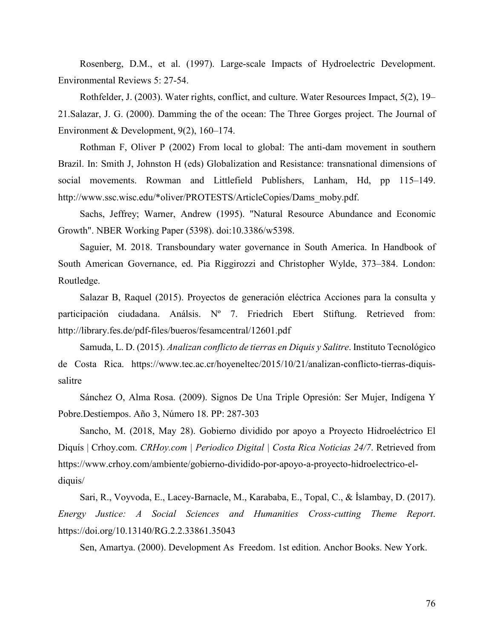Rosenberg, D.M., et al. (1997). Large-scale Impacts of Hydroelectric Development. Environmental Reviews 5: 27-54.

Rothfelder, J. (2003). Water rights, conflict, and culture. Water Resources Impact, 5(2), 19– 21.Salazar, J. G. (2000). Damming the of the ocean: The Three Gorges project. The Journal of Environment & Development, 9(2), 160–174.

Rothman F, Oliver P (2002) From local to global: The anti-dam movement in southern Brazil. In: Smith J, Johnston H (eds) Globalization and Resistance: transnational dimensions of social movements. Rowman and Littlefield Publishers, Lanham, Hd, pp 115–149. http://www.ssc.wisc.edu/\*oliver/PROTESTS/ArticleCopies/Dams\_moby.pdf.

Sachs, Jeffrey; Warner, Andrew (1995). "Natural Resource Abundance and Economic Growth". NBER Working Paper (5398). doi:10.3386/w5398.

Saguier, M. 2018. Transboundary water governance in South America. In Handbook of South American Governance, ed. Pia Riggirozzi and Christopher Wylde, 373–384. London: Routledge.

Salazar B, Raquel (2015). Proyectos de generación eléctrica Acciones para la consulta y participación ciudadana. Análsis. Nº 7. Friedrich Ebert Stiftung. Retrieved from: http://library.fes.de/pdf-files/bueros/fesamcentral/12601.pdf

Samuda, L. D. (2015). *Analizan conflicto de tierras en Diquis y Salitre*. Instituto Tecnológico de Costa Rica. https://www.tec.ac.cr/hoyeneltec/2015/10/21/analizan-conflicto-tierras-diquissalitre

Sánchez O, Alma Rosa. (2009). Signos De Una Triple Opresión: Ser Mujer, Indígena Y Pobre.Destiempos. Año 3, Número 18. PP: 287-303

Sancho, M. (2018, May 28). Gobierno dividido por apoyo a Proyecto Hidroeléctrico El Diquís | Crhoy.com. *CRHoy.com | Periodico Digital | Costa Rica Noticias 24/7*. Retrieved from https://www.crhoy.com/ambiente/gobierno-dividido-por-apoyo-a-proyecto-hidroelectrico-eldiquis/

Sari, R., Voyvoda, E., Lacey-Barnacle, M., Karababa, E., Topal, C., & İslambay, D. (2017). *Energy Justice: A Social Sciences and Humanities Cross-cutting Theme Report*. https://doi.org/10.13140/RG.2.2.33861.35043

Sen, Amartya. (2000). Development As Freedom. 1st edition. Anchor Books. New York.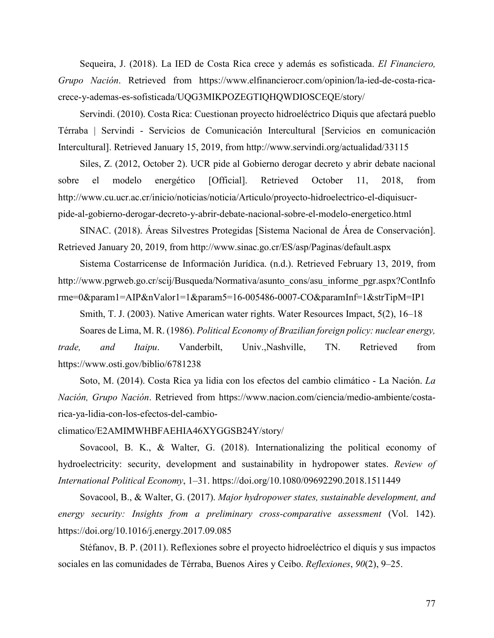Sequeira, J. (2018). La IED de Costa Rica crece y además es sofisticada. *El Financiero, Grupo Nación*. Retrieved from https://www.elfinancierocr.com/opinion/la-ied-de-costa-ricacrece-y-ademas-es-sofisticada/UQG3MIKPOZEGTIQHQWDIOSCEQE/story/

Servindi. (2010). Costa Rica: Cuestionan proyecto hidroeléctrico Diquis que afectará pueblo Térraba | Servindi - Servicios de Comunicación Intercultural [Servicios en comunicación Intercultural]. Retrieved January 15, 2019, from http://www.servindi.org/actualidad/33115

Siles, Z. (2012, October 2). UCR pide al Gobierno derogar decreto y abrir debate nacional sobre el modelo energético [Official]. Retrieved October 11, 2018, from http://www.cu.ucr.ac.cr/inicio/noticias/noticia/Articulo/proyecto-hidroelectrico-el-diquisucrpide-al-gobierno-derogar-decreto-y-abrir-debate-nacional-sobre-el-modelo-energetico.html

SINAC. (2018). Áreas Silvestres Protegidas [Sistema Nacional de Área de Conservación]. Retrieved January 20, 2019, from http://www.sinac.go.cr/ES/asp/Paginas/default.aspx

Sistema Costarricense de Información Jurídica. (n.d.). Retrieved February 13, 2019, from http://www.pgrweb.go.cr/scij/Busqueda/Normativa/asunto\_cons/asu\_informe\_pgr.aspx?ContInfo rme=0&param1=AIP&nValor1=1&param5=16-005486-0007-CO&paramInf=1&strTipM=IP1

Smith, T. J. (2003). Native American water rights. Water Resources Impact, 5(2), 16–18 Soares de Lima, M. R. (1986). *Political Economy of Brazilian foreign policy: nuclear energy, trade, and Itaipu*. Vanderbilt, Univ.,Nashville, TN. Retrieved from https://www.osti.gov/biblio/6781238

Soto, M. (2014). Costa Rica ya lidia con los efectos del cambio climático - La Nación. *La Nación, Grupo Nación*. Retrieved from https://www.nacion.com/ciencia/medio-ambiente/costarica-ya-lidia-con-los-efectos-del-cambio-

climatico/E2AMIMWHBFAEHIA46XYGGSB24Y/story/

Sovacool, B. K., & Walter, G. (2018). Internationalizing the political economy of hydroelectricity: security, development and sustainability in hydropower states. *Review of International Political Economy*, 1–31. https://doi.org/10.1080/09692290.2018.1511449

Sovacool, B., & Walter, G. (2017). *Major hydropower states, sustainable development, and energy security: Insights from a preliminary cross-comparative assessment* (Vol. 142). https://doi.org/10.1016/j.energy.2017.09.085

Stéfanov, B. P. (2011). Reflexiones sobre el proyecto hidroeléctrico el diquís y sus impactos sociales en las comunidades de Térraba, Buenos Aires y Ceibo. *Reflexiones*, *90*(2), 9–25.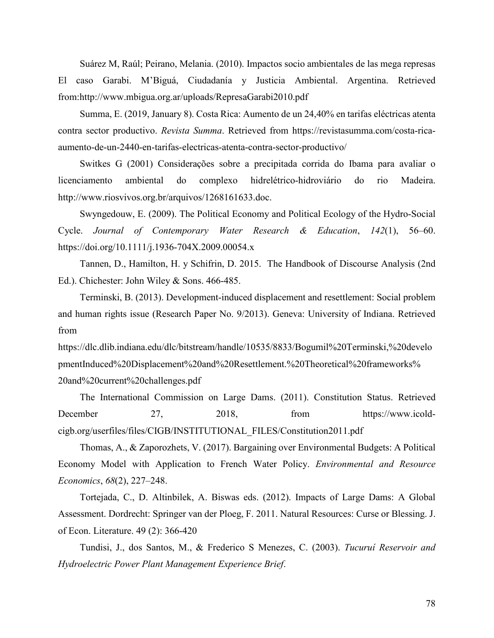Suárez M, Raúl; Peirano, Melania. (2010). Impactos socio ambientales de las mega represas El caso Garabi. M'Biguá, Ciudadanía y Justicia Ambiental. Argentina. Retrieved from:http://www.mbigua.org.ar/uploads/RepresaGarabi2010.pdf

Summa, E. (2019, January 8). Costa Rica: Aumento de un 24,40% en tarifas eléctricas atenta contra sector productivo. *Revista Summa*. Retrieved from https://revistasumma.com/costa-ricaaumento-de-un-2440-en-tarifas-electricas-atenta-contra-sector-productivo/

Switkes G (2001) Considerações sobre a precipitada corrida do Ibama para avaliar o licenciamento ambiental do complexo hidrelétrico-hidroviário do rio Madeira. http://www.riosvivos.org.br/arquivos/1268161633.doc.

Swyngedouw, E. (2009). The Political Economy and Political Ecology of the Hydro-Social Cycle. *Journal of Contemporary Water Research & Education*, *142*(1), 56–60. https://doi.org/10.1111/j.1936-704X.2009.00054.x

Tannen, D., Hamilton, H. y Schifrin, D. 2015. The Handbook of Discourse Analysis (2nd Ed.). Chichester: John Wiley & Sons. 466-485.

Terminski, B. (2013). Development-induced displacement and resettlement: Social problem and human rights issue (Research Paper No. 9/2013). Geneva: University of Indiana. Retrieved from

https://dlc.dlib.indiana.edu/dlc/bitstream/handle/10535/8833/Bogumil%20Terminski,%20develo pmentInduced%20Displacement%20and%20Resettlement.%20Theoretical%20frameworks% 20and%20current%20challenges.pdf

The International Commission on Large Dams. (2011). Constitution Status. Retrieved December 27, 2018, from https://www.icoldcigb.org/userfiles/files/CIGB/INSTITUTIONAL\_FILES/Constitution2011.pdf

Thomas, A., & Zaporozhets, V. (2017). Bargaining over Environmental Budgets: A Political Economy Model with Application to French Water Policy. *Environmental and Resource Economics*, *68*(2), 227–248.

Tortejada, C., D. Altinbilek, A. Biswas eds. (2012). Impacts of Large Dams: A Global Assessment. Dordrecht: Springer van der Ploeg, F. 2011. Natural Resources: Curse or Blessing. J. of Econ. Literature. 49 (2): 366-420

Tundisi, J., dos Santos, M., & Frederico S Menezes, C. (2003). *Tucuruí Reservoir and Hydroelectric Power Plant Management Experience Brief*.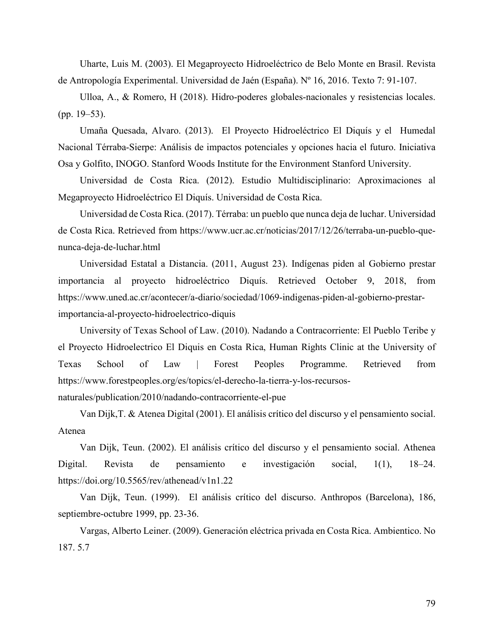Uharte, Luis M. (2003). El Megaproyecto Hidroeléctrico de Belo Monte en Brasil. Revista de Antropología Experimental. Universidad de Jaén (España). Nº 16, 2016. Texto 7: 91-107.

Ulloa, A., & Romero, H (2018). Hidro-poderes globales-nacionales y resistencias locales. (pp. 19–53).

Umaña Quesada, Alvaro. (2013). El Proyecto Hidroeléctrico El Diquís y el Humedal Nacional Térraba-Sierpe: Análisis de impactos potenciales y opciones hacia el futuro. Iniciativa Osa y Golfito, INOGO. Stanford Woods Institute for the Environment Stanford University.

Universidad de Costa Rica. (2012). Estudio Multidisciplinario: Aproximaciones al Megaproyecto Hidroeléctrico El Diquís. Universidad de Costa Rica.

Universidad de Costa Rica. (2017). Térraba: un pueblo que nunca deja de luchar. Universidad de Costa Rica. Retrieved from https://www.ucr.ac.cr/noticias/2017/12/26/terraba-un-pueblo-quenunca-deja-de-luchar.html

Universidad Estatal a Distancia. (2011, August 23). Indígenas piden al Gobierno prestar importancia al proyecto hidroeléctrico Diquís. Retrieved October 9, 2018, from https://www.uned.ac.cr/acontecer/a-diario/sociedad/1069-indigenas-piden-al-gobierno-prestarimportancia-al-proyecto-hidroelectrico-diquis

University of Texas School of Law. (2010). Nadando a Contracorriente: El Pueblo Teribe y el Proyecto Hidroelectrico El Diquis en Costa Rica, Human Rights Clinic at the University of Texas School of Law | Forest Peoples Programme. Retrieved from https://www.forestpeoples.org/es/topics/el-derecho-la-tierra-y-los-recursos-

naturales/publication/2010/nadando-contracorriente-el-pue

Van Dijk,T. & Atenea Digital (2001). El análisis crítico del discurso y el pensamiento social. Atenea

Van Dijk, Teun. (2002). El análisis crítico del discurso y el pensamiento social. Athenea Digital. Revista de pensamiento e investigación social, 1(1), 18–24. https://doi.org/10.5565/rev/athenead/v1n1.22

Van Dijk, Teun. (1999). El análisis crítico del discurso. Anthropos (Barcelona), 186, septiembre-octubre 1999, pp. 23-36.

Vargas, Alberto Leiner. (2009). Generación eléctrica privada en Costa Rica. Ambientico. No 187. 5.7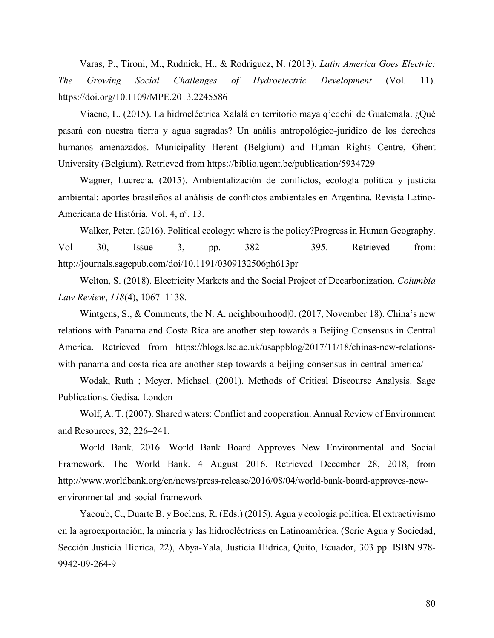Varas, P., Tironi, M., Rudnick, H., & Rodriguez, N. (2013). *Latin America Goes Electric: The Growing Social Challenges of Hydroelectric Development* (Vol. 11). https://doi.org/10.1109/MPE.2013.2245586

Viaene, L. (2015). La hidroeléctrica Xalalá en territorio maya q'eqchi' de Guatemala. ¿Qué pasará con nuestra tierra y agua sagradas? Un anális antropológico-jurídico de los derechos humanos amenazados. Municipality Herent (Belgium) and Human Rights Centre, Ghent University (Belgium). Retrieved from https://biblio.ugent.be/publication/5934729

Wagner, Lucrecia. (2015). Ambientalización de conflictos, ecología política y justicia ambiental: aportes brasileños al análisis de conflictos ambientales en Argentina. Revista Latino-Americana de História. Vol. 4, nº. 13.

Walker, Peter. (2016). Political ecology: where is the policy?Progress in Human Geography. Vol 30, Issue 3, pp. 382 - 395. Retrieved from: http://journals.sagepub.com/doi/10.1191/0309132506ph613pr

Welton, S. (2018). Electricity Markets and the Social Project of Decarbonization. *Columbia Law Review*, *118*(4), 1067–1138.

Wintgens, S., & Comments, the N. A. neighbourhood  $[0. (2017, November 18)$ . China's new relations with Panama and Costa Rica are another step towards a Beijing Consensus in Central America. Retrieved from https://blogs.lse.ac.uk/usappblog/2017/11/18/chinas-new-relationswith-panama-and-costa-rica-are-another-step-towards-a-beijing-consensus-in-central-america/

Wodak, Ruth ; Meyer, Michael. (2001). Methods of Critical Discourse Analysis. Sage Publications. Gedisa. London

Wolf, A. T. (2007). Shared waters: Conflict and cooperation. Annual Review of Environment and Resources, 32, 226–241.

World Bank. 2016. World Bank Board Approves New Environmental and Social Framework. The World Bank. 4 August 2016. Retrieved December 28, 2018, from http://www.worldbank.org/en/news/press-release/2016/08/04/world-bank-board-approves-newenvironmental-and-social-framework

Yacoub, C., Duarte B. y Boelens, R. (Eds.) (2015). Agua y ecología política. El extractivismo en la agroexportación, la minería y las hidroeléctricas en Latinoamérica. (Serie Agua y Sociedad, Sección Justicia Hídrica, 22), Abya-Yala, Justicia Hídrica, Quito, Ecuador, 303 pp. ISBN 978- 9942-09-264-9